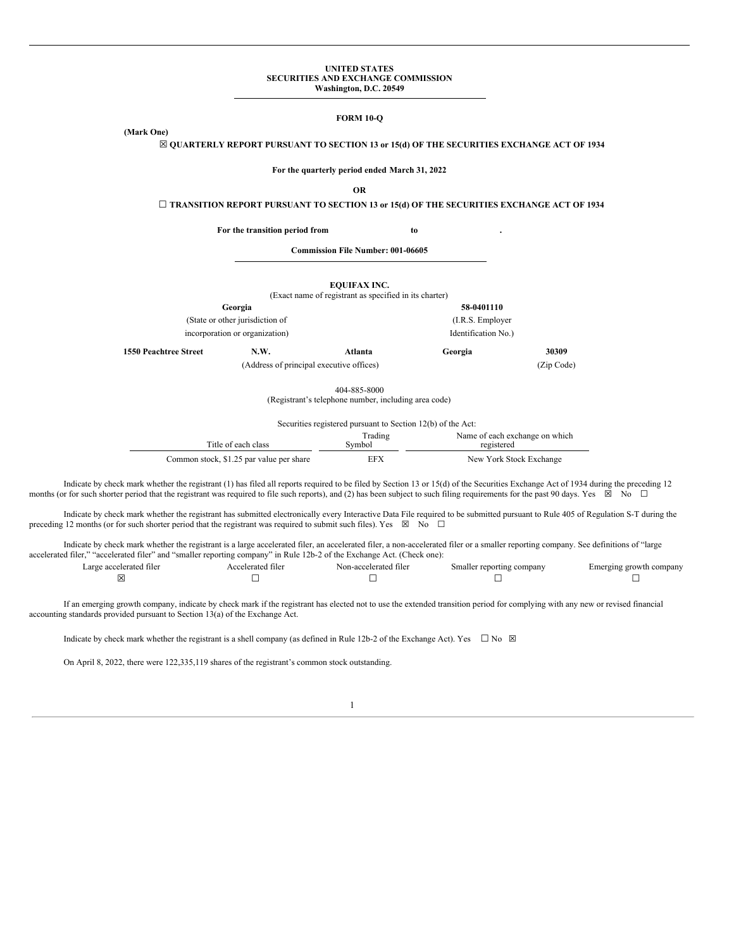#### **UNITED STATES SECURITIES AND EXCHANGE COMMISSION Washington, D.C. 20549**

**FORM 10-Q**

**(Mark One)**

☒ **QUARTERLY REPORT PURSUANT TO SECTION 13 or 15(d) OF THE SECURITIES EXCHANGE ACT OF 1934**

**For the quarterly period ended March 31, 2022**

**OR**

☐ **TRANSITION REPORT PURSUANT TO SECTION 13 or 15(d) OF THE SECURITIES EXCHANGE ACT OF 1934**

**For the transition period from to .**

**Commission File Number: 001-06605**

|                              |                                                  | <b>EQUIFAX INC.</b><br>(Exact name of registrant as specified in its charter) |                     |                     |  |  |  |  |
|------------------------------|--------------------------------------------------|-------------------------------------------------------------------------------|---------------------|---------------------|--|--|--|--|
|                              | Georgia                                          |                                                                               | 58-0401110          |                     |  |  |  |  |
|                              | (State or other jurisdiction of                  |                                                                               | (I.R.S. Employer    |                     |  |  |  |  |
|                              | incorporation or organization)                   |                                                                               | Identification No.) |                     |  |  |  |  |
| <b>1550 Peachtree Street</b> | N.W.<br>(Address of principal executive offices) | Atlanta                                                                       | Georgia             | 30309<br>(Zip Code) |  |  |  |  |

404-885-8000

(Registrant's telephone number, including area code)

Securities registered pursuant to Section 12(b) of the Act:

| Title of each class                      | Trading<br>Symbol | Name of each exchange on which<br>registered |
|------------------------------------------|-------------------|----------------------------------------------|
| Common stock, \$1.25 par value per share | EFX               | New York Stock Exchange                      |

Indicate by check mark whether the registrant (1) has filed all reports required to be filed by Section 13 or 15(d) of the Securities Exchange Act of 1934 during the preceding 12 months (or for such shorter period that the registrant was required to file such reports), and (2) has been subject to such filing requirements for the past 90 days. Yes  $\boxtimes$  No  $\Box$ 

Indicate by check mark whether the registrant has submitted electronically every Interactive Data File required to be submitted pursuant to Rule 405 of Regulation S-T during the preceding 12 months (or for such shorter period that the registrant was required to submit such files). Yes  $\boxtimes$  No  $\Box$ 

Indicate by check mark whether the registrant is a large accelerated filer, an accelerated filer, a non-accelerated filer or a smaller reporting company. See definitions of "large accelerated filer," "accelerated filer" and "smaller reporting company" in Rule 12b-2 of the Exchange Act. (Check one):

| r G A<br>[116 | 1 I E | -ac<br> | . en<br>npanv | $\gamma$ or $\gamma$ or $\gamma$<br>.npany<br>. . |
|---------------|-------|---------|---------------|---------------------------------------------------|
|               |       |         |               |                                                   |

If an emerging growth company, indicate by check mark if the registrant has elected not to use the extended transition period for complying with any new or revised financial accounting standards provided pursuant to Section 13(a) of the Exchange Act.

Indicate by check mark whether the registrant is a shell company (as defined in Rule 12b-2 of the Exchange Act). Yes  $\Box$  No  $\boxtimes$ 

On April 8, 2022, there were 122,335,119 shares of the registrant's common stock outstanding.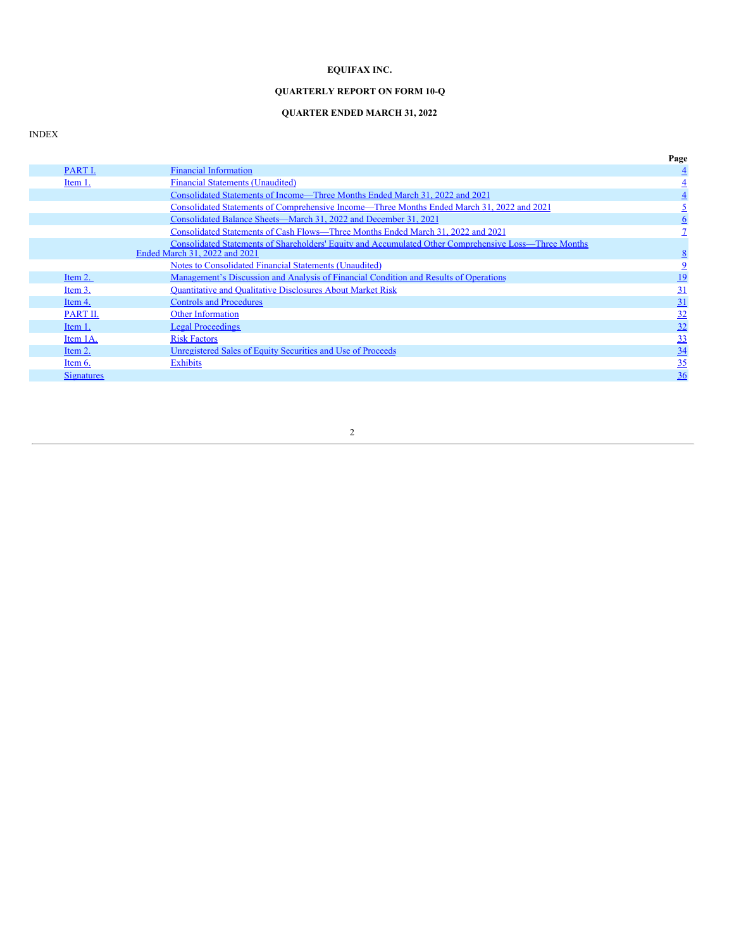# **QUARTERLY REPORT ON FORM 10-Q**

# **QUARTER ENDED MARCH 31, 2022**

# INDEX

|                   |                                                                                                                                        | Page       |
|-------------------|----------------------------------------------------------------------------------------------------------------------------------------|------------|
| PART I.           | <b>Financial Information</b>                                                                                                           |            |
| Item 1.           | <b>Financial Statements (Unaudited)</b>                                                                                                |            |
|                   | Consolidated Statements of Income—Three Months Ended March 31, 2022 and 2021                                                           |            |
|                   | Consolidated Statements of Comprehensive Income—Three Months Ended March 31, 2022 and 2021                                             |            |
|                   | Consolidated Balance Sheets—March 31, 2022 and December 31, 2021                                                                       |            |
|                   | Consolidated Statements of Cash Flows—Three Months Ended March 31, 2022 and 2021                                                       |            |
|                   | Consolidated Statements of Shareholders' Equity and Accumulated Other Comprehensive Loss—Three Months<br>Ended March 31, 2022 and 2021 | 8          |
|                   | Notes to Consolidated Financial Statements (Unaudited)                                                                                 | <u>9</u>   |
| Item 2.           | Management's Discussion and Analysis of Financial Condition and Results of Operations                                                  | <u> 19</u> |
| Item 3.           | Quantitative and Qualitative Disclosures About Market Risk                                                                             | 31         |
| Item 4.           | <b>Controls and Procedures</b>                                                                                                         | 31         |
| PART II.          | <b>Other Information</b>                                                                                                               | 32         |
| Item 1.           | <b>Legal Proceedings</b>                                                                                                               | 32         |
| Item 1A.          | <b>Risk Factors</b>                                                                                                                    | 33         |
| Item 2.           | Unregistered Sales of Equity Securities and Use of Proceeds                                                                            | 34         |
| Item 6.           | <b>Exhibits</b>                                                                                                                        | 35         |
| <b>Signatures</b> |                                                                                                                                        | 36         |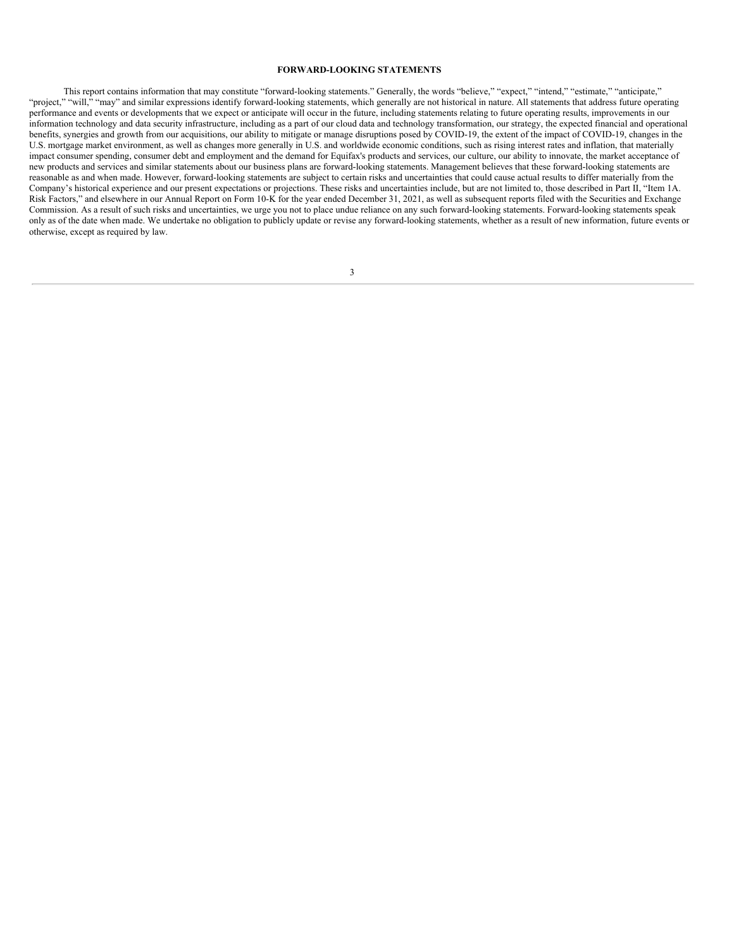#### **FORWARD-LOOKING STATEMENTS**

<span id="page-2-0"></span>This report contains information that may constitute "forward-looking statements." Generally, the words "believe," "expect," "intend," "estimate," "anticipate," "project," "will," "may" and similar expressions identify forward-looking statements, which generally are not historical in nature. All statements that address future operating performance and events or developments that we expect or anticipate will occur in the future, including statements relating to future operating results, improvements in our information technology and data security infrastructure, including as a part of our cloud data and technology transformation, our strategy, the expected financial and operational benefits, synergies and growth from our acquisitions, our ability to mitigate or manage disruptions posed by COVID-19, the extent of the impact of COVID-19, changes in the U.S. mortgage market environment, as well as changes more generally in U.S. and worldwide economic conditions, such as rising interest rates and inflation, that materially impact consumer spending, consumer debt and employment and the demand for Equifax's products and services, our culture, our ability to innovate, the market acceptance of new products and services and similar statements about our business plans are forward-looking statements. Management believes that these forward-looking statements are reasonable as and when made. However, forward-looking statements are subject to certain risks and uncertainties that could cause actual results to differ materially from the Company's historical experience and our present expectations or projections. These risks and uncertainties include, but are not limited to, those described in Part II, "Item 1A. Risk Factors," and elsewhere in our Annual Report on Form 10-K for the year ended December 31, 2021, as well as subsequent reports filed with the Securities and Exchange Commission. As a result of such risks and uncertainties, we urge you not to place undue reliance on any such forward-looking statements. Forward-looking statements speak only as of the date when made. We undertake no obligation to publicly update or revise any forward-looking statements, whether as a result of new information, future events or otherwise, except as required by law.

|   | I |  |
|---|---|--|
| × | I |  |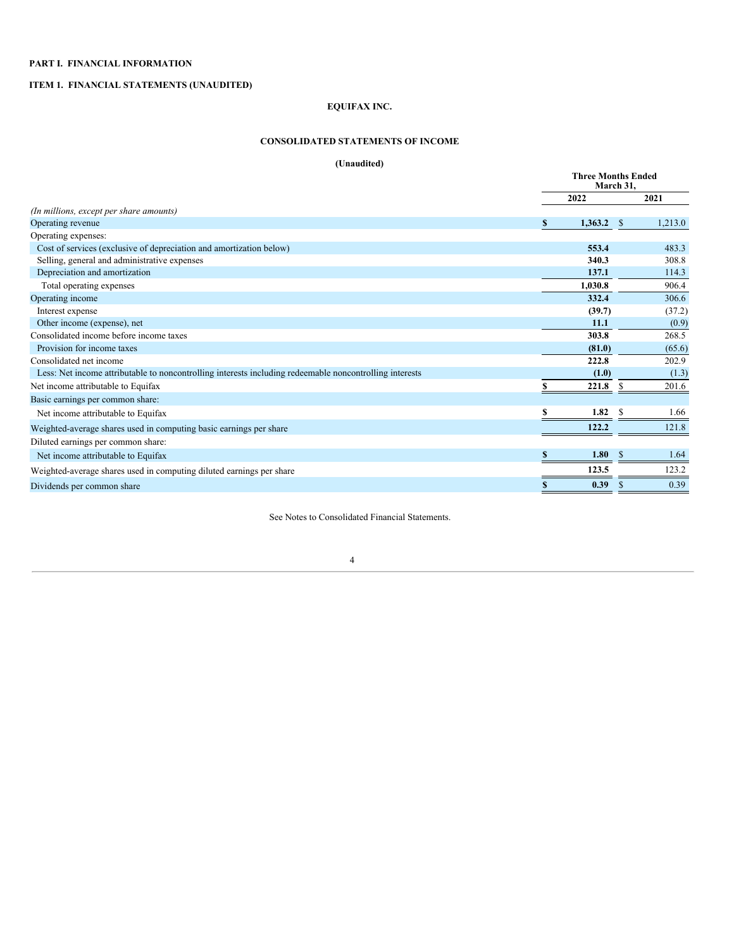# **PART I. FINANCIAL INFORMATION**

# <span id="page-3-1"></span><span id="page-3-0"></span>**ITEM 1. FINANCIAL STATEMENTS (UNAUDITED)**

# **EQUIFAX INC.**

# **CONSOLIDATED STATEMENTS OF INCOME**

# **(Unaudited)**

|                                                                                                         |    | <b>Three Months Ended</b><br>March 31, |               |         |  |
|---------------------------------------------------------------------------------------------------------|----|----------------------------------------|---------------|---------|--|
|                                                                                                         |    | 2022                                   |               | 2021    |  |
| (In millions, except per share amounts)                                                                 |    |                                        |               |         |  |
| Operating revenue                                                                                       | \$ | 1,363.2                                | -S            | 1,213.0 |  |
| Operating expenses:                                                                                     |    |                                        |               |         |  |
| Cost of services (exclusive of depreciation and amortization below)                                     |    | 553.4                                  |               | 483.3   |  |
| Selling, general and administrative expenses                                                            |    | 340.3                                  |               | 308.8   |  |
| Depreciation and amortization                                                                           |    | 137.1                                  |               | 114.3   |  |
| Total operating expenses                                                                                |    | 1,030.8                                |               | 906.4   |  |
| Operating income                                                                                        |    | 332.4                                  |               | 306.6   |  |
| Interest expense                                                                                        |    | (39.7)                                 |               | (37.2)  |  |
| Other income (expense), net                                                                             |    | 11.1                                   |               | (0.9)   |  |
| Consolidated income before income taxes                                                                 |    | 303.8                                  |               | 268.5   |  |
| Provision for income taxes                                                                              |    | (81.0)                                 |               | (65.6)  |  |
| Consolidated net income                                                                                 |    | 222.8                                  |               | 202.9   |  |
| Less: Net income attributable to noncontrolling interests including redeemable noncontrolling interests |    | (1.0)                                  |               | (1.3)   |  |
| Net income attributable to Equifax                                                                      |    | 221.8                                  | S             | 201.6   |  |
| Basic earnings per common share:                                                                        |    |                                        |               |         |  |
| Net income attributable to Equifax                                                                      | S  | 1.82                                   | \$            | 1.66    |  |
| Weighted-average shares used in computing basic earnings per share                                      |    | 122.2                                  |               | 121.8   |  |
| Diluted earnings per common share:                                                                      |    |                                        |               |         |  |
| Net income attributable to Equifax                                                                      | S  | 1.80                                   | <sup>S</sup>  | 1.64    |  |
| Weighted-average shares used in computing diluted earnings per share                                    |    | 123.5                                  |               | 123.2   |  |
| Dividends per common share                                                                              | S  | 0.39                                   | <sup>\$</sup> | 0.39    |  |

<span id="page-3-2"></span>See Notes to Consolidated Financial Statements.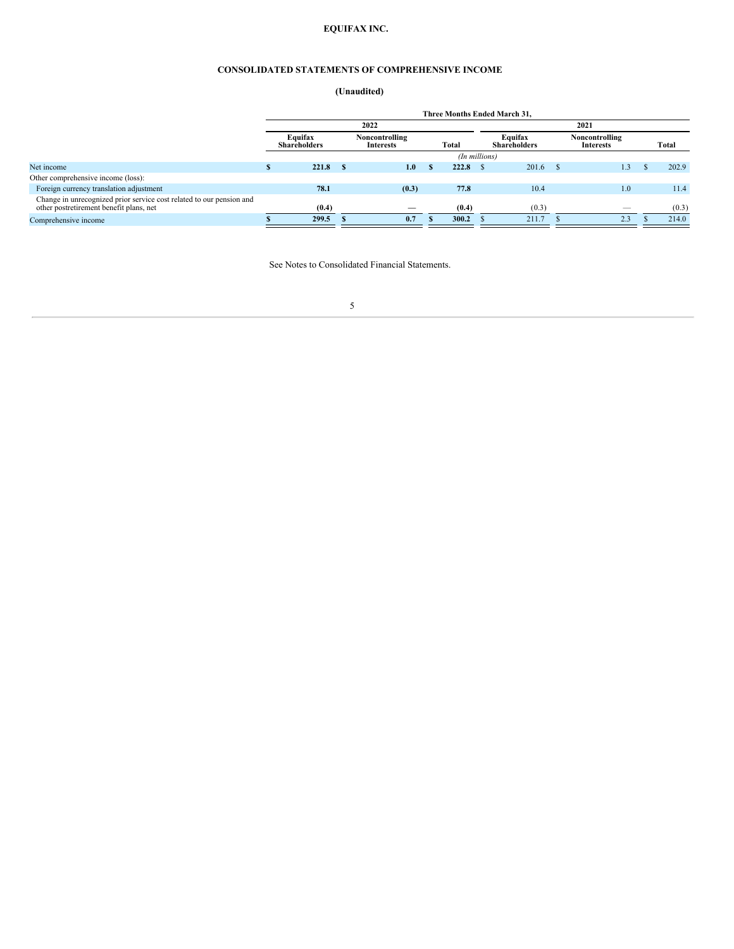# **CONSOLIDATED STATEMENTS OF COMPREHENSIVE INCOME**

# **(Unaudited)**

<span id="page-4-0"></span>

|                                                                                                                 | Three Months Ended March 31. |                                |  |                                    |   |               |  |                                |                                    |                  |  |       |  |  |  |
|-----------------------------------------------------------------------------------------------------------------|------------------------------|--------------------------------|--|------------------------------------|---|---------------|--|--------------------------------|------------------------------------|------------------|--|-------|--|--|--|
|                                                                                                                 | 2022                         |                                |  |                                    |   |               |  | 2021                           |                                    |                  |  |       |  |  |  |
|                                                                                                                 |                              | Equifax<br><b>Shareholders</b> |  | Noncontrolling<br><b>Interests</b> |   | Total         |  | Equifax<br><b>Shareholders</b> | Noncontrolling<br><b>Interests</b> |                  |  | Total |  |  |  |
|                                                                                                                 |                              |                                |  |                                    |   | (In millions) |  |                                |                                    |                  |  |       |  |  |  |
| Net income                                                                                                      |                              | 221.8                          |  | 1.0                                | S | 222.8         |  | $201.6$ \$                     |                                    | $\overline{1.3}$ |  | 202.9 |  |  |  |
| Other comprehensive income (loss):                                                                              |                              |                                |  |                                    |   |               |  |                                |                                    |                  |  |       |  |  |  |
| Foreign currency translation adjustment                                                                         |                              | 78.1                           |  | (0.3)                              |   | 77.8          |  | 10.4                           |                                    | 1.0              |  | 11.4  |  |  |  |
| Change in unrecognized prior service cost related to our pension and<br>other postretirement benefit plans, net |                              | (0.4)                          |  |                                    |   | (0.4)         |  | (0.3)                          |                                    | $-$              |  | (0.3) |  |  |  |
| Comprehensive income                                                                                            |                              | 299.5                          |  | 0.7                                |   | 300.2         |  | 211.7                          |                                    | 2.3              |  | 214.0 |  |  |  |

See Notes to Consolidated Financial Statements.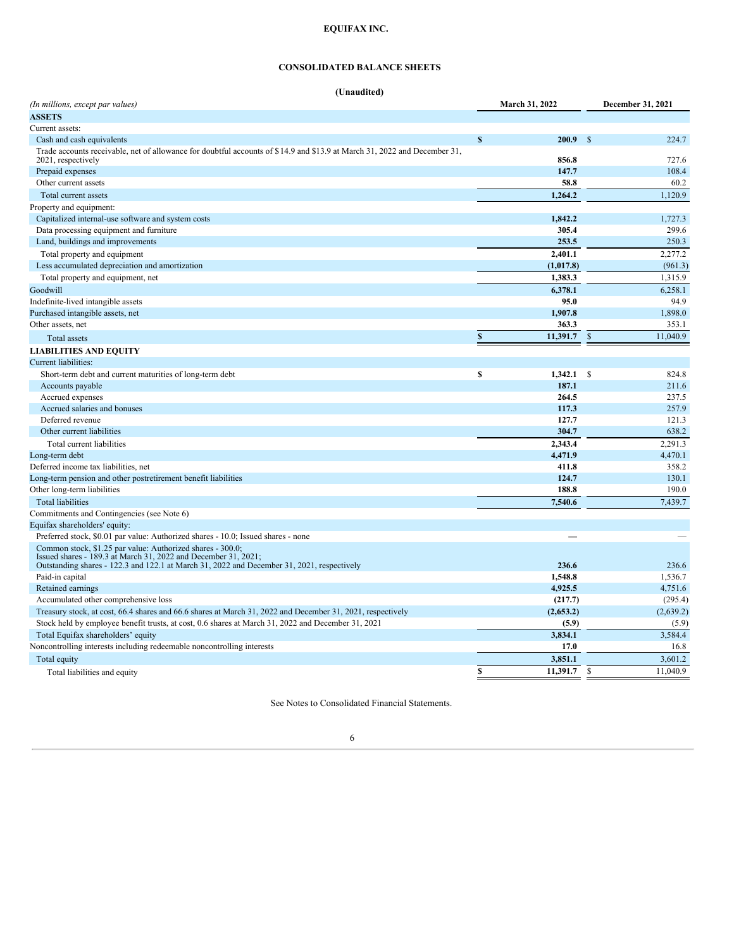# **CONSOLIDATED BALANCE SHEETS**

# **(Unaudited)**

| (In millions, except par values)                                                                                                                                                                                           | March 31, 2022           | December 31, 2021        |
|----------------------------------------------------------------------------------------------------------------------------------------------------------------------------------------------------------------------------|--------------------------|--------------------------|
| <b>ASSETS</b>                                                                                                                                                                                                              |                          |                          |
| Current assets:                                                                                                                                                                                                            |                          |                          |
| Cash and cash equivalents                                                                                                                                                                                                  | 200.9<br>\$              | <sup>\$</sup><br>224.7   |
| Trade accounts receivable, net of allowance for doubtful accounts of \$14.9 and \$13.9 at March 31, 2022 and December 31,<br>2021, respectively                                                                            | 856.8                    | 727.6                    |
| Prepaid expenses                                                                                                                                                                                                           | 147.7                    | 108.4                    |
| Other current assets                                                                                                                                                                                                       | 58.8                     | 60.2                     |
| Total current assets                                                                                                                                                                                                       | 1,264.2                  | 1,120.9                  |
| Property and equipment:                                                                                                                                                                                                    |                          |                          |
| Capitalized internal-use software and system costs                                                                                                                                                                         | 1.842.2                  | 1,727.3                  |
| Data processing equipment and furniture                                                                                                                                                                                    | 305.4                    | 299.6                    |
| Land, buildings and improvements                                                                                                                                                                                           | 253.5                    | 250.3                    |
| Total property and equipment                                                                                                                                                                                               | 2,401.1                  | 2,277.2                  |
| Less accumulated depreciation and amortization                                                                                                                                                                             | (1,017.8)                | (961.3)                  |
| Total property and equipment, net                                                                                                                                                                                          | 1,383.3                  | 1,315.9                  |
| Goodwill                                                                                                                                                                                                                   | 6,378.1                  | 6,258.1                  |
| Indefinite-lived intangible assets                                                                                                                                                                                         | 95.0                     | 94.9                     |
| Purchased intangible assets, net                                                                                                                                                                                           | 1,907.8                  | 1,898.0                  |
| Other assets, net                                                                                                                                                                                                          | 363.3                    | 353.1                    |
| Total assets                                                                                                                                                                                                               | $\mathbb S$<br>11,391.7  | $\mathbb{S}$<br>11,040.9 |
| <b>LIABILITIES AND EQUITY</b>                                                                                                                                                                                              |                          |                          |
| Current liabilities:                                                                                                                                                                                                       |                          |                          |
| Short-term debt and current maturities of long-term debt                                                                                                                                                                   | \$<br>1,342.1            | S<br>824.8               |
| Accounts payable                                                                                                                                                                                                           | 187.1                    | 211.6                    |
| Accrued expenses                                                                                                                                                                                                           | 264.5                    | 237.5                    |
| Accrued salaries and bonuses                                                                                                                                                                                               | 117.3                    | 257.9                    |
| Deferred revenue                                                                                                                                                                                                           | 127.7                    | 121.3                    |
| Other current liabilities                                                                                                                                                                                                  | 304.7                    | 638.2                    |
| Total current liabilities                                                                                                                                                                                                  | 2,343.4                  | 2,291.3                  |
| Long-term debt                                                                                                                                                                                                             | 4,471.9                  | 4,470.1                  |
| Deferred income tax liabilities, net                                                                                                                                                                                       | 411.8                    | 358.2                    |
| Long-term pension and other postretirement benefit liabilities                                                                                                                                                             | 124.7                    | 130.1                    |
| Other long-term liabilities                                                                                                                                                                                                | 188.8                    | 190.0                    |
| <b>Total liabilities</b>                                                                                                                                                                                                   | 7,540.6                  | 7,439.7                  |
| Commitments and Contingencies (see Note 6)                                                                                                                                                                                 |                          |                          |
| Equifax shareholders' equity:                                                                                                                                                                                              |                          |                          |
| Preferred stock, \$0.01 par value: Authorized shares - 10.0; Issued shares - none                                                                                                                                          | $\overline{\phantom{0}}$ |                          |
| Common stock, \$1.25 par value: Authorized shares - 300.0;<br>Issued shares - 189.3 at March 31, 2022 and December 31, 2021;<br>Outstanding shares - 122.3 and 122.1 at March 31, 2022 and December 31, 2021, respectively | 236.6                    | 236.6                    |
| Paid-in capital                                                                                                                                                                                                            | 1,548.8                  | 1,536.7                  |
| Retained earnings                                                                                                                                                                                                          | 4,925.5                  | 4,751.6                  |
| Accumulated other comprehensive loss                                                                                                                                                                                       | (217.7)                  | (295.4)                  |
| Treasury stock, at cost, 66.4 shares and 66.6 shares at March 31, 2022 and December 31, 2021, respectively                                                                                                                 | (2,653.2)                | (2,639.2)                |
| Stock held by employee benefit trusts, at cost, 0.6 shares at March 31, 2022 and December 31, 2021                                                                                                                         | (5.9)                    | (5.9)                    |
| Total Equifax shareholders' equity                                                                                                                                                                                         | 3,834.1                  | 3,584.4                  |
| Noncontrolling interests including redeemable noncontrolling interests                                                                                                                                                     | 17.0                     | 16.8                     |
| Total equity                                                                                                                                                                                                               | 3,851.1                  | 3,601.2                  |
|                                                                                                                                                                                                                            | \$<br>11,391.7           | $\mathbb{S}$<br>11,040.9 |
| Total liabilities and equity                                                                                                                                                                                               |                          |                          |

<span id="page-5-0"></span>See Notes to Consolidated Financial Statements.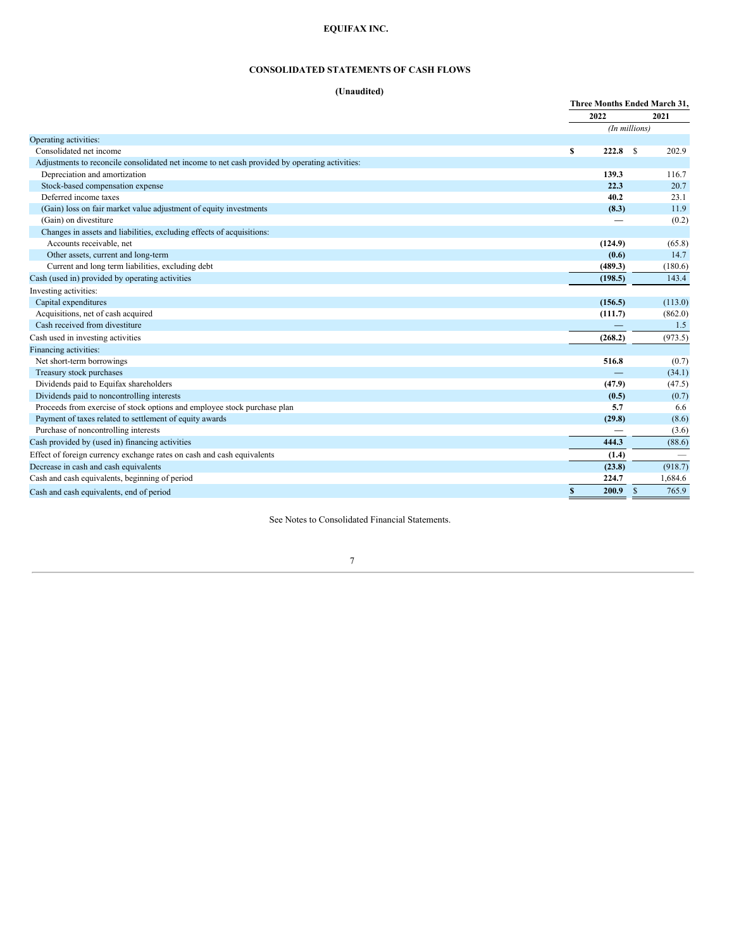# **CONSOLIDATED STATEMENTS OF CASH FLOWS**

# **(Unaudited)**

|                                                                                                |              | <b>Three Months Ended March 31.</b> |              |         |
|------------------------------------------------------------------------------------------------|--------------|-------------------------------------|--------------|---------|
|                                                                                                | 2022         |                                     |              | 2021    |
|                                                                                                |              | (In millions)                       |              |         |
| Operating activities:                                                                          |              |                                     |              |         |
| Consolidated net income                                                                        | \$           | 222.8                               | \$           | 202.9   |
| Adjustments to reconcile consolidated net income to net cash provided by operating activities: |              |                                     |              |         |
| Depreciation and amortization                                                                  |              | 139.3                               |              | 116.7   |
| Stock-based compensation expense                                                               |              | 22.3                                |              | 20.7    |
| Deferred income taxes                                                                          |              | 40.2                                |              | 23.1    |
| (Gain) loss on fair market value adjustment of equity investments                              |              | (8.3)                               |              | 11.9    |
| (Gain) on divestiture                                                                          |              |                                     |              | (0.2)   |
| Changes in assets and liabilities, excluding effects of acquisitions:                          |              |                                     |              |         |
| Accounts receivable, net                                                                       |              | (124.9)                             |              | (65.8)  |
| Other assets, current and long-term                                                            |              | (0.6)                               |              | 14.7    |
| Current and long term liabilities, excluding debt                                              |              | (489.3)                             |              | (180.6) |
| Cash (used in) provided by operating activities                                                |              | (198.5)                             |              | 143.4   |
| Investing activities:                                                                          |              |                                     |              |         |
| Capital expenditures                                                                           |              | (156.5)                             |              | (113.0) |
| Acquisitions, net of cash acquired                                                             |              | (111.7)                             |              | (862.0) |
| Cash received from divestiture                                                                 |              |                                     |              | 1.5     |
| Cash used in investing activities                                                              |              | (268.2)                             |              | (973.5) |
| Financing activities:                                                                          |              |                                     |              |         |
| Net short-term borrowings                                                                      |              | 516.8                               |              | (0.7)   |
| Treasury stock purchases                                                                       |              |                                     |              | (34.1)  |
| Dividends paid to Equifax shareholders                                                         |              | (47.9)                              |              | (47.5)  |
| Dividends paid to noncontrolling interests                                                     |              | (0.5)                               |              | (0.7)   |
| Proceeds from exercise of stock options and employee stock purchase plan                       |              | 5.7                                 |              | 6.6     |
| Payment of taxes related to settlement of equity awards                                        |              | (29.8)                              |              | (8.6)   |
| Purchase of noncontrolling interests                                                           |              |                                     |              | (3.6)   |
| Cash provided by (used in) financing activities                                                |              | 444.3                               |              | (88.6)  |
| Effect of foreign currency exchange rates on cash and cash equivalents                         |              | (1.4)                               |              |         |
| Decrease in cash and cash equivalents                                                          |              | (23.8)                              |              | (918.7) |
| Cash and cash equivalents, beginning of period                                                 |              | 224.7                               |              | 1.684.6 |
| Cash and cash equivalents, end of period                                                       | $\mathbf{s}$ | 200.9                               | $\mathbb{S}$ | 765.9   |

<span id="page-6-0"></span>See Notes to Consolidated Financial Statements.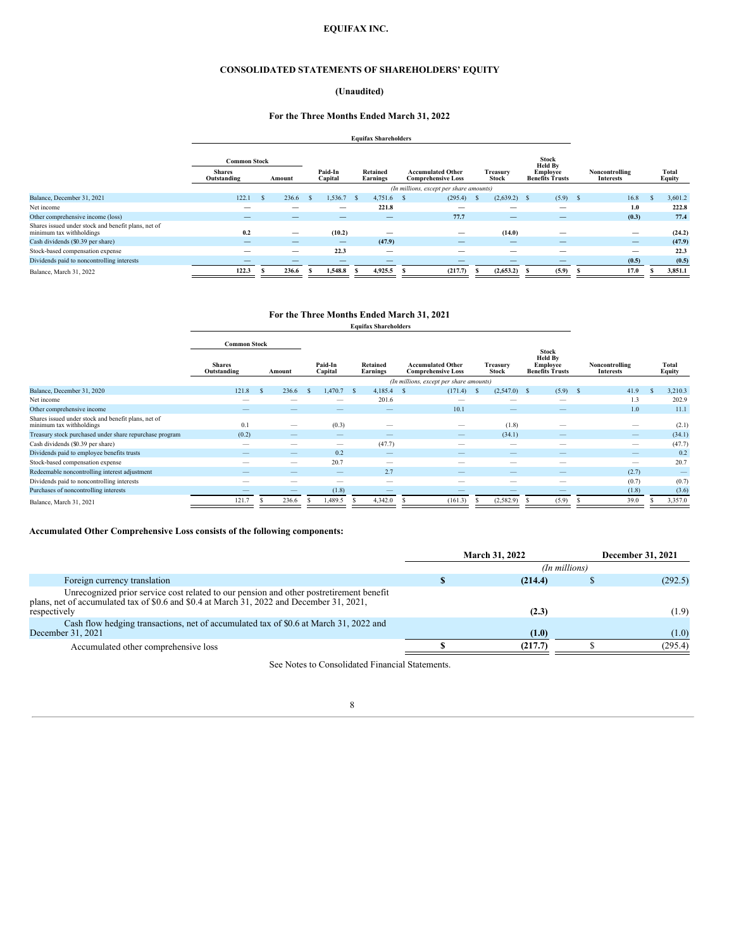# **CONSOLIDATED STATEMENTS OF SHAREHOLDERS' EQUITY**

## **(Unaudited)**

# **For the Three Months Ended March 31, 2022**

**Equifax Shareholders**

|                                                                                 | <b>Common Stock</b><br><b>Shares</b><br>Outstanding | Amount |       | Paid-In<br>Capital |         | Retained<br>Earnings |              | <b>Accumulated Other</b><br><b>Comprehensive Loss</b> |                                         | Treasury<br><b>Stock</b> |                | <b>Stock</b><br><b>Held By</b><br>Employee<br><b>Benefits Trusts</b> |                          | Noncontrolling<br><b>Interests</b> |       | Total<br>Equity |  |
|---------------------------------------------------------------------------------|-----------------------------------------------------|--------|-------|--------------------|---------|----------------------|--------------|-------------------------------------------------------|-----------------------------------------|--------------------------|----------------|----------------------------------------------------------------------|--------------------------|------------------------------------|-------|-----------------|--|
|                                                                                 |                                                     |        |       |                    |         |                      |              |                                                       |                                         |                          |                |                                                                      |                          |                                    |       |                 |  |
|                                                                                 |                                                     |        |       |                    |         |                      |              |                                                       | (In millions, except per share amounts) |                          |                |                                                                      |                          |                                    |       |                 |  |
| Balance, December 31, 2021                                                      | 122.1                                               |        | 236.6 |                    | 1,536.7 |                      | $4,751.6$ \$ |                                                       | (295.4)                                 |                          | $(2,639.2)$ \$ |                                                                      | (5.9) S                  |                                    | 16.8  | 3,601.2         |  |
| Net income                                                                      | $\overline{\phantom{a}}$                            |        |       |                    | —       |                      | 221.8        |                                                       |                                         |                          | _              |                                                                      | $\overline{\phantom{0}}$ |                                    | 1.0   | 222.8           |  |
| Other comprehensive income (loss)                                               |                                                     |        |       |                    |         |                      |              |                                                       | 77.7                                    |                          |                |                                                                      |                          |                                    | (0.3) | 77.4            |  |
| Shares issued under stock and benefit plans, net of<br>minimum tax withholdings | 0.2                                                 |        | –     |                    | (10.2)  |                      | –            |                                                       |                                         |                          | (14.0)         |                                                                      |                          |                                    |       | (24.2)          |  |
| Cash dividends (\$0.39 per share)                                               | -                                                   |        |       |                    |         |                      | (47.9)       |                                                       |                                         |                          |                |                                                                      |                          |                                    |       | (47.9)          |  |
| Stock-based compensation expense                                                | –                                                   |        | —     |                    | 22.3    |                      |              |                                                       |                                         |                          | –              |                                                                      |                          |                                    |       | 22.3            |  |
| Dividends paid to noncontrolling interests                                      |                                                     |        |       |                    |         |                      | –            |                                                       |                                         |                          | –              |                                                                      |                          |                                    | (0.5) | (0.5)           |  |
| Balance, March 31, 2022                                                         | 122.3                                               |        | 236.6 |                    | 1,548.8 |                      | 4,925.5      |                                                       | (217.7)                                 |                          | (2,653.2)      |                                                                      | (5.9)                    |                                    | 17.0  | 3,851.1         |  |
|                                                                                 |                                                     |        |       |                    |         |                      |              |                                                       |                                         |                          |                |                                                                      |                          |                                    |       |                 |  |

#### **For the Three Months Ended March 31, 2021 Equifax Shareholders**

|                                                                                 | <b>Common Stock</b>          |        |                          |                    |                   |                             |                                 |                                                       |                                         |                          |  | <b>Stock</b>                                         |  |                                    |                 |                          |
|---------------------------------------------------------------------------------|------------------------------|--------|--------------------------|--------------------|-------------------|-----------------------------|---------------------------------|-------------------------------------------------------|-----------------------------------------|--------------------------|--|------------------------------------------------------|--|------------------------------------|-----------------|--------------------------|
|                                                                                 | <b>Shares</b><br>Outstanding | Amount |                          | Paid-In<br>Capital |                   | <b>Retained</b><br>Earnings |                                 | <b>Accumulated Other</b><br><b>Comprehensive Loss</b> |                                         | Treasury<br><b>Stock</b> |  | <b>Held By</b><br>Employee<br><b>Benefits Trusts</b> |  | Noncontrolling<br><b>Interests</b> | Total<br>Equity |                          |
|                                                                                 |                              |        |                          |                    |                   |                             |                                 |                                                       | (In millions, except per share amounts) |                          |  |                                                      |  |                                    |                 |                          |
| Balance, December 31, 2020                                                      | 121.8                        |        | 236.6                    | -8                 | 1.470.7           | - \$                        | 4,185.4                         | -8                                                    | (171.4)                                 | $(2,547.0)$ \$           |  | $(5.9)$ \$                                           |  | 41.9                               |                 | 3,210.3                  |
| Net income                                                                      | --                           |        |                          |                    |                   |                             | 201.6                           |                                                       |                                         | $\overline{\phantom{a}}$ |  |                                                      |  | 1.3                                |                 | 202.9                    |
| Other comprehensive income                                                      |                              |        |                          |                    |                   |                             |                                 |                                                       | 10.1                                    |                          |  |                                                      |  | 1.0                                |                 | 11.1                     |
| Shares issued under stock and benefit plans, net of<br>minimum tax withholdings | 0.1                          |        | $\overline{\phantom{a}}$ |                    | (0.3)             |                             | $\overline{\phantom{a}}$        |                                                       | -                                       | (1.8)                    |  |                                                      |  | $\overline{\phantom{a}}$           |                 | (2.1)                    |
| Treasury stock purchased under share repurchase program                         | (0.2)                        |        | –                        |                    |                   |                             | $\sim$                          |                                                       |                                         | (34.1)                   |  |                                                      |  |                                    |                 | (34.1)                   |
| Cash dividends (\$0.39 per share)                                               |                              |        | -                        |                    |                   |                             | (47.7)                          |                                                       |                                         | $\overline{\phantom{a}}$ |  |                                                      |  |                                    |                 | (47.7)                   |
| Dividends paid to employee benefits trusts                                      |                              |        |                          |                    | 0.2               |                             | $\hspace{0.1mm}-\hspace{0.1mm}$ |                                                       |                                         |                          |  |                                                      |  | $\overline{\phantom{m}}$           |                 | 0.2                      |
| Stock-based compensation expense                                                |                              |        | $\hspace{0.05cm}$        |                    | 20.7              |                             | $\overline{\phantom{a}}$        |                                                       |                                         | $\overline{\phantom{a}}$ |  |                                                      |  | $\hspace{0.05cm}$                  |                 | 20.7                     |
| Redeemable noncontrolling interest adjustment                                   | $\overline{\phantom{0}}$     |        |                          |                    | $\qquad \qquad -$ |                             | 2.7                             |                                                       |                                         | $\overline{\phantom{a}}$ |  | $\qquad \qquad$                                      |  | (2.7)                              |                 | $\overline{\phantom{a}}$ |
| Dividends paid to noncontrolling interests                                      | -                            |        | $\overline{\phantom{a}}$ |                    |                   |                             | $\hspace{0.05cm}$               |                                                       | -                                       | $\sim$                   |  |                                                      |  | (0.7)                              |                 | (0.7)                    |
| Purchases of noncontrolling interests                                           | $\overline{\phantom{a}}$     |        |                          |                    | (1.8)             |                             | $\sim$                          |                                                       | --                                      | $\sim$                   |  |                                                      |  | (1.8)                              |                 | (3.6)                    |
| Balance, March 31, 2021                                                         | 121.7                        |        | 236.6                    |                    | 1,489.5           |                             | 4,342.0                         |                                                       | (161.3)                                 | (2,582.9)                |  | (5.9)                                                |  | 39.0                               |                 | 3,357.0                  |

# **Accumulated Other Comprehensive Loss consists of the following components:**

<span id="page-7-0"></span>

|                                                                                                                                                                                                   | <b>March 31, 2022</b> | December 31, 2021 |         |
|---------------------------------------------------------------------------------------------------------------------------------------------------------------------------------------------------|-----------------------|-------------------|---------|
|                                                                                                                                                                                                   |                       | (In millions)     |         |
| Foreign currency translation                                                                                                                                                                      |                       | (214.4)           | (292.5) |
| Unrecognized prior service cost related to our pension and other postretirement benefit plans, net of accumulated tax of \$0.6 and \$0.4 at March 31, 2022 and December 31, 2021,<br>respectively |                       | (2.3)             | (1.9)   |
| Cash flow hedging transactions, net of accumulated tax of \$0.6 at March 31, 2022 and<br>December 31, 2021                                                                                        |                       | (1.0)             | (1.0)   |
| Accumulated other comprehensive loss                                                                                                                                                              |                       | (217.7)           | (295.4) |

See Notes to Consolidated Financial Statements.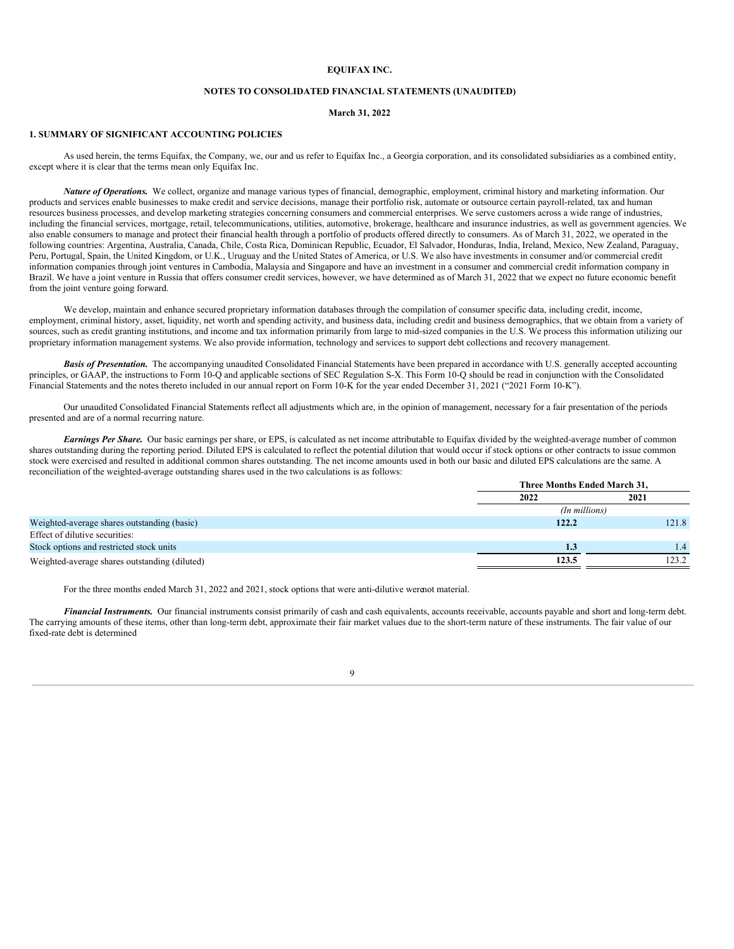#### **NOTES TO CONSOLIDATED FINANCIAL STATEMENTS (UNAUDITED)**

## **March 31, 2022**

## **1. SUMMARY OF SIGNIFICANT ACCOUNTING POLICIES**

As used herein, the terms Equifax, the Company, we, our and us refer to Equifax Inc., a Georgia corporation, and its consolidated subsidiaries as a combined entity, except where it is clear that the terms mean only Equifax Inc.

*Nature of Operations.* We collect, organize and manage various types of financial, demographic, employment, criminal history and marketing information. Our products and services enable businesses to make credit and service decisions, manage their portfolio risk, automate or outsource certain payroll-related, tax and human resources business processes, and develop marketing strategies concerning consumers and commercial enterprises. We serve customers across a wide range of industries, including the financial services, mortgage, retail, telecommunications, utilities, automotive, brokerage, healthcare and insurance industries, as well as government agencies. We also enable consumers to manage and protect their financial health through a portfolio of products offered directly to consumers. As of March 31, 2022, we operated in the following countries: Argentina, Australia, Canada, Chile, Costa Rica, Dominican Republic, Ecuador, El Salvador, Honduras, India, Ireland, Mexico, New Zealand, Paraguay, Peru, Portugal, Spain, the United Kingdom, or U.K., Uruguay and the United States of America, or U.S. We also have investments in consumer and/or commercial credit information companies through joint ventures in Cambodia, Malaysia and Singapore and have an investment in a consumer and commercial credit information company in Brazil. We have a joint venture in Russia that offers consumer credit services, however, we have determined as of March 31, 2022 that we expect no future economic benefit from the joint venture going forward.

We develop, maintain and enhance secured proprietary information databases through the compilation of consumer specific data, including credit, income, employment, criminal history, asset, liquidity, net worth and spending activity, and business data, including credit and business demographics, that we obtain from a variety of sources, such as credit granting institutions, and income and tax information primarily from large to mid-sized companies in the U.S. We process this information utilizing our proprietary information management systems. We also provide information, technology and services to support debt collections and recovery management.

**Basis of Presentation.** The accompanying unaudited Consolidated Financial Statements have been prepared in accordance with U.S. generally accepted accounting principles, or GAAP, the instructions to Form 10-Q and applicable sections of SEC Regulation S-X. This Form 10-Q should be read in conjunction with the Consolidated Financial Statements and the notes thereto included in our annual report on Form 10-K for the year ended December 31, 2021 ("2021 Form 10-K").

Our unaudited Consolidated Financial Statements reflect all adjustments which are, in the opinion of management, necessary for a fair presentation of the periods presented and are of a normal recurring nature.

*Earnings Per Share.* Our basic earnings per share, or EPS, is calculated as net income attributable to Equifax divided by the weighted-average number of common shares outstanding during the reporting period. Diluted EPS is calculated to reflect the potential dilution that would occur if stock options or other contracts to issue common stock were exercised and resulted in additional common shares outstanding. The net income amounts used in both our basic and diluted EPS calculations are the same. A reconciliation of the weighted-average outstanding shares used in the two calculations is as follows:

|                                               | Three Months Ended March 31, |       |
|-----------------------------------------------|------------------------------|-------|
|                                               | 2022                         | 2021  |
|                                               | (In millions)                |       |
| Weighted-average shares outstanding (basic)   | 122.2                        | 121.8 |
| Effect of dilutive securities:                |                              |       |
| Stock options and restricted stock units      | 1.3                          | 1.4   |
| Weighted-average shares outstanding (diluted) | 123.5                        | 123.2 |
|                                               |                              |       |

For the three months ended March 31, 2022 and 2021, stock options that were anti-dilutive werenot material.

*Financial Instruments.* Our financial instruments consist primarily of cash and cash equivalents, accounts receivable, accounts payable and short and long-term debt. The carrying amounts of these items, other than long-term debt, approximate their fair market values due to the short-term nature of these instruments. The fair value of our fixed-rate debt is determined

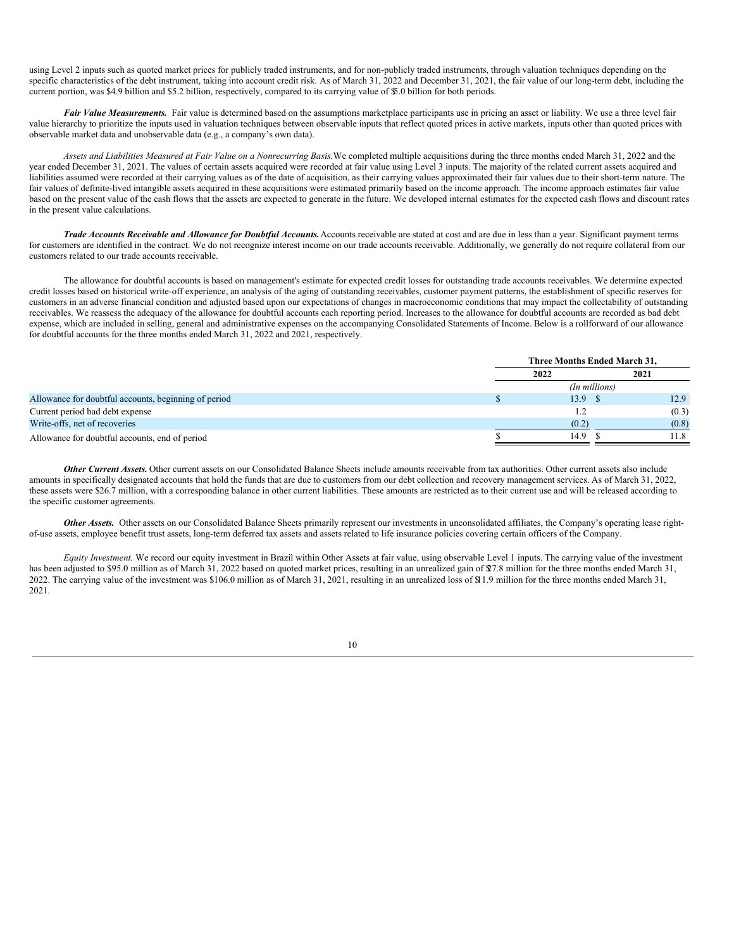using Level 2 inputs such as quoted market prices for publicly traded instruments, and for non-publicly traded instruments, through valuation techniques depending on the specific characteristics of the debt instrument, taking into account credit risk. As of March 31, 2022 and December 31, 2021, the fair value of our long-term debt, including the current portion, was \$4.9 billion and \$5.2 billion, respectively, compared to its carrying value of \$5.0 billion for both periods.

Fair Value Measurements. Fair value is determined based on the assumptions marketplace participants use in pricing an asset or liability. We use a three level fair value hierarchy to prioritize the inputs used in valuation techniques between observable inputs that reflect quoted prices in active markets, inputs other than quoted prices with observable market data and unobservable data (e.g., a company's own data).

Assets and Liabilities Measured at Fair Value on a Nonrecurring Basis. We completed multiple acquisitions during the three months ended March 31, 2022 and the year ended December 31, 2021. The values of certain assets acquired were recorded at fair value using Level 3 inputs. The majority of the related current assets acquired and liabilities assumed were recorded at their carrying values as of the date of acquisition, as their carrying values approximated their fair values due to their short-term nature. The fair values of definite-lived intangible assets acquired in these acquisitions were estimated primarily based on the income approach. The income approach estimates fair value based on the present value of the cash flows that the assets are expected to generate in the future. We developed internal estimates for the expected cash flows and discount rates in the present value calculations.

*Trade Accounts Receivable and Allowance for Doubtful Accounts.*Accounts receivable are stated at cost and are due in less than a year. Significant payment terms for customers are identified in the contract. We do not recognize interest income on our trade accounts receivable. Additionally, we generally do not require collateral from our customers related to our trade accounts receivable.

The allowance for doubtful accounts is based on management's estimate for expected credit losses for outstanding trade accounts receivables. We determine expected credit losses based on historical write-off experience, an analysis of the aging of outstanding receivables, customer payment patterns, the establishment of specific reserves for customers in an adverse financial condition and adjusted based upon our expectations of changes in macroeconomic conditions that may impact the collectability of outstanding receivables. We reassess the adequacy of the allowance for doubtful accounts each reporting period. Increases to the allowance for doubtful accounts are recorded as bad debt expense, which are included in selling, general and administrative expenses on the accompanying Consolidated Statements of Income. Below is a rollforward of our allowance for doubtful accounts for the three months ended March 31, 2022 and 2021, respectively.

|                                                      | Three Months Ended March 31, |       |  |  |
|------------------------------------------------------|------------------------------|-------|--|--|
|                                                      | 2022                         | 2021  |  |  |
|                                                      | (In millions)                |       |  |  |
| Allowance for doubtful accounts, beginning of period | 13.9                         | 12.9  |  |  |
| Current period bad debt expense                      | 1.2                          | (0.3) |  |  |
| Write-offs, net of recoveries                        | (0.2)                        | (0.8) |  |  |
| Allowance for doubtful accounts, end of period       | 14.9                         | 11.8  |  |  |

*Other Current Assets.* Other current assets on our Consolidated Balance Sheets include amounts receivable from tax authorities. Other current assets also include amounts in specifically designated accounts that hold the funds that are due to customers from our debt collection and recovery management services. As of March 31, 2022, these assets were \$26.7 million, with a corresponding balance in other current liabilities. These amounts are restricted as to their current use and will be released according to the specific customer agreements.

*Other Assets.* Other assets on our Consolidated Balance Sheets primarily represent our investments in unconsolidated affiliates, the Company's operating lease rightof-use assets, employee benefit trust assets, long-term deferred tax assets and assets related to life insurance policies covering certain officers of the Company.

*Equity Investment.* We record our equity investment in Brazil within Other Assets at fair value, using observable Level 1 inputs. The carrying value of the investment has been adjusted to \$95.0 million as of March 31, 2022 based on quoted market prices, resulting in an unrealized gain of \$27.8 million for the three months ended March 31, 2022. The carrying value of the investment was \$106.0 million as of March 31, 2021, resulting in an unrealized loss of \$1.9 million for the three months ended March 31, 2021.

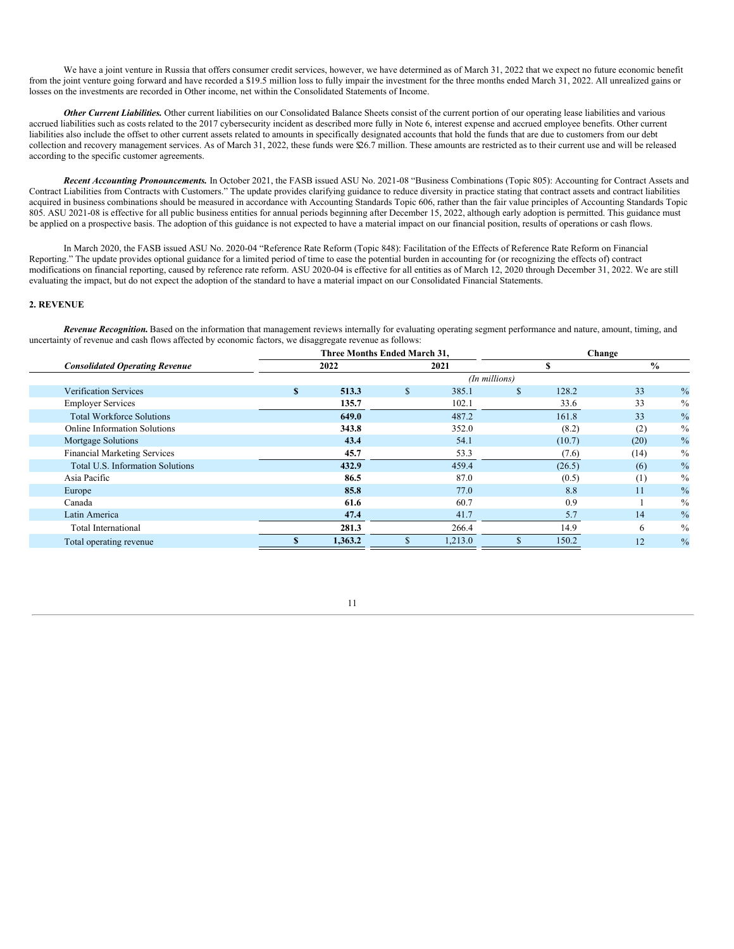We have a joint venture in Russia that offers consumer credit services, however, we have determined as of March 31, 2022 that we expect no future economic benefit from the joint venture going forward and have recorded a \$19.5 million loss to fully impair the investment for the three months ended March 31, 2022. All unrealized gains or losses on the investments are recorded in Other income, net within the Consolidated Statements of Income.

*Other Current Liabilities.* Other current liabilities on our Consolidated Balance Sheets consist of the current portion of our operating lease liabilities and various accrued liabilities such as costs related to the 2017 cybersecurity incident as described more fully in Note 6, interest expense and accrued employee benefits. Other current liabilities also include the offset to other current assets related to amounts in specifically designated accounts that hold the funds that are due to customers from our debt collection and recovery management services. As of March 31, 2022, these funds were \$26.7 million. These amounts are restricted as to their current use and will be released according to the specific customer agreements.

*Recent Accounting Pronouncements.* In October 2021, the FASB issued ASU No. 2021-08 "Business Combinations (Topic 805): Accounting for Contract Assets and Contract Liabilities from Contracts with Customers." The update provides clarifying guidance to reduce diversity in practice stating that contract assets and contract liabilities acquired in business combinations should be measured in accordance with Accounting Standards Topic 606, rather than the fair value principles of Accounting Standards Topic 805. ASU 2021-08 is effective for all public business entities for annual periods beginning after December 15, 2022, although early adoption is permitted. This guidance must be applied on a prospective basis. The adoption of this guidance is not expected to have a material impact on our financial position, results of operations or cash flows.

In March 2020, the FASB issued ASU No. 2020-04 "Reference Rate Reform (Topic 848): Facilitation of the Effects of Reference Rate Reform on Financial Reporting." The update provides optional guidance for a limited period of time to ease the potential burden in accounting for (or recognizing the effects of) contract modifications on financial reporting, caused by reference rate reform. ASU 2020-04 is effective for all entities as of March 12, 2020 through December 31, 2022. We are still evaluating the impact, but do not expect the adoption of the standard to have a material impact on our Consolidated Financial Statements.

# **2. REVENUE**

*Revenue Recognition.* Based on the information that management reviews internally for evaluating operating segment performance and nature, amount, timing, and uncertainty of revenue and cash flows affected by economic factors, we disaggregate revenue as follows:

|                                         | Three Months Ended March 31, |         |    |         |               |        | Change |               |  |
|-----------------------------------------|------------------------------|---------|----|---------|---------------|--------|--------|---------------|--|
| <b>Consolidated Operating Revenue</b>   | 2022                         |         |    | 2021    |               | S      |        | $\frac{0}{0}$ |  |
|                                         |                              |         |    |         | (In millions) |        |        |               |  |
| <b>Verification Services</b>            | S.                           | 513.3   | \$ | 385.1   | \$            | 128.2  | 33     | $\frac{0}{0}$ |  |
| <b>Employer Services</b>                |                              | 135.7   |    | 102.1   |               | 33.6   | 33     | $\%$          |  |
| <b>Total Workforce Solutions</b>        |                              | 649.0   |    | 487.2   |               | 161.8  | 33     | $\frac{0}{0}$ |  |
| <b>Online Information Solutions</b>     |                              | 343.8   |    | 352.0   |               | (8.2)  | (2)    | $\frac{0}{0}$ |  |
| Mortgage Solutions                      |                              | 43.4    |    | 54.1    |               | (10.7) | (20)   | $\%$          |  |
| <b>Financial Marketing Services</b>     |                              | 45.7    |    | 53.3    |               | (7.6)  | (14)   | $\frac{0}{0}$ |  |
| <b>Total U.S. Information Solutions</b> |                              | 432.9   |    | 459.4   |               | (26.5) | (6)    | $\%$          |  |
| Asia Pacific                            |                              | 86.5    |    | 87.0    |               | (0.5)  | (1)    | $\frac{0}{0}$ |  |
| Europe                                  |                              | 85.8    |    | 77.0    |               | 8.8    | 11     | $\frac{0}{0}$ |  |
| Canada                                  |                              | 61.6    |    | 60.7    |               | 0.9    |        | $\%$          |  |
| Latin America                           |                              | 47.4    |    | 41.7    |               | 5.7    | 14     | $\frac{0}{0}$ |  |
| Total International                     |                              | 281.3   |    | 266.4   |               | 14.9   | 6      | $\%$          |  |
| Total operating revenue                 |                              | 1,363.2 |    | 1,213.0 |               | 150.2  | 12     | $\frac{0}{0}$ |  |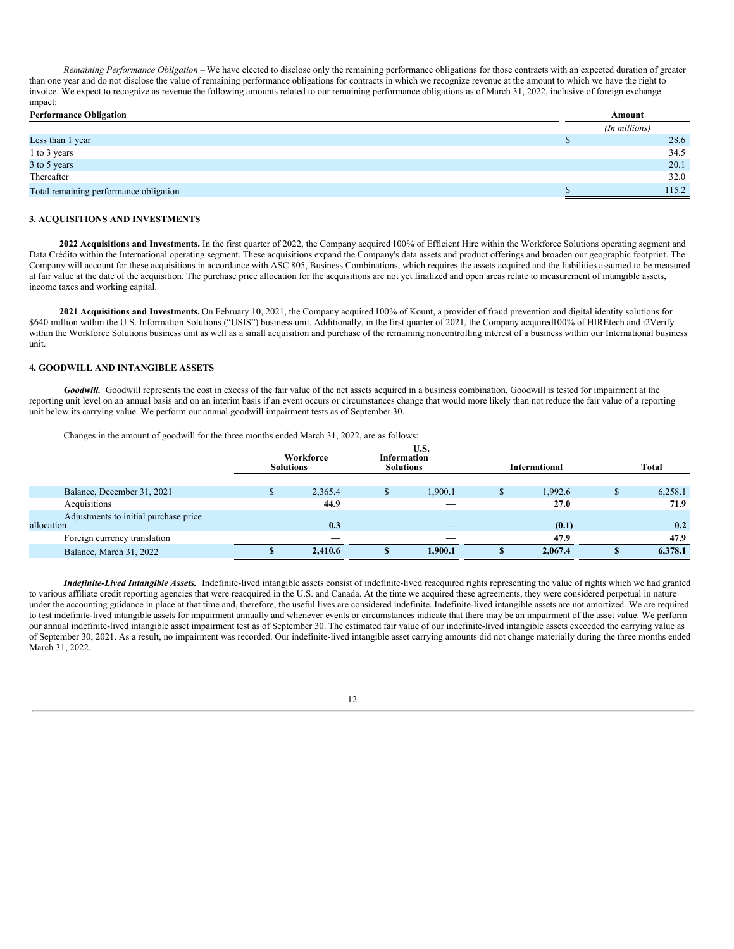*Remaining Performance Obligation –* We have elected to disclose only the remaining performance obligations for those contracts with an expected duration of greater than one year and do not disclose the value of remaining performance obligations for contracts in which we recognize revenue at the amount to which we have the right to invoice. We expect to recognize as revenue the following amounts related to our remaining performance obligations as of March 31, 2022, inclusive of foreign exchange impact:

| <b>Performance Obligation</b>          | Amount        |
|----------------------------------------|---------------|
|                                        | (In millions) |
| Less than 1 year                       | 28.6          |
| 1 to 3 years                           | 34.5          |
| 3 to 5 years                           | 20.1          |
| Thereafter                             | 32.0          |
| Total remaining performance obligation | 115.2         |

#### **3. ACQUISITIONS AND INVESTMENTS**

**2022 Acquisitions and Investments.** In the first quarter of 2022, the Company acquired 100% of Efficient Hire within the Workforce Solutions operating segment and Data Crédito within the International operating segment. These acquisitions expand the Company's data assets and product offerings and broaden our geographic footprint. The Company will account for these acquisitions in accordance with ASC 805, Business Combinations, which requires the assets acquired and the liabilities assumed to be measured at fair value at the date of the acquisition. The purchase price allocation for the acquisitions are not yet finalized and open areas relate to measurement of intangible assets, income taxes and working capital.

**2021 Acquisitions and Investments.** On February 10, 2021, the Company acquired 100% of Kount, a provider of fraud prevention and digital identity solutions for \$640 million within the U.S. Information Solutions ("USIS") business unit. Additionally, in the first quarter of 2021, the Company acquired100% of HIREtech and i2Verify within the Workforce Solutions business unit as well as a small acquisition and purchase of the remaining noncontrolling interest of a business within our International business unit.

# **4. GOODWILL AND INTANGIBLE ASSETS**

Goodwill. Goodwill represents the cost in excess of the fair value of the net assets acquired in a business combination. Goodwill is tested for impairment at the reporting unit level on an annual basis and on an interim basis if an event occurs or circumstances change that would more likely than not reduce the fair value of a reporting unit below its carrying value. We perform our annual goodwill impairment tests as of September 30.

Changes in the amount of goodwill for the three months ended March 31, 2022, are as follows:

|                                                     | <b>Solutions</b> | Workforce |    | U.S.<br>Information<br><b>Solutions</b> |   | <b>International</b> |   | <b>Total</b> |
|-----------------------------------------------------|------------------|-----------|----|-----------------------------------------|---|----------------------|---|--------------|
| Balance, December 31, 2021                          |                  | 2,365.4   | \$ | 1,900.1                                 | D | 1,992.6              | Φ | 6,258.1      |
| Acquisitions                                        |                  | 44.9      |    |                                         |   | 27.0                 |   | 71.9         |
| Adjustments to initial purchase price<br>allocation |                  | 0.3       |    |                                         |   | (0.1)                |   | 0.2          |
| Foreign currency translation                        |                  |           |    |                                         |   | 47.9                 |   | 47.9         |
| Balance, March 31, 2022                             |                  | 2,410.6   | Ф  | 1,900.1                                 |   | 2,067.4              |   | 6,378.1      |

*Indefinite-Lived Intangible Assets.* Indefinite-lived intangible assets consist of indefinite-lived reacquired rights representing the value of rights which we had granted to various affiliate credit reporting agencies that were reacquired in the U.S. and Canada. At the time we acquired these agreements, they were considered perpetual in nature under the accounting guidance in place at that time and, therefore, the useful lives are considered indefinite. Indefinite-lived intangible assets are not amortized. We are required to test indefinite-lived intangible assets for impairment annually and whenever events or circumstances indicate that there may be an impairment of the asset value. We perform our annual indefinite-lived intangible asset impairment test as of September 30. The estimated fair value of our indefinite-lived intangible assets exceeded the carrying value as of September 30, 2021. As a result, no impairment was recorded. Our indefinite-lived intangible asset carrying amounts did not change materially during the three months ended March 31, 2022.

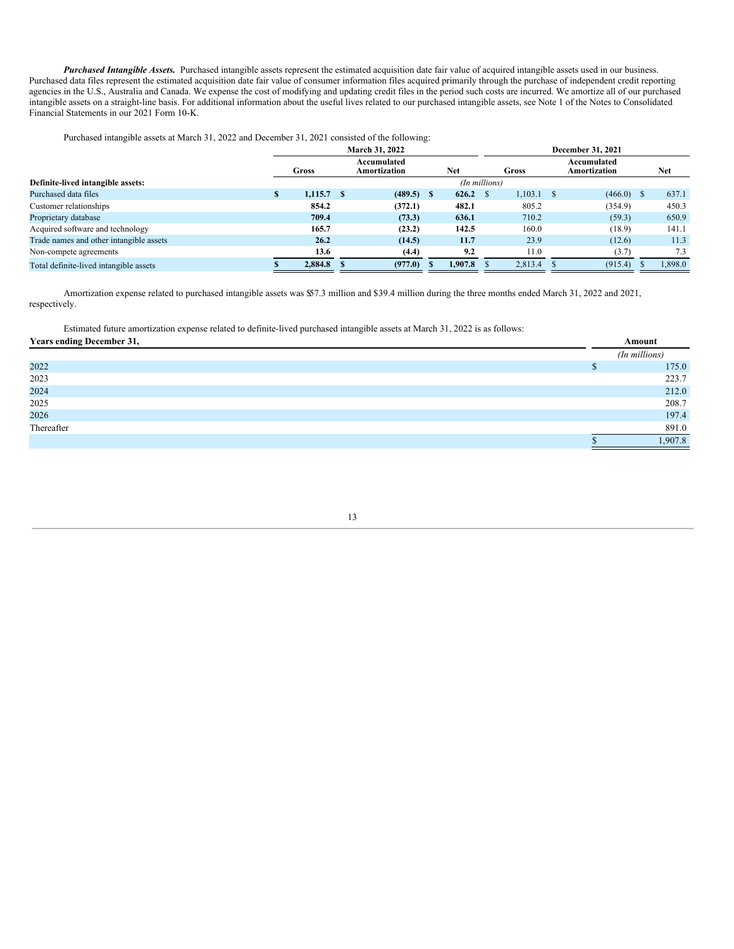*Purchased Intangible Assets.* Purchased intangible assets represent the estimated acquisition date fair value of acquired intangible assets used in our business. Purchased data files represent the estimated acquisition date fair value of consumer information files acquired primarily through the purchase of independent credit reporting agencies in the U.S., Australia and Canada. We expense the cost of modifying and updating credit files in the period such costs are incurred. We amortize all of our purchased intangible assets on a straight-line basis. For additional information about the useful lives related to our purchased intangible assets, see Note 1 of the Notes to Consolidated Financial Statements in our 2021 Form 10-K.

Purchased intangible assets at March 31, 2022 and December 31, 2021 consisted of the following:

|                                         | March 31, 2022 |              |  |                             |      | December 31, 2021 |               |         |     |                             |  |         |
|-----------------------------------------|----------------|--------------|--|-----------------------------|------|-------------------|---------------|---------|-----|-----------------------------|--|---------|
|                                         |                | Gross        |  | Accumulated<br>Amortization |      | Net               |               | Gross   |     | Accumulated<br>Amortization |  | Net     |
| Definite-lived intangible assets:       |                |              |  |                             |      |                   | (In millions) |         |     |                             |  |         |
| Purchased data files                    | S.             | $1,115.7$ \$ |  | (489.5)                     | - \$ | $626.2$ \$        |               | 1,103.1 | - S | (466.0)                     |  | 637.1   |
| Customer relationships                  |                | 854.2        |  | (372.1)                     |      | 482.1             |               | 805.2   |     | (354.9)                     |  | 450.3   |
| Proprietary database                    |                | 709.4        |  | (73.3)                      |      | 636.1             |               | 710.2   |     | (59.3)                      |  | 650.9   |
| Acquired software and technology        |                | 165.7        |  | (23.2)                      |      | 142.5             |               | 160.0   |     | (18.9)                      |  | 141.1   |
| Trade names and other intangible assets |                | 26.2         |  | (14.5)                      |      | 11.7              |               | 23.9    |     | (12.6)                      |  | 11.3    |
| Non-compete agreements                  |                | 13.6         |  | (4.4)                       |      | 9.2               |               | 11.0    |     | (3.7)                       |  | 7.3     |
| Total definite-lived intangible assets  |                | 2,884.8      |  | (977.0)                     |      | 1.907.8           |               | 2,813.4 |     | (915.4)                     |  | 1,898.0 |

Amortization expense related to purchased intangible assets was \$57.3 million and \$39.4 million during the three months ended March 31, 2022 and 2021, respectively.

Estimated future amortization expense related to definite-lived purchased intangible assets at March 31, 2022 is as follows:

# **Years ending December 31, Amount**

|            | (In millions) |
|------------|---------------|
| 2022       | 175.0         |
| 2023       | 223.7         |
| 2024       | 212.0         |
| 2025       | 208.7         |
| 2026       | 197.4         |
| Thereafter | 891.0         |
|            | .907.8        |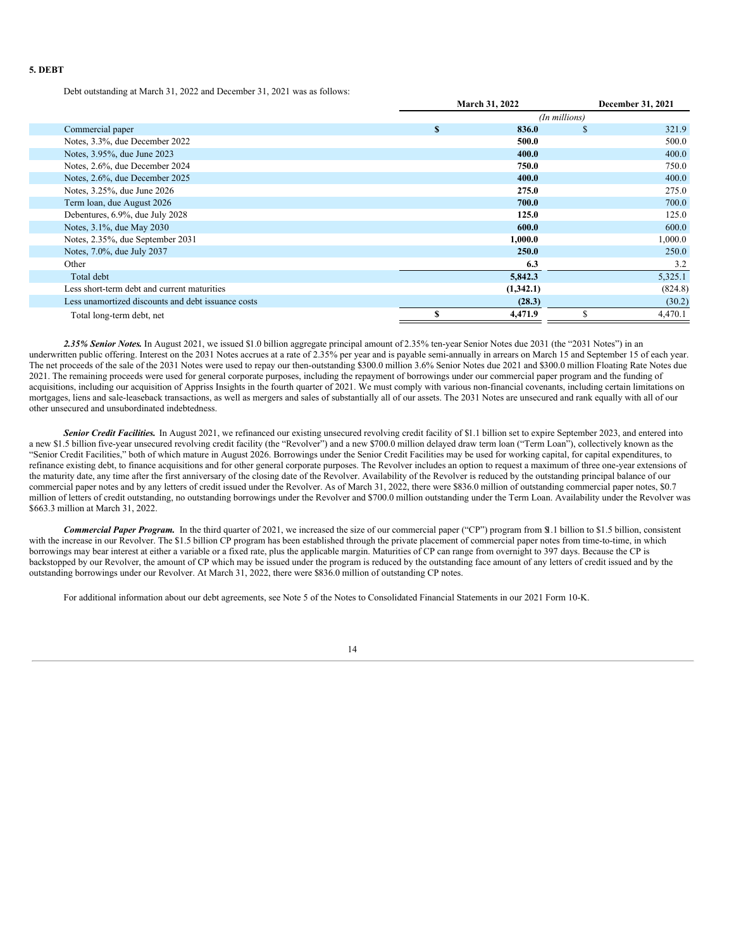#### **5. DEBT**

Debt outstanding at March 31, 2022 and December 31, 2021 was as follows:

|                                                    | March 31, 2022 | December 31, 2021 |         |  |
|----------------------------------------------------|----------------|-------------------|---------|--|
|                                                    | (In millions)  |                   |         |  |
| Commercial paper                                   | \$<br>836.0    | S                 | 321.9   |  |
| Notes, 3.3%, due December 2022                     | 500.0          |                   | 500.0   |  |
| Notes, 3.95%, due June 2023                        | 400.0          |                   | 400.0   |  |
| Notes, 2.6%, due December 2024                     | 750.0          |                   | 750.0   |  |
| Notes, 2.6%, due December 2025                     | 400.0          |                   | 400.0   |  |
| Notes, 3.25%, due June 2026                        | 275.0          |                   | 275.0   |  |
| Term loan, due August 2026                         | 700.0          |                   | 700.0   |  |
| Debentures, 6.9%, due July 2028                    | 125.0          |                   | 125.0   |  |
| Notes, 3.1%, due May 2030                          | 600.0          |                   | 600.0   |  |
| Notes, 2.35%, due September 2031                   | 1,000.0        |                   | 1,000.0 |  |
| Notes, 7.0%, due July 2037                         | 250.0          |                   | 250.0   |  |
| Other                                              | 6.3            |                   | 3.2     |  |
| Total debt                                         | 5,842.3        |                   | 5,325.1 |  |
| Less short-term debt and current maturities        | (1,342.1)      |                   | (824.8) |  |
| Less unamortized discounts and debt issuance costs | (28.3)         |                   | (30.2)  |  |
| Total long-term debt, net                          | 4,471.9        |                   | 4,470.1 |  |

*2.35% Senior Notes***.** In August 2021, we issued \$1.0 billion aggregate principal amount of 2.35% ten-year Senior Notes due 2031 (the "2031 Notes") in an underwritten public offering. Interest on the 2031 Notes accrues at a rate of 2.35% per year and is payable semi-annually in arrears on March 15 and September 15 of each year. The net proceeds of the sale of the 2031 Notes were used to repay our then-outstanding \$300.0 million 3.6% Senior Notes due 2021 and \$300.0 million Floating Rate Notes due 2021. The remaining proceeds were used for general corporate purposes, including the repayment of borrowings under our commercial paper program and the funding of acquisitions, including our acquisition of Appriss Insights in the fourth quarter of 2021. We must comply with various non-financial covenants, including certain limitations on mortgages, liens and sale-leaseback transactions, as well as mergers and sales of substantially all of our assets. The 2031 Notes are unsecured and rank equally with all of our other unsecured and unsubordinated indebtedness.

Senior Credit Facilities. In August 2021, we refinanced our existing unsecured revolving credit facility of \$1.1 billion set to expire September 2023, and entered into a new \$1.5 billion five-year unsecured revolving credit facility (the "Revolver") and a new \$700.0 million delayed draw term loan ("Term Loan"), collectively known as the "Senior Credit Facilities," both of which mature in August 2026. Borrowings under the Senior Credit Facilities may be used for working capital, for capital expenditures, to refinance existing debt, to finance acquisitions and for other general corporate purposes. The Revolver includes an option to request a maximum of three one-year extensions of the maturity date, any time after the first anniversary of the closing date of the Revolver. Availability of the Revolver is reduced by the outstanding principal balance of our commercial paper notes and by any letters of credit issued under the Revolver. As of March 31, 2022, there were \$836.0 million of outstanding commercial paper notes, \$0.7 million of letters of credit outstanding, no outstanding borrowings under the Revolver and \$700.0 million outstanding under the Term Loan. Availability under the Revolver was \$663.3 million at March 31, 2022.

*Commercial Paper Program.* In the third quarter of 2021, we increased the size of our commercial paper ("CP") program from \$1.1 billion to \$1.5 billion, consistent with the increase in our Revolver. The \$1.5 billion CP program has been established through the private placement of commercial paper notes from time-to-time, in which borrowings may bear interest at either a variable or a fixed rate, plus the applicable margin. Maturities of CP can range from overnight to 397 days. Because the CP is backstopped by our Revolver, the amount of CP which may be issued under the program is reduced by the outstanding face amount of any letters of credit issued and by the outstanding borrowings under our Revolver. At March 31, 2022, there were \$836.0 million of outstanding CP notes.

For additional information about our debt agreements, see Note 5 of the Notes to Consolidated Financial Statements in our 2021 Form 10-K.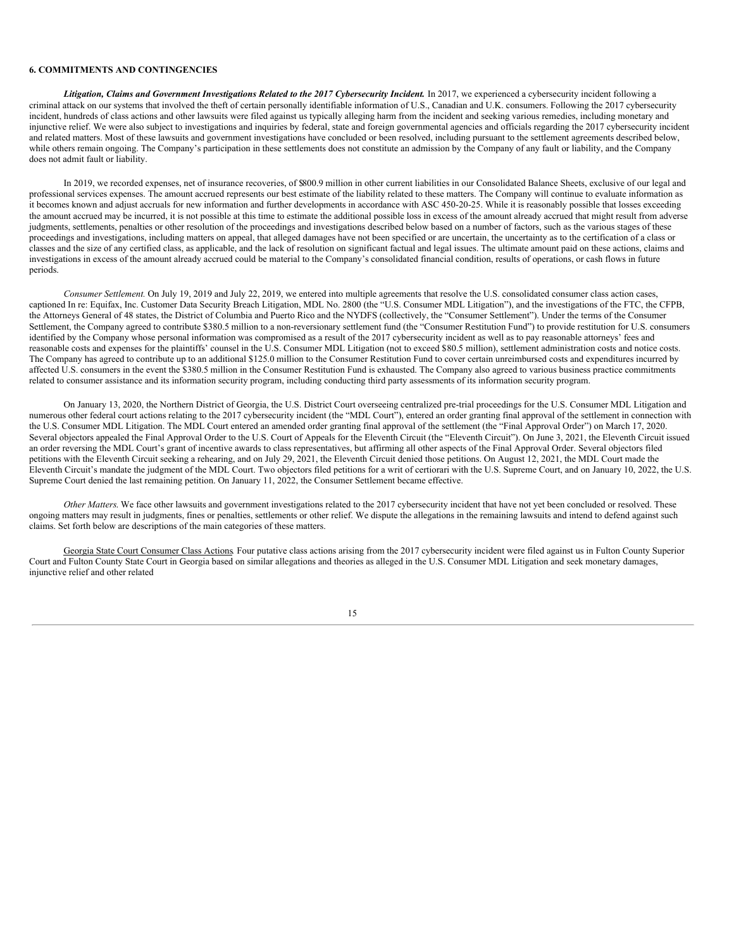#### **6. COMMITMENTS AND CONTINGENCIES**

Litigation, Claims and Government Investigations Related to the 2017 Cybersecurity Incident. In 2017, we experienced a cybersecurity incident following a criminal attack on our systems that involved the theft of certain personally identifiable information of U.S., Canadian and U.K. consumers. Following the 2017 cybersecurity incident, hundreds of class actions and other lawsuits were filed against us typically alleging harm from the incident and seeking various remedies, including monetary and injunctive relief. We were also subject to investigations and inquiries by federal, state and foreign governmental agencies and officials regarding the 2017 cybersecurity incident and related matters. Most of these lawsuits and government investigations have concluded or been resolved, including pursuant to the settlement agreements described below, while others remain ongoing. The Company's participation in these settlements does not constitute an admission by the Company of any fault or liability, and the Company does not admit fault or liability.

In 2019, we recorded expenses, net of insurance recoveries, of \$800.9 million in other current liabilities in our Consolidated Balance Sheets, exclusive of our legal and professional services expenses. The amount accrued represents our best estimate of the liability related to these matters. The Company will continue to evaluate information as it becomes known and adjust accruals for new information and further developments in accordance with ASC 450-20-25. While it is reasonably possible that losses exceeding the amount accrued may be incurred, it is not possible at this time to estimate the additional possible loss in excess of the amount already accrued that might result from adverse judgments, settlements, penalties or other resolution of the proceedings and investigations described below based on a number of factors, such as the various stages of these proceedings and investigations, including matters on appeal, that alleged damages have not been specified or are uncertain, the uncertainty as to the certification of a class or classes and the size of any certified class, as applicable, and the lack of resolution on significant factual and legal issues. The ultimate amount paid on these actions, claims and investigations in excess of the amount already accrued could be material to the Company's consolidated financial condition, results of operations, or cash flows in future periods.

*Consumer Settlement.* On July 19, 2019 and July 22, 2019, we entered into multiple agreements that resolve the U.S. consolidated consumer class action cases, captioned In re: Equifax, Inc. Customer Data Security Breach Litigation, MDL No. 2800 (the "U.S. Consumer MDL Litigation"), and the investigations of the FTC, the CFPB, the Attorneys General of 48 states, the District of Columbia and Puerto Rico and the NYDFS (collectively, the "Consumer Settlement"). Under the terms of the Consumer Settlement, the Company agreed to contribute \$380.5 million to a non-reversionary settlement fund (the "Consumer Restitution Fund") to provide restitution for U.S. consumers identified by the Company whose personal information was compromised as a result of the 2017 cybersecurity incident as well as to pay reasonable attorneys' fees and reasonable costs and expenses for the plaintiffs' counsel in the U.S. Consumer MDL Litigation (not to exceed \$80.5 million), settlement administration costs and notice costs. The Company has agreed to contribute up to an additional \$125.0 million to the Consumer Restitution Fund to cover certain unreimbursed costs and expenditures incurred by affected U.S. consumers in the event the \$380.5 million in the Consumer Restitution Fund is exhausted. The Company also agreed to various business practice commitments related to consumer assistance and its information security program, including conducting third party assessments of its information security program.

On January 13, 2020, the Northern District of Georgia, the U.S. District Court overseeing centralized pre-trial proceedings for the U.S. Consumer MDL Litigation and numerous other federal court actions relating to the 2017 cybersecurity incident (the "MDL Court"), entered an order granting final approval of the settlement in connection with the U.S. Consumer MDL Litigation. The MDL Court entered an amended order granting final approval of the settlement (the "Final Approval Order") on March 17, 2020. Several objectors appealed the Final Approval Order to the U.S. Court of Appeals for the Eleventh Circuit (the "Eleventh Circuit"). On June 3, 2021, the Eleventh Circuit issued an order reversing the MDL Court's grant of incentive awards to class representatives, but affirming all other aspects of the Final Approval Order. Several objectors filed petitions with the Eleventh Circuit seeking a rehearing, and on July 29, 2021, the Eleventh Circuit denied those petitions. On August 12, 2021, the MDL Court made the Eleventh Circuit's mandate the judgment of the MDL Court. Two objectors filed petitions for a writ of certiorari with the U.S. Supreme Court, and on January 10, 2022, the U.S. Supreme Court denied the last remaining petition. On January 11, 2022, the Consumer Settlement became effective.

*Other Matters*. We face other lawsuits and government investigations related to the 2017 cybersecurity incident that have not yet been concluded or resolved. These ongoing matters may result in judgments, fines or penalties, settlements or other relief. We dispute the allegations in the remaining lawsuits and intend to defend against such claims. Set forth below are descriptions of the main categories of these matters.

Georgia State Court Consumer Class Actions. Four putative class actions arising from the 2017 cybersecurity incident were filed against us in Fulton County Superior Court and Fulton County State Court in Georgia based on similar allegations and theories as alleged in the U.S. Consumer MDL Litigation and seek monetary damages, injunctive relief and other related

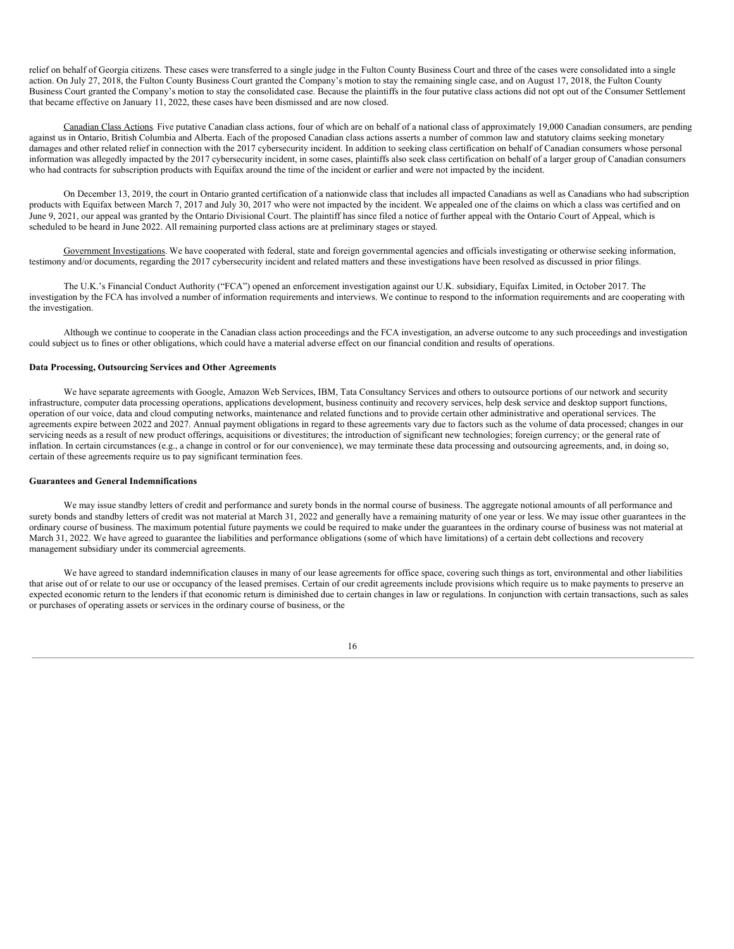relief on behalf of Georgia citizens. These cases were transferred to a single judge in the Fulton County Business Court and three of the cases were consolidated into a single action. On July 27, 2018, the Fulton County Business Court granted the Company's motion to stay the remaining single case, and on August 17, 2018, the Fulton County Business Court granted the Company's motion to stay the consolidated case. Because the plaintiffs in the four putative class actions did not opt out of the Consumer Settlement that became effective on January 11, 2022, these cases have been dismissed and are now closed.

Canadian Class Actions. Five putative Canadian class actions, four of which are on behalf of a national class of approximately 19,000 Canadian consumers, are pending against us in Ontario, British Columbia and Alberta. Each of the proposed Canadian class actions asserts a number of common law and statutory claims seeking monetary damages and other related relief in connection with the 2017 cybersecurity incident. In addition to seeking class certification on behalf of Canadian consumers whose personal information was allegedly impacted by the 2017 cybersecurity incident, in some cases, plaintiffs also seek class certification on behalf of a larger group of Canadian consumers who had contracts for subscription products with Equifax around the time of the incident or earlier and were not impacted by the incident.

On December 13, 2019, the court in Ontario granted certification of a nationwide class that includes all impacted Canadians as well as Canadians who had subscription products with Equifax between March 7, 2017 and July 30, 2017 who were not impacted by the incident. We appealed one of the claims on which a class was certified and on June 9, 2021, our appeal was granted by the Ontario Divisional Court. The plaintiff has since filed a notice of further appeal with the Ontario Court of Appeal, which is scheduled to be heard in June 2022. All remaining purported class actions are at preliminary stages or stayed.

Government Investigations. We have cooperated with federal, state and foreign governmental agencies and officials investigating or otherwise seeking information, testimony and/or documents, regarding the 2017 cybersecurity incident and related matters and these investigations have been resolved as discussed in prior filings.

The U.K.'s Financial Conduct Authority ("FCA") opened an enforcement investigation against our U.K. subsidiary, Equifax Limited, in October 2017. The investigation by the FCA has involved a number of information requirements and interviews. We continue to respond to the information requirements and are cooperating with the investigation.

Although we continue to cooperate in the Canadian class action proceedings and the FCA investigation, an adverse outcome to any such proceedings and investigation could subject us to fines or other obligations, which could have a material adverse effect on our financial condition and results of operations.

#### **Data Processing, Outsourcing Services and Other Agreements**

We have separate agreements with Google, Amazon Web Services, IBM, Tata Consultancy Services and others to outsource portions of our network and security infrastructure, computer data processing operations, applications development, business continuity and recovery services, help desk service and desktop support functions, operation of our voice, data and cloud computing networks, maintenance and related functions and to provide certain other administrative and operational services. The agreements expire between 2022 and 2027. Annual payment obligations in regard to these agreements vary due to factors such as the volume of data processed; changes in our servicing needs as a result of new product offerings, acquisitions or divestitures; the introduction of significant new technologies; foreign currency; or the general rate of inflation. In certain circumstances (e.g., a change in control or for our convenience), we may terminate these data processing and outsourcing agreements, and, in doing so, certain of these agreements require us to pay significant termination fees.

#### **Guarantees and General Indemnifications**

We may issue standby letters of credit and performance and surety bonds in the normal course of business. The aggregate notional amounts of all performance and surety bonds and standby letters of credit was not material at March 31, 2022 and generally have a remaining maturity of one year or less. We may issue other guarantees in the ordinary course of business. The maximum potential future payments we could be required to make under the guarantees in the ordinary course of business was not material at March 31, 2022. We have agreed to guarantee the liabilities and performance obligations (some of which have limitations) of a certain debt collections and recovery management subsidiary under its commercial agreements.

We have agreed to standard indemnification clauses in many of our lease agreements for office space, covering such things as tort, environmental and other liabilities that arise out of or relate to our use or occupancy of the leased premises. Certain of our credit agreements include provisions which require us to make payments to preserve an expected economic return to the lenders if that economic return is diminished due to certain changes in law or regulations. In conjunction with certain transactions, such as sales or purchases of operating assets or services in the ordinary course of business, or the

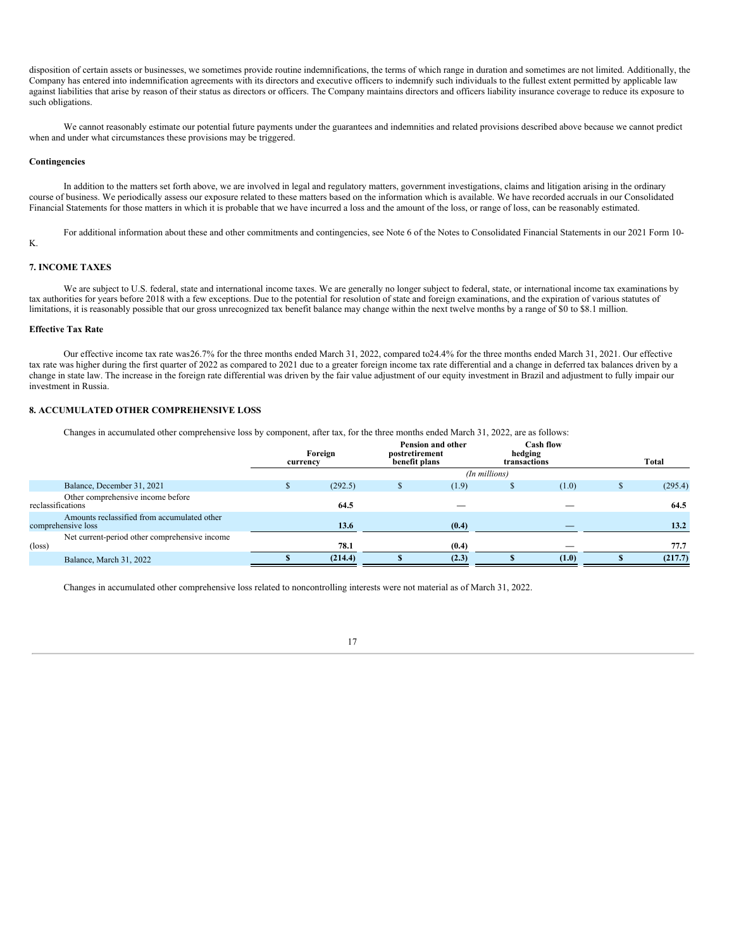disposition of certain assets or businesses, we sometimes provide routine indemnifications, the terms of which range in duration and sometimes are not limited. Additionally, the Company has entered into indemnification agreements with its directors and executive officers to indemnify such individuals to the fullest extent permitted by applicable law against liabilities that arise by reason of their status as directors or officers. The Company maintains directors and officers liability insurance coverage to reduce its exposure to such obligations.

We cannot reasonably estimate our potential future payments under the guarantees and indemnities and related provisions described above because we cannot predict when and under what circumstances these provisions may be triggered.

#### **Contingencies**

In addition to the matters set forth above, we are involved in legal and regulatory matters, government investigations, claims and litigation arising in the ordinary course of business. We periodically assess our exposure related to these matters based on the information which is available. We have recorded accruals in our Consolidated Financial Statements for those matters in which it is probable that we have incurred a loss and the amount of the loss, or range of loss, can be reasonably estimated.

For additional information about these and other commitments and contingencies, see Note 6 of the Notes to Consolidated Financial Statements in our 2021 Form 10-

## K.

# **7. INCOME TAXES**

We are subject to U.S. federal, state and international income taxes. We are generally no longer subject to federal, state, or international income tax examinations by tax authorities for years before 2018 with a few exceptions. Due to the potential for resolution of state and foreign examinations, and the expiration of various statutes of limitations, it is reasonably possible that our gross unrecognized tax benefit balance may change within the next twelve months by a range of \$0 to \$8.1 million.

#### **Effective Tax Rate**

Our effective income tax rate was26.7% for the three months ended March 31, 2022, compared to24.4% for the three months ended March 31, 2021. Our effective tax rate was higher during the first quarter of 2022 as compared to 2021 due to a greater foreign income tax rate differential and a change in deferred tax balances driven by a change in state law. The increase in the foreign rate differential was driven by the fair value adjustment of our equity investment in Brazil and adjustment to fully impair our investment in Russia.

#### **8. ACCUMULATED OTHER COMPREHENSIVE LOSS**

Changes in accumulated other comprehensive loss by component, after tax, for the three months ended March 31, 2022, are as follows:

|                                                                   | Foreign<br>currency |         | Pension and other<br>postretirement<br>benefit plans |               | <b>Cash flow</b><br>hedging<br>transactions | Total |         |
|-------------------------------------------------------------------|---------------------|---------|------------------------------------------------------|---------------|---------------------------------------------|-------|---------|
|                                                                   |                     |         |                                                      | (In millions) |                                             |       |         |
| Balance, December 31, 2021                                        |                     | (292.5) | (1.9)                                                |               | (1.0)                                       |       | (295.4) |
| Other comprehensive income before<br>reclassifications            |                     | 64.5    |                                                      |               |                                             |       | 64.5    |
| Amounts reclassified from accumulated other<br>comprehensive loss |                     | 13.6    | (0.4)                                                |               |                                             |       | 13.2    |
| Net current-period other comprehensive income<br>$(\text{loss})$  |                     | 78.1    | (0.4)                                                |               |                                             |       | 77.7    |
| Balance, March 31, 2022                                           |                     | (214.4) | (2.3)                                                |               | (1.0)                                       |       | (217.7) |
|                                                                   |                     |         |                                                      |               |                                             |       |         |

Changes in accumulated other comprehensive loss related to noncontrolling interests were not material as of March 31, 2022.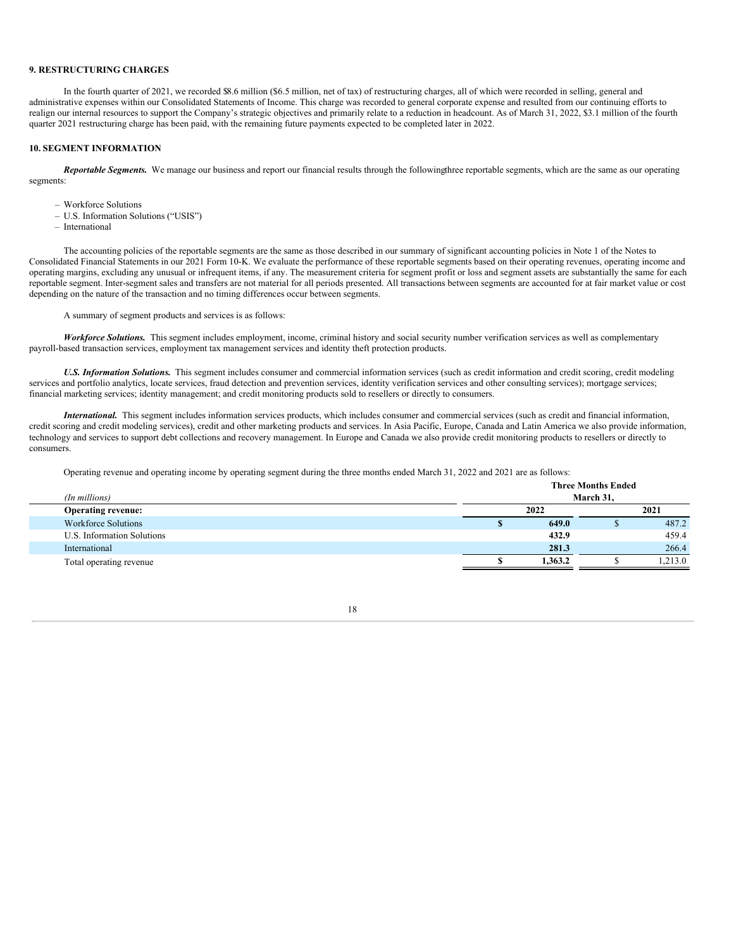#### **9. RESTRUCTURING CHARGES**

In the fourth quarter of 2021, we recorded \$8.6 million (\$6.5 million, net of tax) of restructuring charges, all of which were recorded in selling, general and administrative expenses within our Consolidated Statements of Income. This charge was recorded to general corporate expense and resulted from our continuing efforts to realign our internal resources to support the Company's strategic objectives and primarily relate to a reduction in headcount. As of March 31, 2022, \$3.1 million of the fourth quarter 2021 restructuring charge has been paid, with the remaining future payments expected to be completed later in 2022.

#### **10. SEGMENT INFORMATION**

*Reportable Segments.* We manage our business and report our financial results through the followingthree reportable segments, which are the same as our operating segments:

- Workforce Solutions
- U.S. Information Solutions ("USIS")
- International

The accounting policies of the reportable segments are the same as those described in our summary of significant accounting policies in Note 1 of the Notes to Consolidated Financial Statements in our 2021 Form 10-K. We evaluate the performance of these reportable segments based on their operating revenues, operating income and operating margins, excluding any unusual or infrequent items, if any. The measurement criteria for segment profit or loss and segment assets are substantially the same for each reportable segment. Inter-segment sales and transfers are not material for all periods presented. All transactions between segments are accounted for at fair market value or cost depending on the nature of the transaction and no timing differences occur between segments.

A summary of segment products and services is as follows:

*Workforce Solutions.* This segment includes employment, income, criminal history and social security number verification services as well as complementary payroll-based transaction services, employment tax management services and identity theft protection products.

*U.S. Information Solutions.* This segment includes consumer and commercial information services (such as credit information and credit scoring, credit modeling services and portfolio analytics, locate services, fraud detection and prevention services, identity verification services and other consulting services); mortgage services; financial marketing services; identity management; and credit monitoring products sold to resellers or directly to consumers.

*International.* This segment includes information services products, which includes consumer and commercial services (such as credit and financial information, credit scoring and credit modeling services), credit and other marketing products and services. In Asia Pacific, Europe, Canada and Latin America we also provide information, technology and services to support debt collections and recovery management. In Europe and Canada we also provide credit monitoring products to resellers or directly to consumers.

Operating revenue and operating income by operating segment during the three months ended March 31, 2022 and 2021 are as follows:

|                            | <b>Three Months Ended</b> |         |  |         |  |
|----------------------------|---------------------------|---------|--|---------|--|
| (In millions)              | March 31,                 |         |  |         |  |
| <b>Operating revenue:</b>  |                           | 2022    |  | 2021    |  |
| <b>Workforce Solutions</b> |                           | 649.0   |  | 487.2   |  |
| U.S. Information Solutions |                           | 432.9   |  | 459.4   |  |
| International              |                           | 281.3   |  | 266.4   |  |
| Total operating revenue    |                           | 1,363.2 |  | 1,213.0 |  |
|                            |                           |         |  |         |  |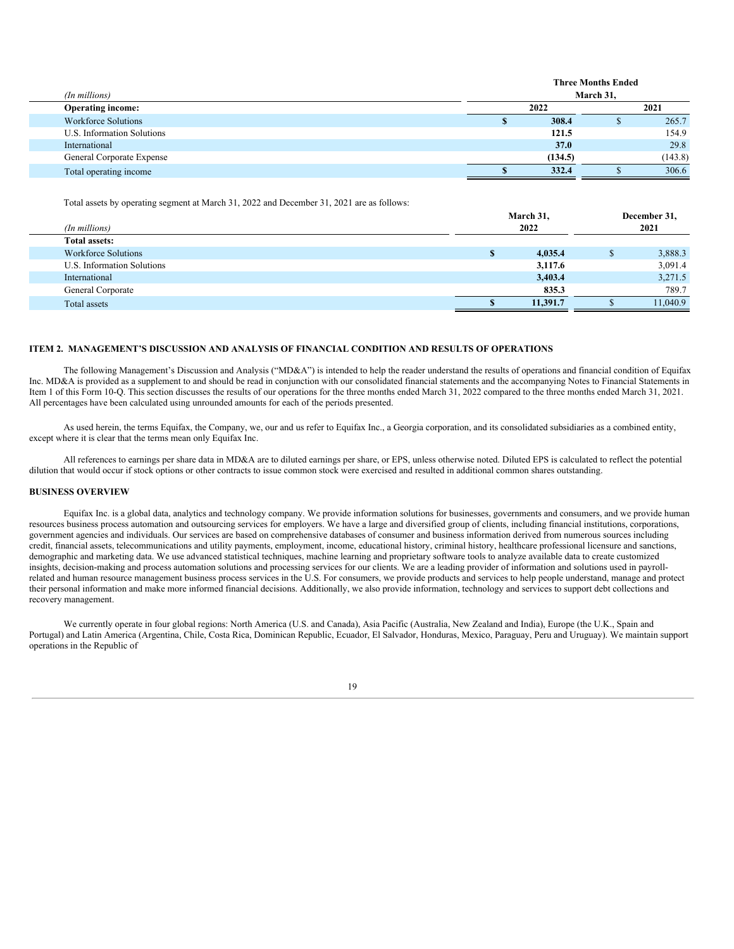|                            |   | <b>Three Months Ended</b> |           |         |  |  |  |  |
|----------------------------|---|---------------------------|-----------|---------|--|--|--|--|
| (In millions)              |   |                           | March 31, |         |  |  |  |  |
| <b>Operating income:</b>   |   | 2022                      |           | 2021    |  |  |  |  |
| <b>Workforce Solutions</b> | æ | 308.4                     |           | 265.7   |  |  |  |  |
| U.S. Information Solutions |   | 121.5                     |           | 154.9   |  |  |  |  |
| International              |   | 37.0                      |           | 29.8    |  |  |  |  |
| General Corporate Expense  |   | (134.5)                   |           | (143.8) |  |  |  |  |
| Total operating income     |   | 332.4                     |           | 306.6   |  |  |  |  |

Total assets by operating segment at March 31, 2022 and December 31, 2021 are as follows:

| (In millions)              | March 31,<br>2022 |          |   | December 31,<br>2021 |
|----------------------------|-------------------|----------|---|----------------------|
| <b>Total assets:</b>       |                   |          |   |                      |
| <b>Workforce Solutions</b> | S                 | 4,035.4  | D | 3,888.3              |
| U.S. Information Solutions |                   | 3,117.6  |   | 3,091.4              |
| International              |                   | 3,403.4  |   | 3,271.5              |
| General Corporate          |                   | 835.3    |   | 789.7                |
| Total assets               |                   | 11.391.7 |   | 11,040.9             |

## <span id="page-18-0"></span>**ITEM 2. MANAGEMENT'S DISCUSSION AND ANALYSIS OF FINANCIAL CONDITION AND RESULTS OF OPERATIONS**

The following Management's Discussion and Analysis ("MD&A") is intended to help the reader understand the results of operations and financial condition of Equifax Inc. MD&A is provided as a supplement to and should be read in conjunction with our consolidated financial statements and the accompanying Notes to Financial Statements in Item 1 of this Form 10-Q. This section discusses the results of our operations for the three months ended March 31, 2022 compared to the three months ended March 31, 2021. All percentages have been calculated using unrounded amounts for each of the periods presented.

As used herein, the terms Equifax, the Company, we, our and us refer to Equifax Inc., a Georgia corporation, and its consolidated subsidiaries as a combined entity, except where it is clear that the terms mean only Equifax Inc.

All references to earnings per share data in MD&A are to diluted earnings per share, or EPS, unless otherwise noted. Diluted EPS is calculated to reflect the potential dilution that would occur if stock options or other contracts to issue common stock were exercised and resulted in additional common shares outstanding.

## **BUSINESS OVERVIEW**

Equifax Inc. is a global data, analytics and technology company. We provide information solutions for businesses, governments and consumers, and we provide human resources business process automation and outsourcing services for employers. We have a large and diversified group of clients, including financial institutions, corporations, government agencies and individuals. Our services are based on comprehensive databases of consumer and business information derived from numerous sources including credit, financial assets, telecommunications and utility payments, employment, income, educational history, criminal history, healthcare professional licensure and sanctions, demographic and marketing data. We use advanced statistical techniques, machine learning and proprietary software tools to analyze available data to create customized insights, decision-making and process automation solutions and processing services for our clients. We are a leading provider of information and solutions used in payrollrelated and human resource management business process services in the U.S. For consumers, we provide products and services to help people understand, manage and protect their personal information and make more informed financial decisions. Additionally, we also provide information, technology and services to support debt collections and recovery management.

We currently operate in four global regions: North America (U.S. and Canada), Asia Pacific (Australia, New Zealand and India), Europe (the U.K., Spain and Portugal) and Latin America (Argentina, Chile, Costa Rica, Dominican Republic, Ecuador, El Salvador, Honduras, Mexico, Paraguay, Peru and Uruguay). We maintain support operations in the Republic of

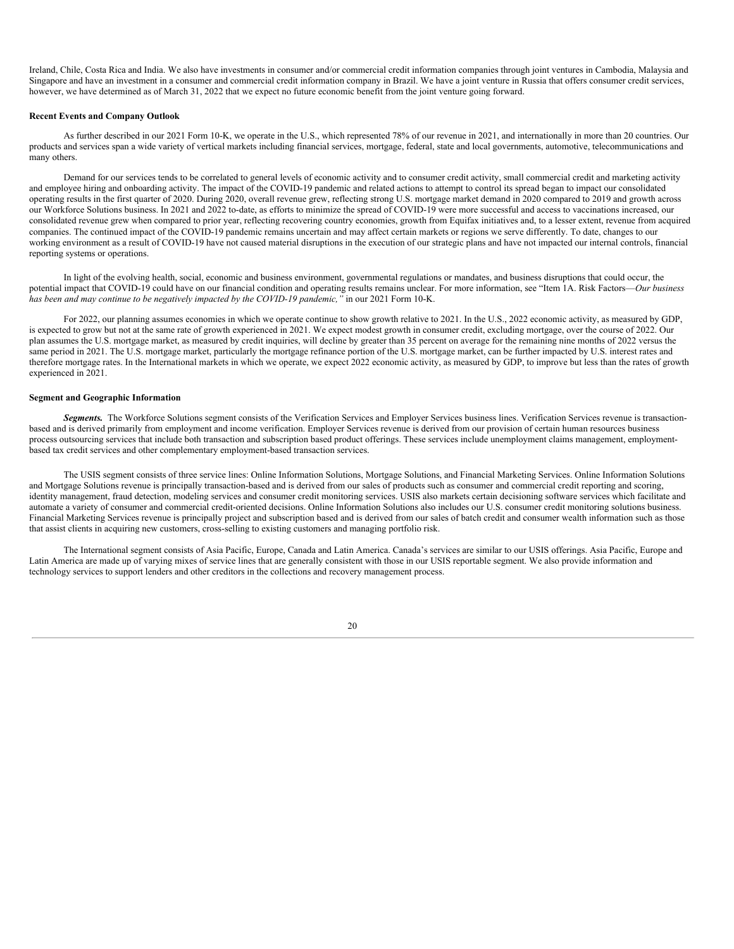Ireland, Chile, Costa Rica and India. We also have investments in consumer and/or commercial credit information companies through joint ventures in Cambodia, Malaysia and Singapore and have an investment in a consumer and commercial credit information company in Brazil. We have a joint venture in Russia that offers consumer credit services, however, we have determined as of March 31, 2022 that we expect no future economic benefit from the joint venture going forward.

#### **Recent Events and Company Outlook**

As further described in our 2021 Form 10-K, we operate in the U.S., which represented 78% of our revenue in 2021, and internationally in more than 20 countries. Our products and services span a wide variety of vertical markets including financial services, mortgage, federal, state and local governments, automotive, telecommunications and many others.

Demand for our services tends to be correlated to general levels of economic activity and to consumer credit activity, small commercial credit and marketing activity and employee hiring and onboarding activity. The impact of the COVID-19 pandemic and related actions to attempt to control its spread began to impact our consolidated operating results in the first quarter of 2020. During 2020, overall revenue grew, reflecting strong U.S. mortgage market demand in 2020 compared to 2019 and growth across our Workforce Solutions business. In 2021 and 2022 to-date, as efforts to minimize the spread of COVID-19 were more successful and access to vaccinations increased, our consolidated revenue grew when compared to prior year, reflecting recovering country economies, growth from Equifax initiatives and, to a lesser extent, revenue from acquired companies. The continued impact of the COVID-19 pandemic remains uncertain and may affect certain markets or regions we serve differently. To date, changes to our working environment as a result of COVID-19 have not caused material disruptions in the execution of our strategic plans and have not impacted our internal controls, financial reporting systems or operations.

In light of the evolving health, social, economic and business environment, governmental regulations or mandates, and business disruptions that could occur, the potential impact that COVID-19 could have on our financial condition and operating results remains unclear. For more information, see "Item 1A. Risk Factors—*Our business has been and may continue to be negatively impacted by the COVID-19 pandemic,"* in our 2021 Form 10-K.

For 2022, our planning assumes economies in which we operate continue to show growth relative to 2021. In the U.S., 2022 economic activity, as measured by GDP, is expected to grow but not at the same rate of growth experienced in 2021. We expect modest growth in consumer credit, excluding mortgage, over the course of 2022. Our plan assumes the U.S. mortgage market, as measured by credit inquiries, will decline by greater than 35 percent on average for the remaining nine months of 2022 versus the same period in 2021. The U.S. mortgage market, particularly the mortgage refinance portion of the U.S. mortgage market, can be further impacted by U.S. interest rates and therefore mortgage rates. In the International markets in which we operate, we expect 2022 economic activity, as measured by GDP, to improve but less than the rates of growth experienced in 2021.

#### **Segment and Geographic Information**

*Segments.* The Workforce Solutions segment consists of the Verification Services and Employer Services business lines. Verification Services revenue is transactionbased and is derived primarily from employment and income verification. Employer Services revenue is derived from our provision of certain human resources business process outsourcing services that include both transaction and subscription based product offerings. These services include unemployment claims management, employmentbased tax credit services and other complementary employment-based transaction services.

The USIS segment consists of three service lines: Online Information Solutions, Mortgage Solutions, and Financial Marketing Services. Online Information Solutions and Mortgage Solutions revenue is principally transaction-based and is derived from our sales of products such as consumer and commercial credit reporting and scoring, identity management, fraud detection, modeling services and consumer credit monitoring services. USIS also markets certain decisioning software services which facilitate and automate a variety of consumer and commercial credit-oriented decisions. Online Information Solutions also includes our U.S. consumer credit monitoring solutions business. Financial Marketing Services revenue is principally project and subscription based and is derived from our sales of batch credit and consumer wealth information such as those that assist clients in acquiring new customers, cross-selling to existing customers and managing portfolio risk.

The International segment consists of Asia Pacific, Europe, Canada and Latin America. Canada's services are similar to our USIS offerings. Asia Pacific, Europe and Latin America are made up of varying mixes of service lines that are generally consistent with those in our USIS reportable segment. We also provide information and technology services to support lenders and other creditors in the collections and recovery management process.

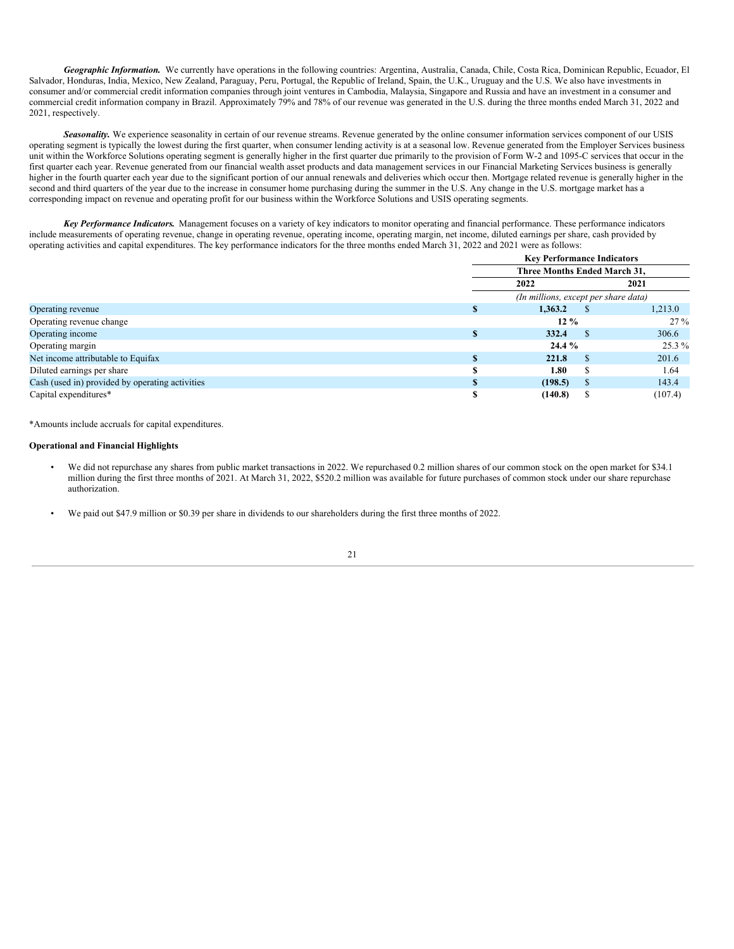*Geographic Information.* We currently have operations in the following countries: Argentina, Australia, Canada, Chile, Costa Rica, Dominican Republic, Ecuador, El Salvador, Honduras, India, Mexico, New Zealand, Paraguay, Peru, Portugal, the Republic of Ireland, Spain, the U.K., Uruguay and the U.S. We also have investments in consumer and/or commercial credit information companies through joint ventures in Cambodia, Malaysia, Singapore and Russia and have an investment in a consumer and commercial credit information company in Brazil. Approximately 79% and 78% of our revenue was generated in the U.S. during the three months ended March 31, 2022 and 2021, respectively.

*Seasonality.* We experience seasonality in certain of our revenue streams. Revenue generated by the online consumer information services component of our USIS operating segment is typically the lowest during the first quarter, when consumer lending activity is at a seasonal low. Revenue generated from the Employer Services business unit within the Workforce Solutions operating segment is generally higher in the first quarter due primarily to the provision of Form W-2 and 1095-C services that occur in the first quarter each year. Revenue generated from our financial wealth asset products and data management services in our Financial Marketing Services business is generally higher in the fourth quarter each year due to the significant portion of our annual renewals and deliveries which occur then. Mortgage related revenue is generally higher in the second and third quarters of the year due to the increase in consumer home purchasing during the summer in the U.S. Any change in the U.S. mortgage market has a corresponding impact on revenue and operating profit for our business within the Workforce Solutions and USIS operating segments.

*Key Performance Indicators.* Management focuses on a variety of key indicators to monitor operating and financial performance. These performance indicators include measurements of operating revenue, change in operating revenue, operating income, operating margin, net income, diluted earnings per share, cash provided by operating activities and capital expenditures. The key performance indicators for the three months ended March 31, 2022 and 2021 were as follows:

|                                                 |   |                                      | <b>Key Performance Indicators</b> |          |  |  |  |
|-------------------------------------------------|---|--------------------------------------|-----------------------------------|----------|--|--|--|
|                                                 |   | Three Months Ended March 31,         |                                   |          |  |  |  |
|                                                 |   | 2022                                 |                                   | 2021     |  |  |  |
|                                                 |   | (In millions, except per share data) |                                   |          |  |  |  |
| Operating revenue                               |   | 1,363.2                              |                                   | 1,213.0  |  |  |  |
| Operating revenue change                        |   | $12\%$                               |                                   | $27\%$   |  |  |  |
| Operating income                                |   | 332.4                                |                                   | 306.6    |  |  |  |
| Operating margin                                |   | $24.4\%$                             |                                   | $25.3\%$ |  |  |  |
| Net income attributable to Equifax              |   | 221.8                                |                                   | 201.6    |  |  |  |
| Diluted earnings per share                      |   | 1.80                                 |                                   | 1.64     |  |  |  |
| Cash (used in) provided by operating activities |   | (198.5)                              | <sup>8</sup>                      | 143.4    |  |  |  |
| Capital expenditures*                           | ¢ | (140.8)                              |                                   | (107.4)  |  |  |  |

\*Amounts include accruals for capital expenditures.

## **Operational and Financial Highlights**

- We did not repurchase any shares from public market transactions in 2022. We repurchased 0.2 million shares of our common stock on the open market for \$34.1 million during the first three months of 2021. At March 31, 2022, \$520.2 million was available for future purchases of common stock under our share repurchase authorization.
- We paid out \$47.9 million or \$0.39 per share in dividends to our shareholders during the first three months of 2022.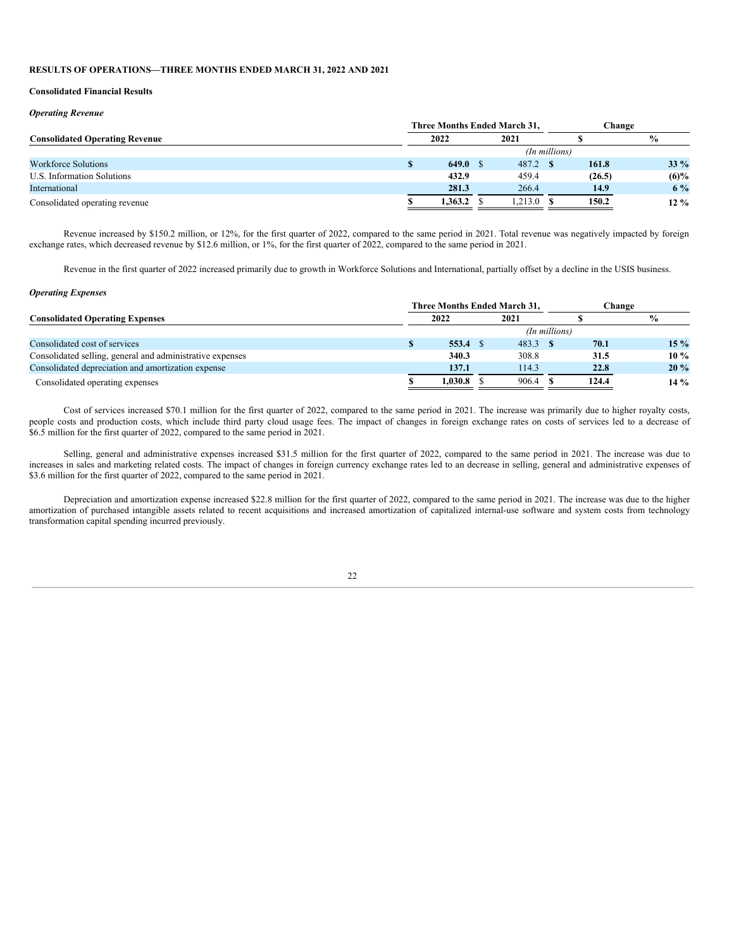#### **RESULTS OF OPERATIONS—THREE MONTHS ENDED MARCH 31, 2022 AND 2021**

#### **Consolidated Financial Results**

#### *Operating Revenue*

|                                       | Three Months Ended March 31. |  |          |               | Change |               |  |
|---------------------------------------|------------------------------|--|----------|---------------|--------|---------------|--|
| <b>Consolidated Operating Revenue</b> | 2022                         |  | 2021     |               |        | $\frac{0}{0}$ |  |
|                                       |                              |  |          | (In millions) |        |               |  |
| <b>Workforce Solutions</b>            | 649.0 S                      |  | 487.2 \$ |               | 161.8  | $33\%$        |  |
| U.S. Information Solutions            | 432.9                        |  | 459.4    |               | (26.5) | $(6)\%$       |  |
| International                         | 281.3                        |  | 266.4    |               | 14.9   | $6\%$         |  |
| Consolidated operating revenue        | 1.363.2                      |  | 1,213.0  |               | 150.2  | $12\%$        |  |

Revenue increased by \$150.2 million, or 12%, for the first quarter of 2022, compared to the same period in 2021. Total revenue was negatively impacted by foreign exchange rates, which decreased revenue by \$12.6 million, or 1%, for the first quarter of 2022, compared to the same period in 2021.

Revenue in the first quarter of 2022 increased primarily due to growth in Workforce Solutions and International, partially offset by a decline in the USIS business.

#### *Operating Expenses*

|                                                           | <b>Three Months Ended March 31.</b> |  |          |               | Change |               |  |
|-----------------------------------------------------------|-------------------------------------|--|----------|---------------|--------|---------------|--|
| <b>Consolidated Operating Expenses</b>                    | 2022                                |  | 2021     |               |        | $\frac{0}{0}$ |  |
|                                                           |                                     |  |          | (In millions) |        |               |  |
| Consolidated cost of services                             | 553.4 \$                            |  | 483.3 \$ |               | 70.1   | $15\%$        |  |
| Consolidated selling, general and administrative expenses | 340.3                               |  | 308.8    |               | 31.5   | $10\%$        |  |
| Consolidated depreciation and amortization expense        | 137.1                               |  | 114.3    |               | 22.8   | 20%           |  |
| Consolidated operating expenses                           | 1,030.8                             |  | 906.4    |               | 124.4  | $14\%$        |  |

Cost of services increased \$70.1 million for the first quarter of 2022, compared to the same period in 2021. The increase was primarily due to higher royalty costs, people costs and production costs, which include third party cloud usage fees. The impact of changes in foreign exchange rates on costs of services led to a decrease of \$6.5 million for the first quarter of 2022, compared to the same period in 2021.

Selling, general and administrative expenses increased \$31.5 million for the first quarter of 2022, compared to the same period in 2021. The increase was due to increases in sales and marketing related costs. The impact of changes in foreign currency exchange rates led to an decrease in selling, general and administrative expenses of \$3.6 million for the first quarter of 2022, compared to the same period in 2021.

Depreciation and amortization expense increased \$22.8 million for the first quarter of 2022, compared to the same period in 2021. The increase was due to the higher amortization of purchased intangible assets related to recent acquisitions and increased amortization of capitalized internal-use software and system costs from technology transformation capital spending incurred previously.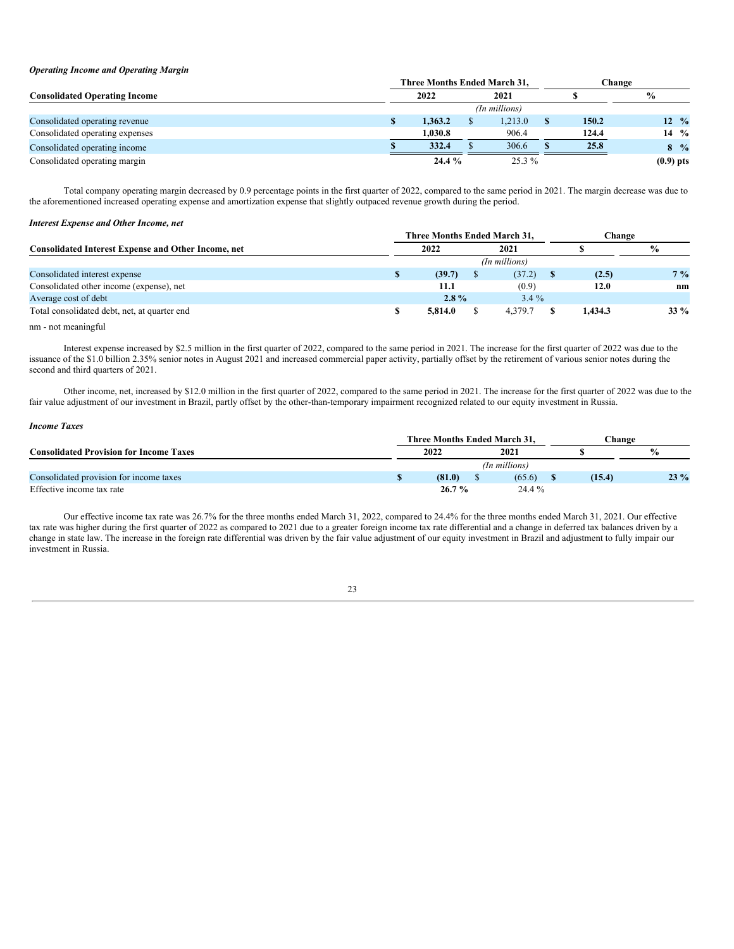#### *Operating Income and Operating Margin*

|                                      | Three Months Ended March 31. |  |               | Change |       |      |                  |  |
|--------------------------------------|------------------------------|--|---------------|--------|-------|------|------------------|--|
| <b>Consolidated Operating Income</b> | 2022                         |  | 2021          |        |       | $\%$ |                  |  |
|                                      |                              |  | (In millions) |        |       |      |                  |  |
| Consolidated operating revenue       | 1.363.2                      |  | 1.213.0       | S      | 150.2 |      | $12 \frac{9}{6}$ |  |
| Consolidated operating expenses      | 1.030.8                      |  | 906.4         |        | 124.4 |      | $14 \frac{9}{6}$ |  |
| Consolidated operating income        | 332.4                        |  | 306.6         |        | 25.8  |      | $8 \frac{9}{6}$  |  |
| Consolidated operating margin        | $24.4 \%$                    |  | $25.3\%$      |        |       |      | $(0.9)$ pts      |  |

Total company operating margin decreased by 0.9 percentage points in the first quarter of 2022, compared to the same period in 2021. The margin decrease was due to the aforementioned increased operating expense and amortization expense that slightly outpaced revenue growth during the period.

#### *Interest Expense and Other Income, net*

|                                                            | Three Months Ended March 31, |         |  |               | Change  |               |  |
|------------------------------------------------------------|------------------------------|---------|--|---------------|---------|---------------|--|
| <b>Consolidated Interest Expense and Other Income, net</b> |                              | 2022    |  | 2021          |         | $\frac{6}{9}$ |  |
|                                                            |                              |         |  | (In millions) |         |               |  |
| Consolidated interest expense                              |                              | (39.7)  |  | (37.2)        | (2.5)   | $7\%$         |  |
| Consolidated other income (expense), net                   |                              | 11.1    |  | (0.9)         | 12.0    | nm            |  |
| Average cost of debt                                       |                              | $2.8\%$ |  | $3.4\%$       |         |               |  |
| Total consolidated debt, net, at quarter end               |                              | 5.814.0 |  | 4.379.7       | 1.434.3 | $33\%$        |  |

nm - not meaningful

Interest expense increased by \$2.5 million in the first quarter of 2022, compared to the same period in 2021. The increase for the first quarter of 2022 was due to the issuance of the \$1.0 billion 2.35% senior notes in August 2021 and increased commercial paper activity, partially offset by the retirement of various senior notes during the second and third quarters of 2021.

Other income, net, increased by \$12.0 million in the first quarter of 2022, compared to the same period in 2021. The increase for the first quarter of 2022 was due to the fair value adjustment of our investment in Brazil, partly offset by the other-than-temporary impairment recognized related to our equity investment in Russia.

## *Income Taxes*

|                                                | Three Months Ended March 31. |  |               |  |        | <b>Change</b>  |
|------------------------------------------------|------------------------------|--|---------------|--|--------|----------------|
| <b>Consolidated Provision for Income Taxes</b> | 2022                         |  | 2021          |  |        | $\frac{6}{10}$ |
|                                                |                              |  | (In millions) |  |        |                |
| Consolidated provision for income taxes        | (81.0)                       |  | (65.6)        |  | (15.4) | $23\%$         |
| Effective income tax rate                      | $26.7\%$                     |  | 24.4 %        |  |        |                |

Our effective income tax rate was 26.7% for the three months ended March 31, 2022, compared to 24.4% for the three months ended March 31, 2021. Our effective tax rate was higher during the first quarter of 2022 as compared to 2021 due to a greater foreign income tax rate differential and a change in deferred tax balances driven by a change in state law. The increase in the foreign rate differential was driven by the fair value adjustment of our equity investment in Brazil and adjustment to fully impair our investment in Russia.

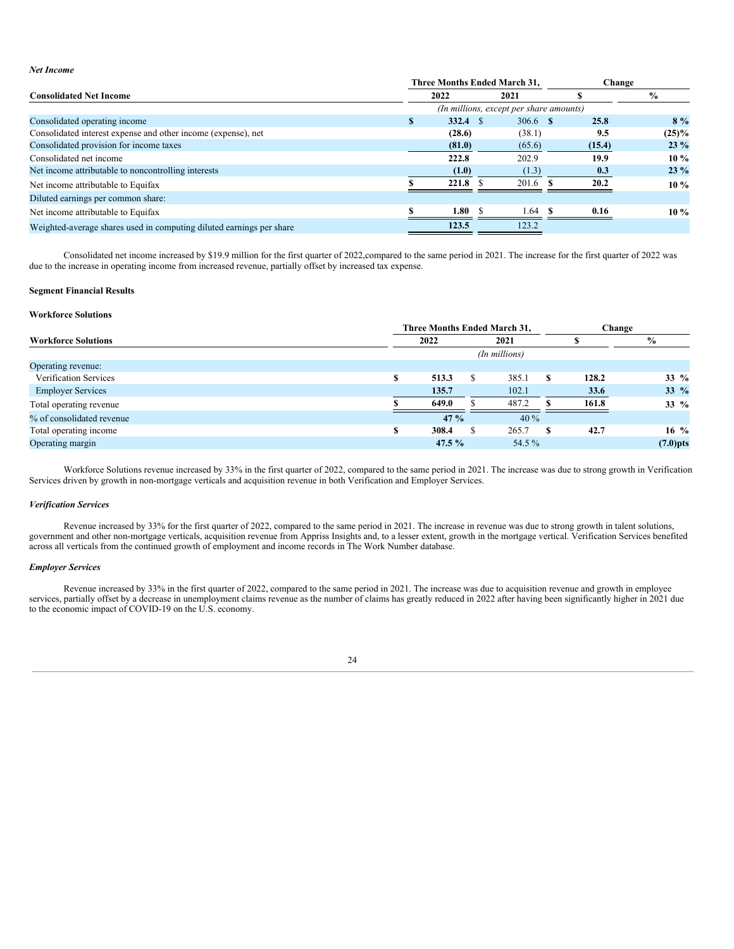*Net Income*

|                                                                      | Three Months Ended March 31, |            |  |                                         | Change |               |
|----------------------------------------------------------------------|------------------------------|------------|--|-----------------------------------------|--------|---------------|
| <b>Consolidated Net Income</b>                                       |                              | 2022       |  | 2021                                    |        | $\frac{0}{0}$ |
|                                                                      |                              |            |  | (In millions, except per share amounts) |        |               |
| Consolidated operating income                                        | S                            | $332.4$ \$ |  | $306.6$ \$                              | 25.8   | $8\%$         |
| Consolidated interest expense and other income (expense), net        |                              | (28.6)     |  | (38.1)                                  | 9.5    | $(25)\%$      |
| Consolidated provision for income taxes                              |                              | (81.0)     |  | (65.6)                                  | (15.4) | $23\%$        |
| Consolidated net income                                              |                              | 222.8      |  | 202.9                                   | 19.9   | $10\%$        |
| Net income attributable to noncontrolling interests                  |                              | (1.0)      |  | (1.3)                                   | 0.3    | $23\%$        |
| Net income attributable to Equifax                                   |                              | 221.8      |  | 201.6                                   | 20.2   | $10\%$        |
| Diluted earnings per common share:                                   |                              |            |  |                                         |        |               |
| Net income attributable to Equifax                                   |                              | 1.80       |  | 1.64                                    | 0.16   | $10\%$        |
| Weighted-average shares used in computing diluted earnings per share |                              | 123.5      |  | 123.2                                   |        |               |

Consolidated net income increased by \$19.9 million for the first quarter of 2022,compared to the same period in 2021. The increase for the first quarter of 2022 was due to the increase in operating income from increased revenue, partially offset by increased tax expense.

#### **Segment Financial Results**

#### **Workforce Solutions**

|                              |   | Three Months Ended March 31, |   | Change        |    |       |                  |  |
|------------------------------|---|------------------------------|---|---------------|----|-------|------------------|--|
| <b>Workforce Solutions</b>   |   | 2022                         |   | 2021          |    |       | $\frac{6}{9}$    |  |
|                              |   |                              |   | (In millions) |    |       |                  |  |
| Operating revenue:           |   |                              |   |               |    |       |                  |  |
| <b>Verification Services</b> |   | 513.3                        |   | 385.1         | S  | 128.2 | $33\%$           |  |
| <b>Employer Services</b>     |   | 135.7                        |   | 102.1         |    | 33.6  | 33 $\frac{9}{6}$ |  |
| Total operating revenue      |   | 649.0                        |   | 487.2         |    | 161.8 | 33 $\%$          |  |
| % of consolidated revenue    |   | $47\%$                       |   | 40%           |    |       |                  |  |
| Total operating income       | e | 308.4                        | S | 265.7         | -S | 42.7  | $16\%$           |  |
| Operating margin             |   | $47.5\%$                     |   | 54.5 %        |    |       | $(7.0)$ pts      |  |

Workforce Solutions revenue increased by 33% in the first quarter of 2022, compared to the same period in 2021. The increase was due to strong growth in Verification Services driven by growth in non-mortgage verticals and acquisition revenue in both Verification and Employer Services.

#### *Verification Services*

Revenue increased by 33% for the first quarter of 2022, compared to the same period in 2021. The increase in revenue was due to strong growth in talent solutions, government and other non-mortgage verticals, acquisition revenue from Appriss Insights and, to a lesser extent, growth in the mortgage vertical. Verification Services benefited across all verticals from the continued growth of employment and income records in The Work Number database.

#### *Employer Services*

Revenue increased by 33% in the first quarter of 2022, compared to the same period in 2021. The increase was due to acquisition revenue and growth in employee services, partially offset by a decrease in unemployment claims revenue as the number of claims has greatly reduced in 2022 after having been significantly higher in 2021 due to the economic impact of COVID-19 on the U.S. economy.

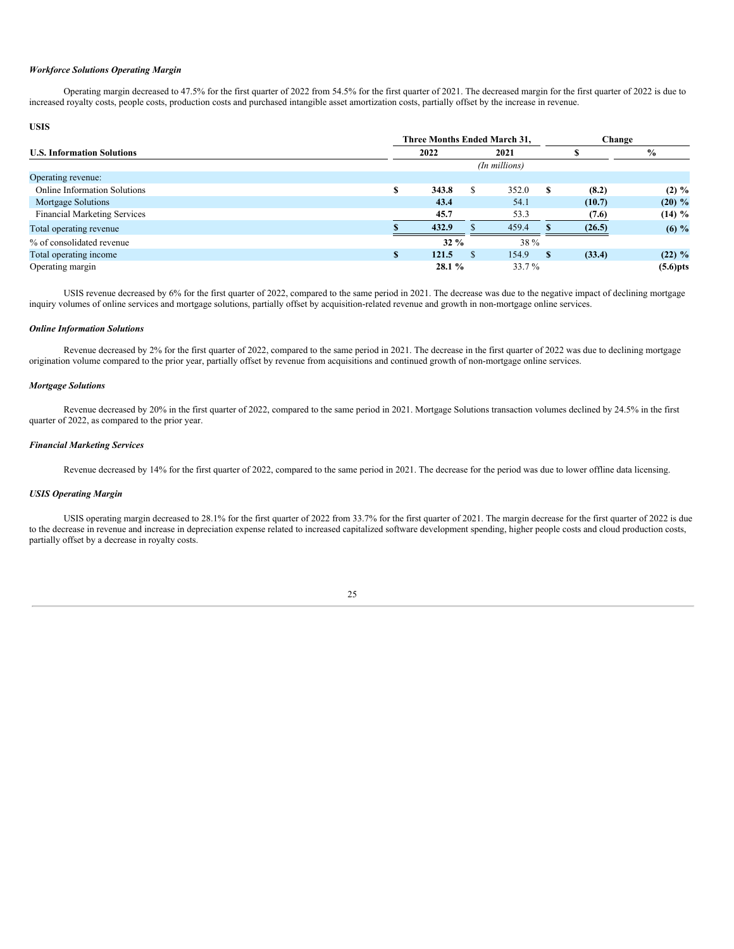#### *Workforce Solutions Operating Margin*

Operating margin decreased to 47.5% for the first quarter of 2022 from 54.5% for the first quarter of 2021. The decreased margin for the first quarter of 2022 is due to increased royalty costs, people costs, production costs and purchased intangible asset amortization costs, partially offset by the increase in revenue.

| I<br>I<br>۰.<br>×<br>.,<br>٧<br>۰. | ۰. |
|------------------------------------|----|

|                                     |          | Three Months Ended March 31, |          |               |    |        | Change        |  |
|-------------------------------------|----------|------------------------------|----------|---------------|----|--------|---------------|--|
| <b>U.S. Information Solutions</b>   |          | 2022                         |          | 2021          |    |        | $\frac{0}{0}$ |  |
|                                     |          |                              |          | (In millions) |    |        |               |  |
| Operating revenue:                  |          |                              |          |               |    |        |               |  |
| <b>Online Information Solutions</b> | œ        | 343.8                        | S        | 352.0         | S  | (8.2)  | $(2) \%$      |  |
| Mortgage Solutions                  |          | 43.4                         |          | 54.1          |    | (10.7) | $(20) \%$     |  |
| <b>Financial Marketing Services</b> |          | 45.7                         |          | 53.3          |    | (7.6)  | $(14) \%$     |  |
| Total operating revenue             |          | 432.9                        |          | 459.4         |    | (26.5) | $(6) \%$      |  |
| % of consolidated revenue           |          | $32\%$                       |          | 38 %          |    |        |               |  |
| Total operating income              | <b>S</b> | 121.5                        | <b>S</b> | 154.9         | -S | (33.4) | $(22) \%$     |  |
| Operating margin                    |          | 28.1 %                       |          | 33.7 %        |    |        | $(5.6)$ pts   |  |

USIS revenue decreased by 6% for the first quarter of 2022, compared to the same period in 2021. The decrease was due to the negative impact of declining mortgage inquiry volumes of online services and mortgage solutions, partially offset by acquisition-related revenue and growth in non-mortgage online services.

#### *Online Information Solutions*

Revenue decreased by 2% for the first quarter of 2022, compared to the same period in 2021. The decrease in the first quarter of 2022 was due to declining mortgage origination volume compared to the prior year, partially offset by revenue from acquisitions and continued growth of non-mortgage online services.

#### *Mortgage Solutions*

Revenue decreased by 20% in the first quarter of 2022, compared to the same period in 2021. Mortgage Solutions transaction volumes declined by 24.5% in the first quarter of 2022, as compared to the prior year.

#### *Financial Marketing Services*

Revenue decreased by 14% for the first quarter of 2022, compared to the same period in 2021. The decrease for the period was due to lower offline data licensing.

## *USIS Operating Margin*

USIS operating margin decreased to 28.1% for the first quarter of 2022 from 33.7% for the first quarter of 2021. The margin decrease for the first quarter of 2022 is due to the decrease in revenue and increase in depreciation expense related to increased capitalized software development spending, higher people costs and cloud production costs, partially offset by a decrease in royalty costs.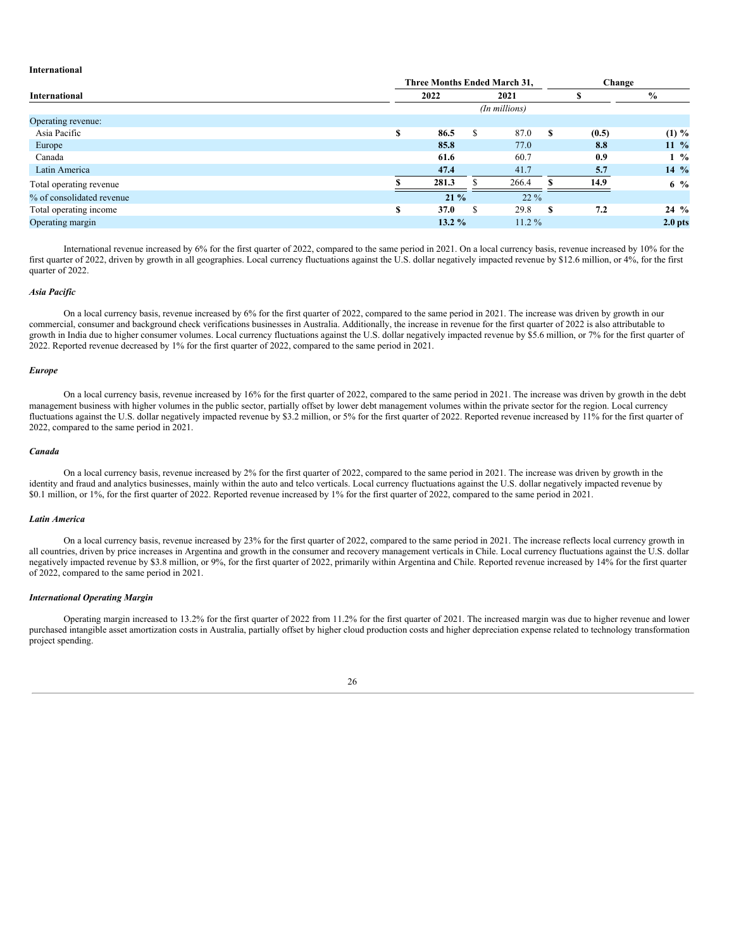#### **International**

|                           |   | Three Months Ended March 31, |     | Change        |    |       |                    |
|---------------------------|---|------------------------------|-----|---------------|----|-------|--------------------|
| <b>International</b>      |   | 2022                         |     | 2021          |    |       | $\frac{6}{9}$      |
|                           |   |                              |     | (In millions) |    |       |                    |
| Operating revenue:        |   |                              |     |               |    |       |                    |
| Asia Pacific              | S | 86.5                         | S   | 87.0          | S  | (0.5) | $(1) \%$           |
| Europe                    |   | 85.8                         |     | 77.0          |    | 8.8   | $11 \frac{9}{6}$   |
| Canada                    |   | 61.6                         |     | 60.7          |    | 0.9   | $1\frac{9}{6}$     |
| Latin America             |   | 47.4                         |     | 41.7          |    | 5.7   | $14\frac{9}{6}$    |
| Total operating revenue   |   | 281.3                        |     | 266.4         |    | 14.9  | 6 %                |
| % of consolidated revenue |   | $21\%$                       |     | $22\%$        |    |       |                    |
| Total operating income    | S | <b>37.0</b>                  | \$. | 29.8          | -8 | 7.2   | $24\%$             |
| Operating margin          |   | $13.2\%$                     |     | $11.2\%$      |    |       | 2.0 <sub>pts</sub> |

International revenue increased by 6% for the first quarter of 2022, compared to the same period in 2021. On a local currency basis, revenue increased by 10% for the first quarter of 2022, driven by growth in all geographies. Local currency fluctuations against the U.S. dollar negatively impacted revenue by \$12.6 million, or 4%, for the first quarter of 2022.

#### *Asia Pacific*

On a local currency basis, revenue increased by 6% for the first quarter of 2022, compared to the same period in 2021. The increase was driven by growth in our commercial, consumer and background check verifications businesses in Australia. Additionally, the increase in revenue for the first quarter of 2022 is also attributable to growth in India due to higher consumer volumes. Local currency fluctuations against the U.S. dollar negatively impacted revenue by \$5.6 million, or 7% for the first quarter of 2022. Reported revenue decreased by 1% for the first quarter of 2022, compared to the same period in 2021.

#### *Europe*

On a local currency basis, revenue increased by 16% for the first quarter of 2022, compared to the same period in 2021. The increase was driven by growth in the debt management business with higher volumes in the public sector, partially offset by lower debt management volumes within the private sector for the region. Local currency fluctuations against the U.S. dollar negatively impacted revenue by \$3.2 million, or 5% for the first quarter of 2022. Reported revenue increased by 11% for the first quarter of 2022, compared to the same period in 2021.

#### *Canada*

On a local currency basis, revenue increased by 2% for the first quarter of 2022, compared to the same period in 2021. The increase was driven by growth in the identity and fraud and analytics businesses, mainly within the auto and telco verticals. Local currency fluctuations against the U.S. dollar negatively impacted revenue by \$0.1 million, or 1%, for the first quarter of 2022. Reported revenue increased by 1% for the first quarter of 2022, compared to the same period in 2021.

#### *Latin America*

On a local currency basis, revenue increased by 23% for the first quarter of 2022, compared to the same period in 2021. The increase reflects local currency growth in all countries, driven by price increases in Argentina and growth in the consumer and recovery management verticals in Chile. Local currency fluctuations against the U.S. dollar negatively impacted revenue by \$3.8 million, or 9%, for the first quarter of 2022, primarily within Argentina and Chile. Reported revenue increased by 14% for the first quarter of 2022, compared to the same period in 2021.

#### *International Operating Margin*

Operating margin increased to 13.2% for the first quarter of 2022 from 11.2% for the first quarter of 2021. The increased margin was due to higher revenue and lower purchased intangible asset amortization costs in Australia, partially offset by higher cloud production costs and higher depreciation expense related to technology transformation project spending.

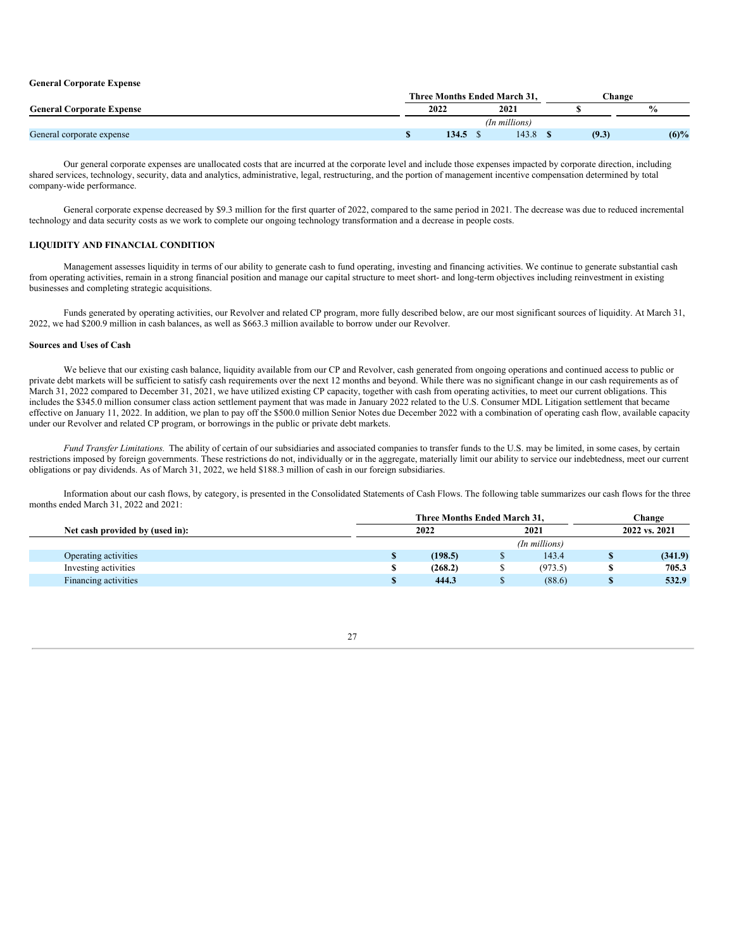|  | <b>General Corporate Expense</b> |  |
|--|----------------------------------|--|
|--|----------------------------------|--|

|                                  | Three Months Ended March 31. |       | Change        |       |               |
|----------------------------------|------------------------------|-------|---------------|-------|---------------|
| <b>General Corporate Expense</b> |                              | 2022  | 2021          |       | $\frac{0}{0}$ |
|                                  |                              |       | (In millions) |       |               |
| General corporate expense        |                              | 134.5 | 143.8         | (9.3) | $(6)\%$       |

Our general corporate expenses are unallocated costs that are incurred at the corporate level and include those expenses impacted by corporate direction, including shared services, technology, security, data and analytics, administrative, legal, restructuring, and the portion of management incentive compensation determined by total company-wide performance.

General corporate expense decreased by \$9.3 million for the first quarter of 2022, compared to the same period in 2021. The decrease was due to reduced incremental technology and data security costs as we work to complete our ongoing technology transformation and a decrease in people costs.

## **LIQUIDITY AND FINANCIAL CONDITION**

Management assesses liquidity in terms of our ability to generate cash to fund operating, investing and financing activities. We continue to generate substantial cash from operating activities, remain in a strong financial position and manage our capital structure to meet short- and long-term objectives including reinvestment in existing businesses and completing strategic acquisitions.

Funds generated by operating activities, our Revolver and related CP program, more fully described below, are our most significant sources of liquidity. At March 31, 2022, we had \$200.9 million in cash balances, as well as \$663.3 million available to borrow under our Revolver.

#### **Sources and Uses of Cash**

We believe that our existing cash balance, liquidity available from our CP and Revolver, cash generated from ongoing operations and continued access to public or private debt markets will be sufficient to satisfy cash requirements over the next 12 months and beyond. While there was no significant change in our cash requirements as of March 31, 2022 compared to December 31, 2021, we have utilized existing CP capacity, together with cash from operating activities, to meet our current obligations. This includes the \$345.0 million consumer class action settlement payment that was made in January 2022 related to the U.S. Consumer MDL Litigation settlement that became effective on January 11, 2022. In addition, we plan to pay off the \$500.0 million Senior Notes due December 2022 with a combination of operating cash flow, available capacity under our Revolver and related CP program, or borrowings in the public or private debt markets.

*Fund Transfer Limitations.* The ability of certain of our subsidiaries and associated companies to transfer funds to the U.S. may be limited, in some cases, by certain restrictions imposed by foreign governments. These restrictions do not, individually or in the aggregate, materially limit our ability to service our indebtedness, meet our current obligations or pay dividends. As of March 31, 2022, we held \$188.3 million of cash in our foreign subsidiaries.

Information about our cash flows, by category, is presented in the Consolidated Statements of Cash Flows. The following table summarizes our cash flows for the three months ended March 31, 2022 and 2021:

|                                 | Three Months Ended March 31, |  |               | Change |               |  |
|---------------------------------|------------------------------|--|---------------|--------|---------------|--|
| Net cash provided by (used in): | 2022                         |  | 2021          |        | 2022 vs. 2021 |  |
|                                 |                              |  | (In millions) |        |               |  |
| Operating activities            | (198.5)                      |  | 143.4         |        | (341.9)       |  |
| Investing activities            | (268.2)                      |  | (973.5)       |        | 705.3         |  |
| <b>Financing activities</b>     | 444.3                        |  | (88.6)        |        | 532.9         |  |
|                                 |                              |  |               |        |               |  |

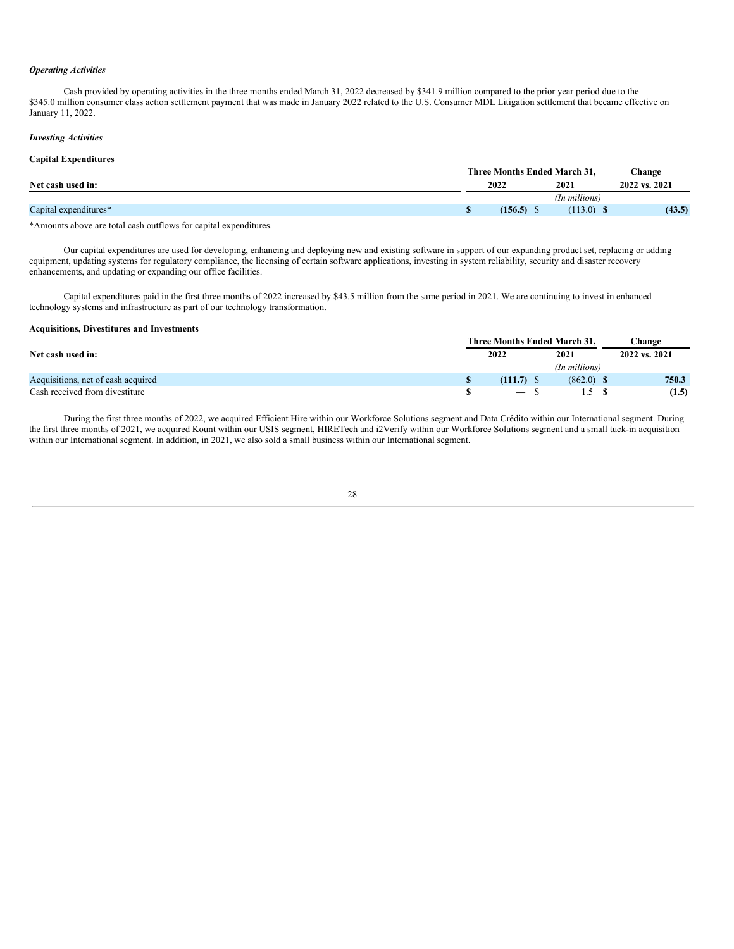#### *Operating Activities*

Cash provided by operating activities in the three months ended March 31, 2022 decreased by \$341.9 million compared to the prior year period due to the \$345.0 million consumer class action settlement payment that was made in January 2022 related to the U.S. Consumer MDL Litigation settlement that became effective on January 11, 2022.

# *Investing Activities*

#### **Capital Expenditures**

|                       | Three Months Ended March 31. |                    | $Change$      |
|-----------------------|------------------------------|--------------------|---------------|
| Net cash used in:     | 2022                         | 2021               | 2022 vs. 2021 |
|                       |                              | (In millions)      |               |
| Capital expenditures* | (156.5)                      | $(113.0)$ <b>S</b> | (43.5)        |
|                       |                              |                    |               |

\*Amounts above are total cash outflows for capital expenditures.

Our capital expenditures are used for developing, enhancing and deploying new and existing software in support of our expanding product set, replacing or adding equipment, updating systems for regulatory compliance, the licensing of certain software applications, investing in system reliability, security and disaster recovery enhancements, and updating or expanding our office facilities.

Capital expenditures paid in the first three months of 2022 increased by \$43.5 million from the same period in 2021. We are continuing to invest in enhanced technology systems and infrastructure as part of our technology transformation.

#### **Acquisitions, Divestitures and Investments**

|                                    |              | Three Months Ended March 31. | <b>Change</b> |
|------------------------------------|--------------|------------------------------|---------------|
| Net cash used in:                  | 2022         | 2021                         | 2022 vs. 2021 |
|                                    |              | (In millions)                |               |
| Acquisitions, net of cash acquired | $(111.7)$ \$ | $(862.0)$ \$                 | 750.3         |
| Cash received from divestiture     | $-$ s        | $1.5 \tS$                    | (1.5)         |

During the first three months of 2022, we acquired Efficient Hire within our Workforce Solutions segment and Data Crédito within our International segment. During the first three months of 2021, we acquired Kount within our USIS segment, HIRETech and i2Verify within our Workforce Solutions segment and a small tuck-in acquisition within our International segment. In addition, in 2021, we also sold a small business within our International segment.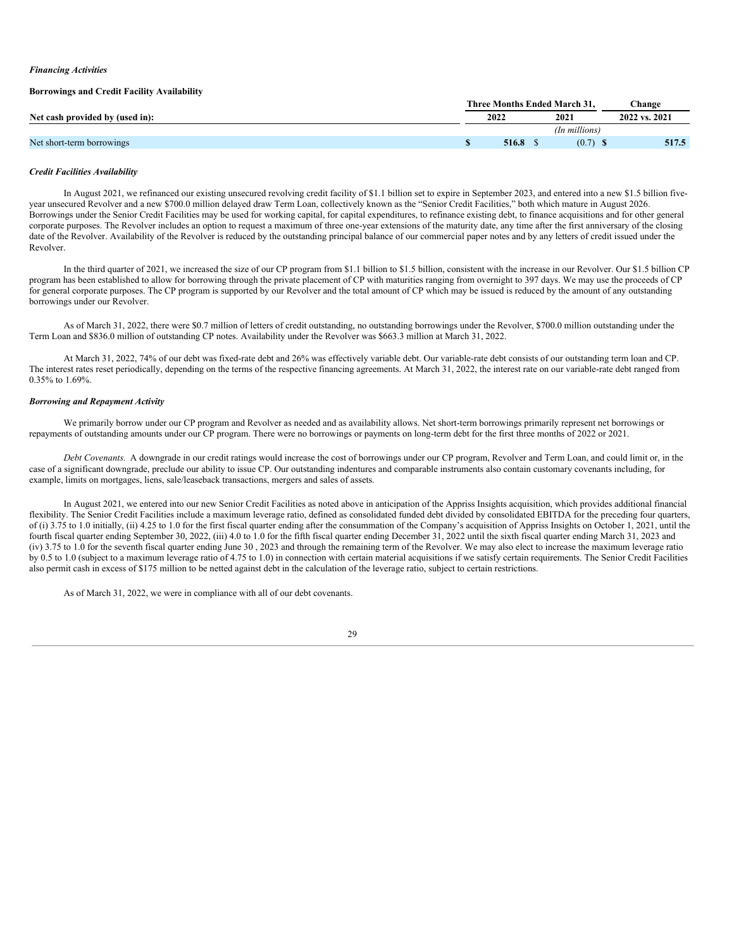#### *Financing Activities*

#### **Borrowings and Credit Facility Availability**

|                                 |       | Three Months Ended March 31, | <b>Change</b> |
|---------------------------------|-------|------------------------------|---------------|
| Net cash provided by (used in): | 2022  | 2021                         | 2022 vs. 2021 |
|                                 |       | (In millions)                |               |
| Net short-term borrowings       | 516.8 | $(0.7)$ \$                   | 517.5         |
|                                 |       |                              |               |

#### *Credit Facilities Availability*

In August 2021, we refinanced our existing unsecured revolving credit facility of \$1.1 billion set to expire in September 2023, and entered into a new \$1.5 billion fiveyear unsecured Revolver and a new \$700.0 million delayed draw Term Loan, collectively known as the "Senior Credit Facilities," both which mature in August 2026. Borrowings under the Senior Credit Facilities may be used for working capital, for capital expenditures, to refinance existing debt, to finance acquisitions and for other general corporate purposes. The Revolver includes an option to request a maximum of three one-year extensions of the maturity date, any time after the first anniversary of the closing date of the Revolver. Availability of the Revolver is reduced by the outstanding principal balance of our commercial paper notes and by any letters of credit issued under the Revolver.

In the third quarter of 2021, we increased the size of our CP program from \$1.1 billion to \$1.5 billion, consistent with the increase in our Revolver. Our \$1.5 billion CP program has been established to allow for borrowing through the private placement of CP with maturities ranging from overnight to 397 days. We may use the proceeds of CP for general corporate purposes. The CP program is supported by our Revolver and the total amount of CP which may be issued is reduced by the amount of any outstanding borrowings under our Revolver.

As of March 31, 2022, there were \$0.7 million of letters of credit outstanding, no outstanding borrowings under the Revolver, \$700.0 million outstanding under the Term Loan and \$836.0 million of outstanding CP notes. Availability under the Revolver was \$663.3 million at March 31, 2022.

At March 31, 2022, 74% of our debt was fixed-rate debt and 26% was effectively variable debt. Our variable-rate debt consists of our outstanding term loan and CP. The interest rates reset periodically, depending on the terms of the respective financing agreements. At March 31, 2022, the interest rate on our variable-rate debt ranged from 0.35% to 1.69%.

#### *Borrowing and Repayment Activity*

We primarily borrow under our CP program and Revolver as needed and as availability allows. Net short-term borrowings primarily represent net borrowings or repayments of outstanding amounts under our CP program. There were no borrowings or payments on long-term debt for the first three months of 2022 or 2021.

*Debt Covenants.* A downgrade in our credit ratings would increase the cost of borrowings under our CP program, Revolver and Term Loan, and could limit or, in the case of a significant downgrade, preclude our ability to issue CP. Our outstanding indentures and comparable instruments also contain customary covenants including, for example, limits on mortgages, liens, sale/leaseback transactions, mergers and sales of assets.

In August 2021, we entered into our new Senior Credit Facilities as noted above in anticipation of the Appriss Insights acquisition, which provides additional financial flexibility. The Senior Credit Facilities include a maximum leverage ratio, defined as consolidated funded debt divided by consolidated EBITDA for the preceding four quarters, of (i) 3.75 to 1.0 initially, (ii) 4.25 to 1.0 for the first fiscal quarter ending after the consummation of the Company's acquisition of Appriss Insights on October 1, 2021, until the fourth fiscal quarter ending September 30, 2022, (iii) 4.0 to 1.0 for the fifth fiscal quarter ending December 31, 2022 until the sixth fiscal quarter ending March 31, 2023 and (iv) 3.75 to 1.0 for the seventh fiscal quarter ending June 30 , 2023 and through the remaining term of the Revolver. We may also elect to increase the maximum leverage ratio by 0.5 to 1.0 (subject to a maximum leverage ratio of 4.75 to 1.0) in connection with certain material acquisitions if we satisfy certain requirements. The Senior Credit Facilities also permit cash in excess of \$175 million to be netted against debt in the calculation of the leverage ratio, subject to certain restrictions.

As of March 31, 2022, we were in compliance with all of our debt covenants.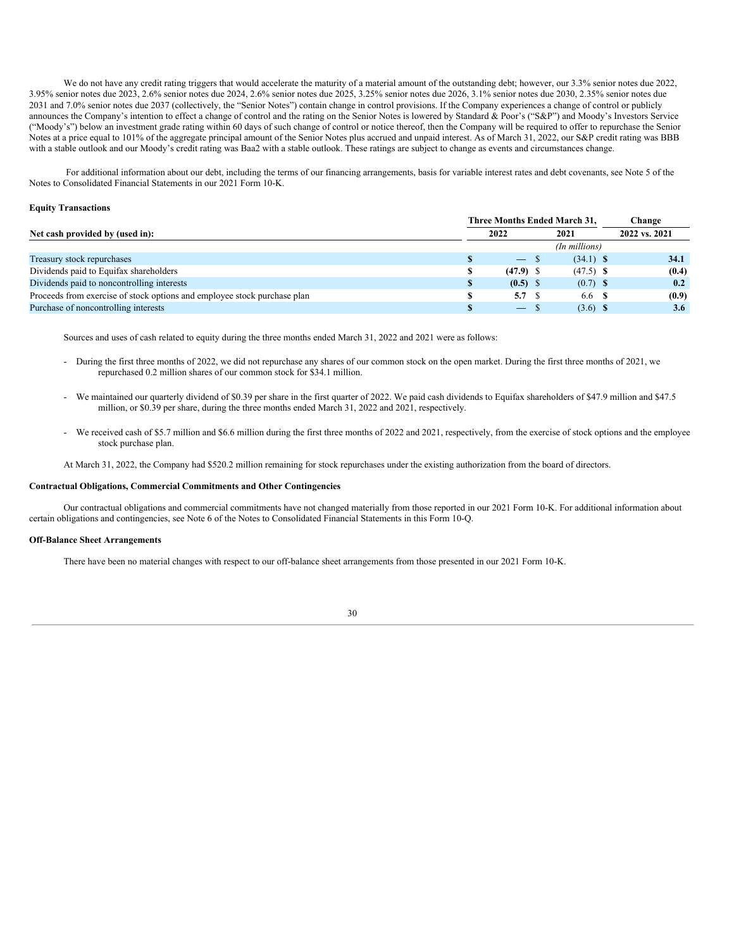We do not have any credit rating triggers that would accelerate the maturity of a material amount of the outstanding debt; however, our 3.3% senior notes due 2022, 3.95% senior notes due 2023, 2.6% senior notes due 2024, 2.6% senior notes due 2025, 3.25% senior notes due 2026, 3.1% senior notes due 2030, 2.35% senior notes due 2031 and 7.0% senior notes due 2037 (collectively, the "Senior Notes") contain change in control provisions. If the Company experiences a change of control or publicly announces the Company's intention to effect a change of control and the rating on the Senior Notes is lowered by Standard & Poor's ("S&P") and Moody's Investors Service ("Moody's") below an investment grade rating within 60 days of such change of control or notice thereof, then the Company will be required to offer to repurchase the Senior Notes at a price equal to 101% of the aggregate principal amount of the Senior Notes plus accrued and unpaid interest. As of March 31, 2022, our S&P credit rating was BBB with a stable outlook and our Moody's credit rating was Baa2 with a stable outlook. These ratings are subject to change as events and circumstances change.

For additional information about our debt, including the terms of our financing arrangements, basis for variable interest rates and debt covenants, see Note 5 of the Notes to Consolidated Financial Statements in our 2021 Form 10-K.

#### **Equity Transactions**

|                                                                          |  | <b>Three Months Ended March 31.</b> |               | Change        |
|--------------------------------------------------------------------------|--|-------------------------------------|---------------|---------------|
| Net cash provided by (used in):                                          |  | 2022                                | 2021          | 2022 vs. 2021 |
|                                                                          |  |                                     | (In millions) |               |
| Treasury stock repurchases                                               |  | $\overline{\phantom{m}}$            | $(34.1)$ \$   | 34.1          |
| Dividends paid to Equifax shareholders                                   |  | $(47.9)$ \$                         | $(47.5)$ \$   | (0.4)         |
| Dividends paid to noncontrolling interests                               |  | $(0.5)$ \$                          | $(0.7)$ \$    | 0.2           |
| Proceeds from exercise of stock options and employee stock purchase plan |  | 5.7 S                               | 6.6 \$        | (0.9)         |
| Purchase of noncontrolling interests                                     |  | $-$ S                               | $(3.6)$ \$    | 3.6           |

Sources and uses of cash related to equity during the three months ended March 31, 2022 and 2021 were as follows:

- During the first three months of 2022, we did not repurchase any shares of our common stock on the open market. During the first three months of 2021, we repurchased 0.2 million shares of our common stock for \$34.1 million.
- We maintained our quarterly dividend of \$0.39 per share in the first quarter of 2022. We paid cash dividends to Equifax shareholders of \$47.9 million and \$47.5 million, or \$0.39 per share, during the three months ended March 31, 2022 and 2021, respectively.
- We received cash of \$5.7 million and \$6.6 million during the first three months of 2022 and 2021, respectively, from the exercise of stock options and the employee stock purchase plan.

At March 31, 2022, the Company had \$520.2 million remaining for stock repurchases under the existing authorization from the board of directors.

#### **Contractual Obligations, Commercial Commitments and Other Contingencies**

Our contractual obligations and commercial commitments have not changed materially from those reported in our 2021 Form 10-K. For additional information about certain obligations and contingencies, see Note 6 of the Notes to Consolidated Financial Statements in this Form 10-Q.

#### **Off-Balance Sheet Arrangements**

There have been no material changes with respect to our off-balance sheet arrangements from those presented in our 2021 Form 10-K.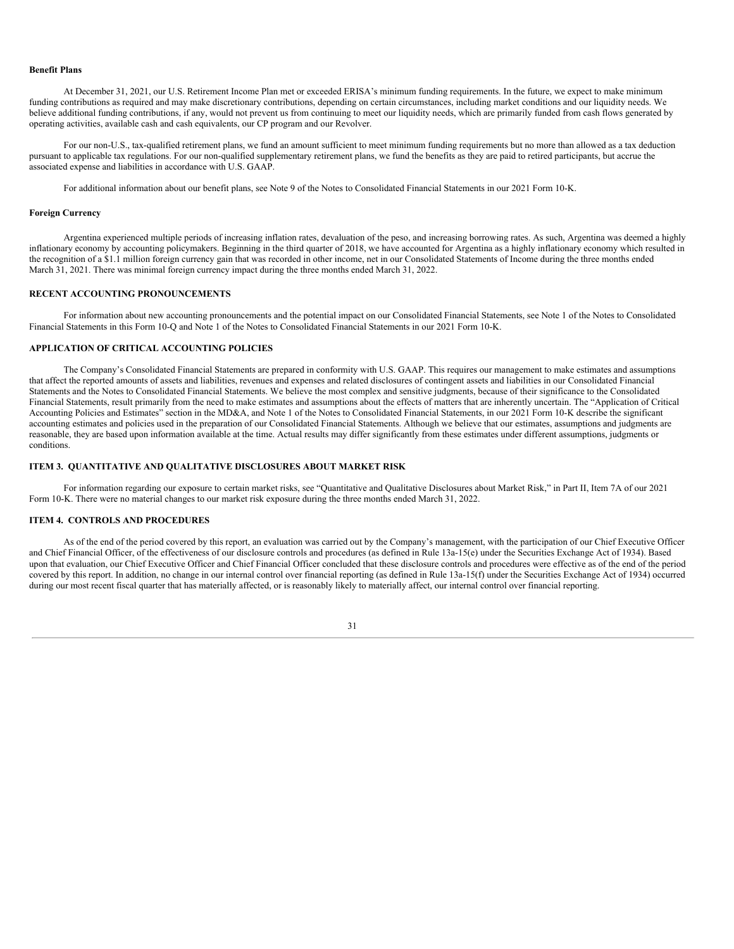#### **Benefit Plans**

At December 31, 2021, our U.S. Retirement Income Plan met or exceeded ERISA's minimum funding requirements. In the future, we expect to make minimum funding contributions as required and may make discretionary contributions, depending on certain circumstances, including market conditions and our liquidity needs. We believe additional funding contributions, if any, would not prevent us from continuing to meet our liquidity needs, which are primarily funded from cash flows generated by operating activities, available cash and cash equivalents, our CP program and our Revolver.

For our non-U.S., tax-qualified retirement plans, we fund an amount sufficient to meet minimum funding requirements but no more than allowed as a tax deduction pursuant to applicable tax regulations. For our non-qualified supplementary retirement plans, we fund the benefits as they are paid to retired participants, but accrue the associated expense and liabilities in accordance with U.S. GAAP.

For additional information about our benefit plans, see Note 9 of the Notes to Consolidated Financial Statements in our 2021 Form 10-K.

#### **Foreign Currency**

Argentina experienced multiple periods of increasing inflation rates, devaluation of the peso, and increasing borrowing rates. As such, Argentina was deemed a highly inflationary economy by accounting policymakers. Beginning in the third quarter of 2018, we have accounted for Argentina as a highly inflationary economy which resulted in the recognition of a \$1.1 million foreign currency gain that was recorded in other income, net in our Consolidated Statements of Income during the three months ended March 31, 2021. There was minimal foreign currency impact during the three months ended March 31, 2022.

#### **RECENT ACCOUNTING PRONOUNCEMENTS**

For information about new accounting pronouncements and the potential impact on our Consolidated Financial Statements, see Note 1 of the Notes to Consolidated Financial Statements in this Form 10-Q and Note 1 of the Notes to Consolidated Financial Statements in our 2021 Form 10-K.

## **APPLICATION OF CRITICAL ACCOUNTING POLICIES**

The Company's Consolidated Financial Statements are prepared in conformity with U.S. GAAP. This requires our management to make estimates and assumptions that affect the reported amounts of assets and liabilities, revenues and expenses and related disclosures of contingent assets and liabilities in our Consolidated Financial Statements and the Notes to Consolidated Financial Statements. We believe the most complex and sensitive judgments, because of their significance to the Consolidated Financial Statements, result primarily from the need to make estimates and assumptions about the effects of matters that are inherently uncertain. The "Application of Critical Accounting Policies and Estimates" section in the MD&A, and Note 1 of the Notes to Consolidated Financial Statements, in our 2021 Form 10-K describe the significant accounting estimates and policies used in the preparation of our Consolidated Financial Statements. Although we believe that our estimates, assumptions and judgments are reasonable, they are based upon information available at the time. Actual results may differ significantly from these estimates under different assumptions, judgments or conditions.

#### <span id="page-30-0"></span>**ITEM 3. QUANTITATIVE AND QUALITATIVE DISCLOSURES ABOUT MARKET RISK**

For information regarding our exposure to certain market risks, see "Quantitative and Qualitative Disclosures about Market Risk," in Part II, Item 7A of our 2021 Form 10-K. There were no material changes to our market risk exposure during the three months ended March 31, 2022.

#### <span id="page-30-1"></span>**ITEM 4. CONTROLS AND PROCEDURES**

<span id="page-30-2"></span>As of the end of the period covered by this report, an evaluation was carried out by the Company's management, with the participation of our Chief Executive Officer and Chief Financial Officer, of the effectiveness of our disclosure controls and procedures (as defined in Rule 13a-15(e) under the Securities Exchange Act of 1934). Based upon that evaluation, our Chief Executive Officer and Chief Financial Officer concluded that these disclosure controls and procedures were effective as of the end of the period covered by this report. In addition, no change in our internal control over financial reporting (as defined in Rule 13a-15(f) under the Securities Exchange Act of 1934) occurred during our most recent fiscal quarter that has materially affected, or is reasonably likely to materially affect, our internal control over financial reporting.

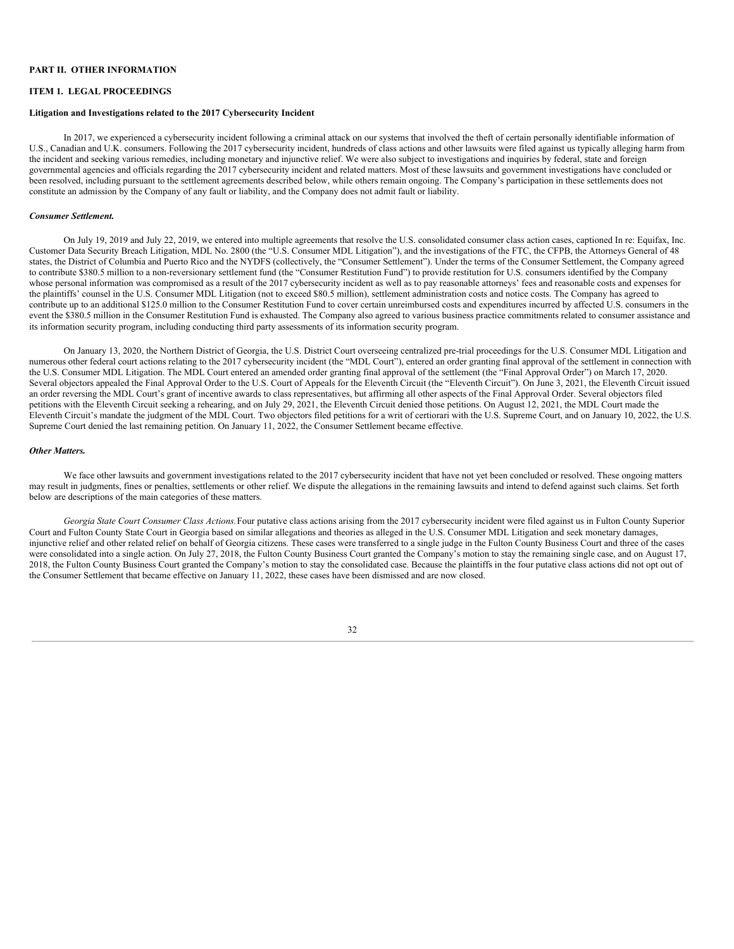#### **PART II. OTHER INFORMATION**

#### <span id="page-31-0"></span>**ITEM 1. LEGAL PROCEEDINGS**

#### **Litigation and Investigations related to the 2017 Cybersecurity Incident**

In 2017, we experienced a cybersecurity incident following a criminal attack on our systems that involved the theft of certain personally identifiable information of U.S., Canadian and U.K. consumers. Following the 2017 cybersecurity incident, hundreds of class actions and other lawsuits were filed against us typically alleging harm from the incident and seeking various remedies, including monetary and injunctive relief. We were also subject to investigations and inquiries by federal, state and foreign governmental agencies and officials regarding the 2017 cybersecurity incident and related matters. Most of these lawsuits and government investigations have concluded or been resolved, including pursuant to the settlement agreements described below, while others remain ongoing. The Company's participation in these settlements does not constitute an admission by the Company of any fault or liability, and the Company does not admit fault or liability.

#### *Consumer Settlement.*

On July 19, 2019 and July 22, 2019, we entered into multiple agreements that resolve the U.S. consolidated consumer class action cases, captioned In re: Equifax, Inc. Customer Data Security Breach Litigation, MDL No. 2800 (the "U.S. Consumer MDL Litigation"), and the investigations of the FTC, the CFPB, the Attorneys General of 48 states, the District of Columbia and Puerto Rico and the NYDFS (collectively, the "Consumer Settlement"). Under the terms of the Consumer Settlement, the Company agreed to contribute \$380.5 million to a non-reversionary settlement fund (the "Consumer Restitution Fund") to provide restitution for U.S. consumers identified by the Company whose personal information was compromised as a result of the 2017 cybersecurity incident as well as to pay reasonable attorneys' fees and reasonable costs and expenses for the plaintiffs' counsel in the U.S. Consumer MDL Litigation (not to exceed \$80.5 million), settlement administration costs and notice costs. The Company has agreed to contribute up to an additional \$125.0 million to the Consumer Restitution Fund to cover certain unreimbursed costs and expenditures incurred by affected U.S. consumers in the event the \$380.5 million in the Consumer Restitution Fund is exhausted. The Company also agreed to various business practice commitments related to consumer assistance and its information security program, including conducting third party assessments of its information security program.

On January 13, 2020, the Northern District of Georgia, the U.S. District Court overseeing centralized pre-trial proceedings for the U.S. Consumer MDL Litigation and numerous other federal court actions relating to the 2017 cybersecurity incident (the "MDL Court"), entered an order granting final approval of the settlement in connection with the U.S. Consumer MDL Litigation. The MDL Court entered an amended order granting final approval of the settlement (the "Final Approval Order") on March 17, 2020. Several objectors appealed the Final Approval Order to the U.S. Court of Appeals for the Eleventh Circuit (the "Eleventh Circuit"). On June 3, 2021, the Eleventh Circuit issued an order reversing the MDL Court's grant of incentive awards to class representatives, but affirming all other aspects of the Final Approval Order. Several objectors filed petitions with the Eleventh Circuit seeking a rehearing, and on July 29, 2021, the Eleventh Circuit denied those petitions. On August 12, 2021, the MDL Court made the Eleventh Circuit's mandate the judgment of the MDL Court. Two objectors filed petitions for a writ of certiorari with the U.S. Supreme Court, and on January 10, 2022, the U.S. Supreme Court denied the last remaining petition. On January 11, 2022, the Consumer Settlement became effective.

#### *Other Matters.*

We face other lawsuits and government investigations related to the 2017 cybersecurity incident that have not yet been concluded or resolved. These ongoing matters may result in judgments, fines or penalties, settlements or other relief. We dispute the allegations in the remaining lawsuits and intend to defend against such claims. Set forth below are descriptions of the main categories of these matters.

*Georgia State Court Consumer Class Actions.*Four putative class actions arising from the 2017 cybersecurity incident were filed against us in Fulton County Superior Court and Fulton County State Court in Georgia based on similar allegations and theories as alleged in the U.S. Consumer MDL Litigation and seek monetary damages, injunctive relief and other related relief on behalf of Georgia citizens. These cases were transferred to a single judge in the Fulton County Business Court and three of the cases were consolidated into a single action. On July 27, 2018, the Fulton County Business Court granted the Company's motion to stay the remaining single case, and on August 17, 2018, the Fulton County Business Court granted the Company's motion to stay the consolidated case. Because the plaintiffs in the four putative class actions did not opt out of the Consumer Settlement that became effective on January 11, 2022, these cases have been dismissed and are now closed.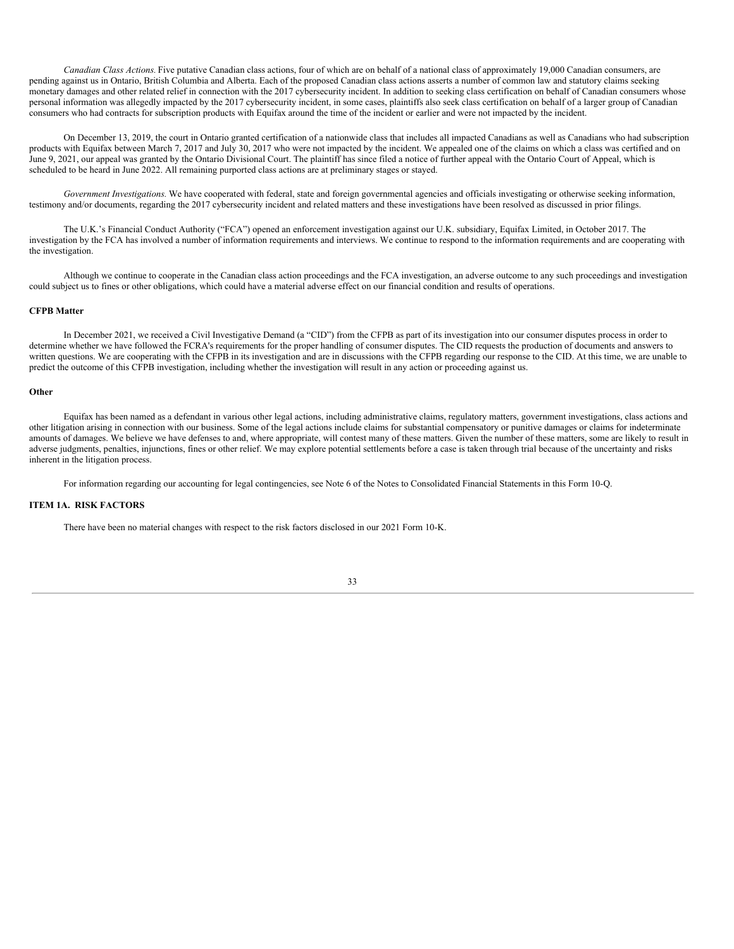*Canadian Class Actions.* Five putative Canadian class actions, four of which are on behalf of a national class of approximately 19,000 Canadian consumers, are pending against us in Ontario, British Columbia and Alberta. Each of the proposed Canadian class actions asserts a number of common law and statutory claims seeking monetary damages and other related relief in connection with the 2017 cybersecurity incident. In addition to seeking class certification on behalf of Canadian consumers whose personal information was allegedly impacted by the 2017 cybersecurity incident, in some cases, plaintiffs also seek class certification on behalf of a larger group of Canadian consumers who had contracts for subscription products with Equifax around the time of the incident or earlier and were not impacted by the incident.

On December 13, 2019, the court in Ontario granted certification of a nationwide class that includes all impacted Canadians as well as Canadians who had subscription products with Equifax between March 7, 2017 and July 30, 2017 who were not impacted by the incident. We appealed one of the claims on which a class was certified and on June 9, 2021, our appeal was granted by the Ontario Divisional Court. The plaintiff has since filed a notice of further appeal with the Ontario Court of Appeal, which is scheduled to be heard in June 2022. All remaining purported class actions are at preliminary stages or stayed.

*Government Investigations.* We have cooperated with federal, state and foreign governmental agencies and officials investigating or otherwise seeking information, testimony and/or documents, regarding the 2017 cybersecurity incident and related matters and these investigations have been resolved as discussed in prior filings.

The U.K.'s Financial Conduct Authority ("FCA") opened an enforcement investigation against our U.K. subsidiary, Equifax Limited, in October 2017. The investigation by the FCA has involved a number of information requirements and interviews. We continue to respond to the information requirements and are cooperating with the investigation.

Although we continue to cooperate in the Canadian class action proceedings and the FCA investigation, an adverse outcome to any such proceedings and investigation could subject us to fines or other obligations, which could have a material adverse effect on our financial condition and results of operations.

# **CFPB Matter**

In December 2021, we received a Civil Investigative Demand (a "CID") from the CFPB as part of its investigation into our consumer disputes process in order to determine whether we have followed the FCRA's requirements for the proper handling of consumer disputes. The CID requests the production of documents and answers to written questions. We are cooperating with the CFPB in its investigation and are in discussions with the CFPB regarding our response to the CID. At this time, we are unable to predict the outcome of this CFPB investigation, including whether the investigation will result in any action or proceeding against us.

#### **Other**

Equifax has been named as a defendant in various other legal actions, including administrative claims, regulatory matters, government investigations, class actions and other litigation arising in connection with our business. Some of the legal actions include claims for substantial compensatory or punitive damages or claims for indeterminate amounts of damages. We believe we have defenses to and, where appropriate, will contest many of these matters. Given the number of these matters, some are likely to result in adverse judgments, penalties, injunctions, fines or other relief. We may explore potential settlements before a case is taken through trial because of the uncertainty and risks inherent in the litigation process.

For information regarding our accounting for legal contingencies, see Note 6 of the Notes to Consolidated Financial Statements in this Form 10-Q.

#### <span id="page-32-0"></span>**ITEM 1A. RISK FACTORS**

<span id="page-32-1"></span>There have been no material changes with respect to the risk factors disclosed in our 2021 Form 10-K.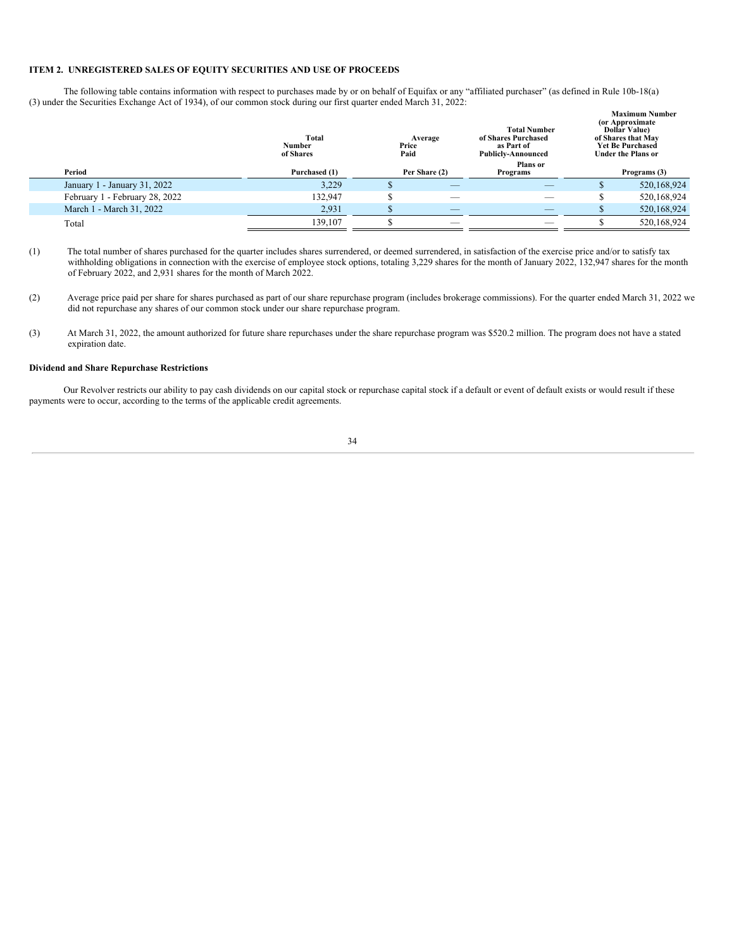#### **ITEM 2. UNREGISTERED SALES OF EQUITY SECURITIES AND USE OF PROCEEDS**

The following table contains information with respect to purchases made by or on behalf of Equifax or any "affiliated purchaser" (as defined in Rule 10b-18(a) (3) under the Securities Exchange Act of 1934), of our common stock during our first quarter ended March 31, 2022:

|                                | Total<br>Number<br>of Shares | Price<br>Paid | Average       | <b>Total Number</b><br>of Shares Purchased<br>as Part of<br><b>Publicly-Announced</b><br>Plans or | <b>Maximum Number</b><br>(or Approximate)<br><b>Dollar Value</b><br>of Shares that May<br><b>Yet Be Purchased</b><br><b>Under the Plans or</b> |              |  |  |
|--------------------------------|------------------------------|---------------|---------------|---------------------------------------------------------------------------------------------------|------------------------------------------------------------------------------------------------------------------------------------------------|--------------|--|--|
| Period                         | Purchased (1)                |               | Per Share (2) | Programs                                                                                          |                                                                                                                                                | Programs (3) |  |  |
| January 1 - January 31, 2022   | 3.229                        |               |               |                                                                                                   |                                                                                                                                                | 520,168,924  |  |  |
| February 1 - February 28, 2022 | 132.947                      |               |               | _                                                                                                 |                                                                                                                                                | 520,168,924  |  |  |
| March 1 - March 31, 2022       | 2,931                        |               | $-$           |                                                                                                   |                                                                                                                                                | 520,168,924  |  |  |
| Total                          | 139.107                      |               |               |                                                                                                   |                                                                                                                                                | 520,168,924  |  |  |

- (1) The total number of shares purchased for the quarter includes shares surrendered, or deemed surrendered, in satisfaction of the exercise price and/or to satisfy tax withholding obligations in connection with the exercise of employee stock options, totaling 3,229 shares for the month of January 2022, 132,947 shares for the month of February 2022, and 2,931 shares for the month of March 2022.
- (2) Average price paid per share for shares purchased as part of our share repurchase program (includes brokerage commissions). For the quarter ended March 31, 2022 we did not repurchase any shares of our common stock under our share repurchase program.
- (3) At March 31, 2022, the amount authorized for future share repurchases under the share repurchase program was \$520.2 million. The program does not have a stated expiration date.

# **Dividend and Share Repurchase Restrictions**

<span id="page-33-0"></span>Our Revolver restricts our ability to pay cash dividends on our capital stock or repurchase capital stock if a default or event of default exists or would result if these payments were to occur, according to the terms of the applicable credit agreements.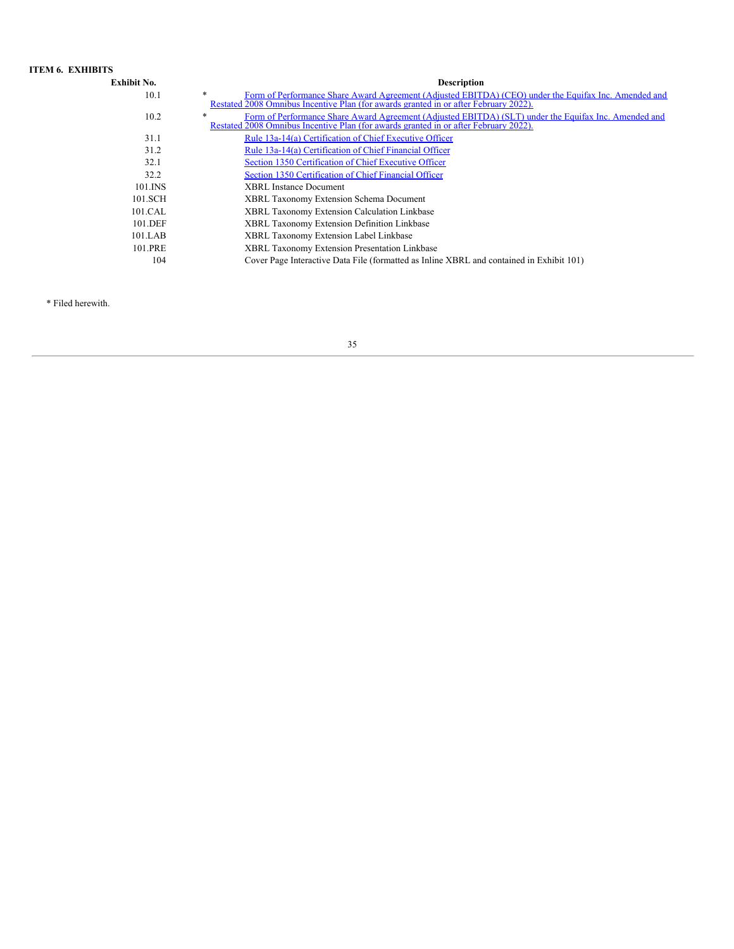## **ITEM 6. EXHIBITS**

| <b>Exhibit No.</b> | <b>Description</b>                                                                                                                                                                                     |
|--------------------|--------------------------------------------------------------------------------------------------------------------------------------------------------------------------------------------------------|
| 10.1               | $\ast$<br>Form of Performance Share Award Agreement (Adjusted EBITDA) (CEO) under the Equifax Inc. Amended and<br>Restated 2008 Omnibus Incentive Plan (for awards granted in or after February 2022). |
| 10.2               | Form of Performance Share Award Agreement (Adjusted EBITDA) (SLT) under the Equifax Inc. Amended and<br>Restated 2008 Omnibus Incentive Plan (for awards granted in or after February 2022).           |
| 31.1               | Rule 13a-14(a) Certification of Chief Executive Officer                                                                                                                                                |
| 31.2               | Rule 13a-14(a) Certification of Chief Financial Officer                                                                                                                                                |
| 32.1               | Section 1350 Certification of Chief Executive Officer                                                                                                                                                  |
| 32.2               | Section 1350 Certification of Chief Financial Officer                                                                                                                                                  |
| 101.INS            | <b>XBRL</b> Instance Document                                                                                                                                                                          |
| 101.SCH            | <b>XBRL Taxonomy Extension Schema Document</b>                                                                                                                                                         |
| 101.CAL            | XBRL Taxonomy Extension Calculation Linkbase                                                                                                                                                           |
| 101.DEF            | XBRL Taxonomy Extension Definition Linkbase                                                                                                                                                            |
| 101.LAB            | XBRL Taxonomy Extension Label Linkbase                                                                                                                                                                 |
| 101.PRE            | XBRL Taxonomy Extension Presentation Linkbase                                                                                                                                                          |
| 104                | Cover Page Interactive Data File (formatted as Inline XBRL and contained in Exhibit 101)                                                                                                               |

<span id="page-34-0"></span>\* Filed herewith.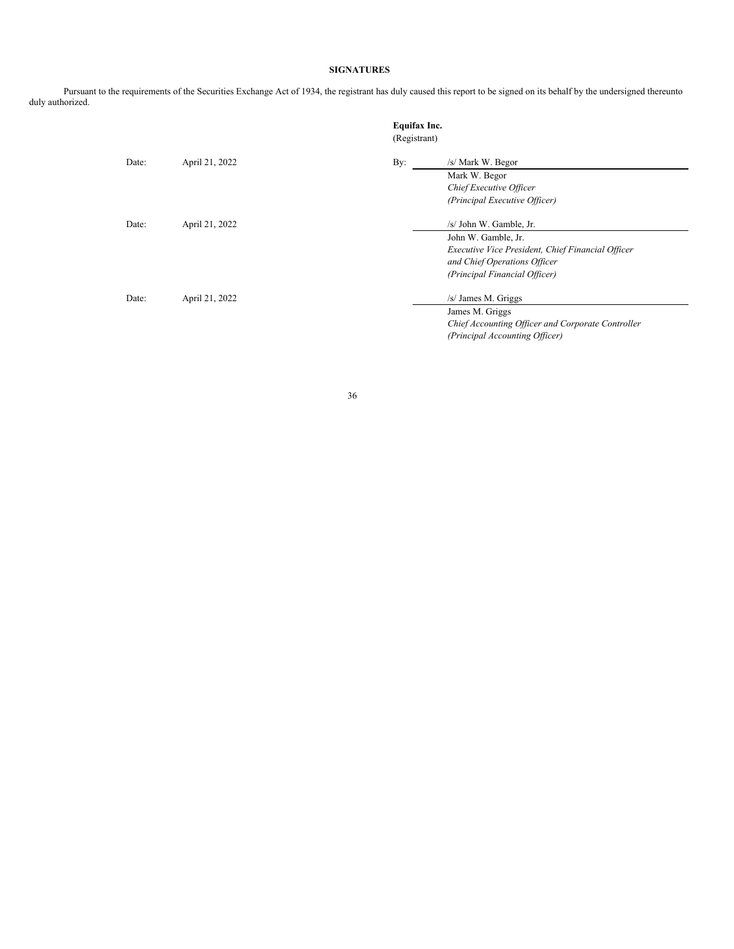# **SIGNATURES**

Pursuant to the requirements of the Securities Exchange Act of 1934, the registrant has duly caused this report to be signed on its behalf by the undersigned thereunto duly authorized.

|       |                | Equifax Inc.<br>(Registrant)                      |  |
|-------|----------------|---------------------------------------------------|--|
| Date: | April 21, 2022 | By:<br>/s/ Mark W. Begor                          |  |
|       |                | Mark W. Begor                                     |  |
|       |                | Chief Executive Officer                           |  |
|       |                | (Principal Executive Officer)                     |  |
| Date: | April 21, 2022 | /s/ John W. Gamble, Jr.                           |  |
|       |                | John W. Gamble, Jr.                               |  |
|       |                | Executive Vice President, Chief Financial Officer |  |
|       |                | and Chief Operations Officer                      |  |
|       |                | (Principal Financial Officer)                     |  |
| Date: | April 21, 2022 | /s/ James M. Griggs                               |  |
|       |                | James M. Griggs                                   |  |
|       |                | Chief Accounting Officer and Corporate Controller |  |
|       |                | (Principal Accounting Officer)                    |  |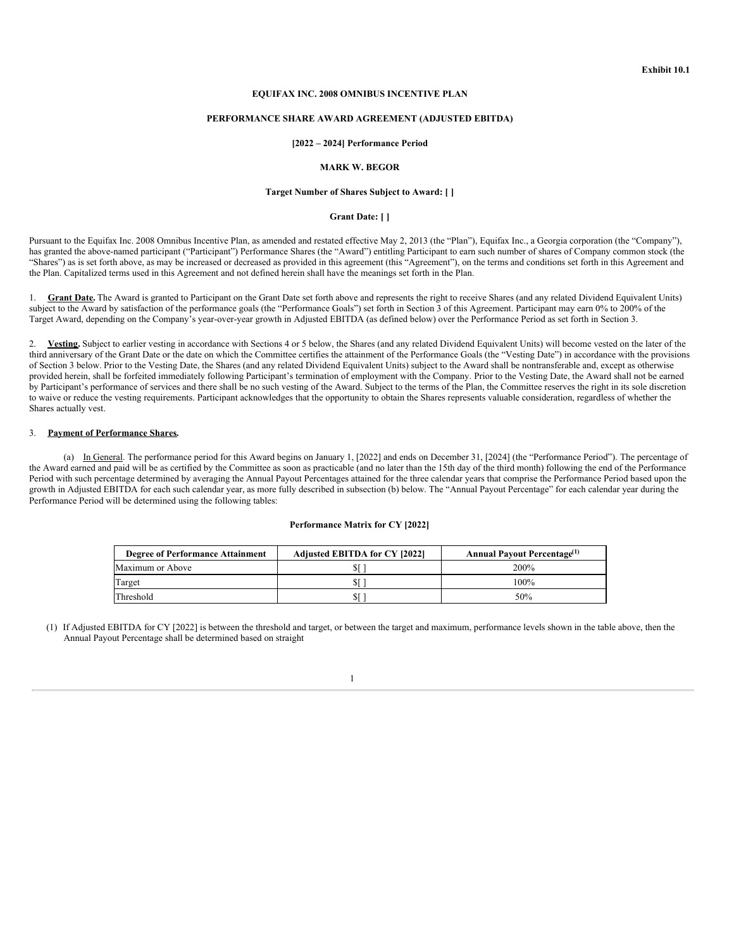# **EQUIFAX INC. 2008 OMNIBUS INCENTIVE PLAN**

#### **PERFORMANCE SHARE AWARD AGREEMENT (ADJUSTED EBITDA)**

#### **[2022 – 2024] Performance Period**

#### **MARK W. BEGOR**

#### **Target Number of Shares Subject to Award: [ ]**

# **Grant Date: [ ]**

Pursuant to the Equifax Inc. 2008 Omnibus Incentive Plan, as amended and restated effective May 2, 2013 (the "Plan"), Equifax Inc., a Georgia corporation (the "Company"), has granted the above-named participant ("Participant") Performance Shares (the "Award") entitling Participant to earn such number of shares of Company common stock (the "Shares") as is set forth above, as may be increased or decreased as provided in this agreement (this "Agreement"), on the terms and conditions set forth in this Agreement and the Plan. Capitalized terms used in this Agreement and not defined herein shall have the meanings set forth in the Plan.

1. **Grant Date.** The Award is granted to Participant on the Grant Date set forth above and represents the right to receive Shares (and any related Dividend Equivalent Units) subject to the Award by satisfaction of the performance goals (the "Performance Goals") set forth in Section 3 of this Agreement. Participant may earn 0% to 200% of the Target Award, depending on the Company's year-over-year growth in Adjusted EBITDA (as defined below) over the Performance Period as set forth in Section 3.

2. **Vesting.** Subject to earlier vesting in accordance with Sections 4 or 5 below, the Shares (and any related Dividend Equivalent Units) will become vested on the later of the third anniversary of the Grant Date or the date on which the Committee certifies the attainment of the Performance Goals (the "Vesting Date") in accordance with the provisions of Section 3 below. Prior to the Vesting Date, the Shares (and any related Dividend Equivalent Units) subject to the Award shall be nontransferable and, except as otherwise provided herein, shall be forfeited immediately following Participant's termination of employment with the Company. Prior to the Vesting Date, the Award shall not be earned by Participant's performance of services and there shall be no such vesting of the Award. Subject to the terms of the Plan, the Committee reserves the right in its sole discretion to waive or reduce the vesting requirements. Participant acknowledges that the opportunity to obtain the Shares represents valuable consideration, regardless of whether the Shares actually vest.

#### 3. **Payment of Performance Shares.**

(a) In General. The performance period for this Award begins on January 1, [2022] and ends on December 31, [2024] (the "Performance Period"). The percentage of the Award earned and paid will be as certified by the Committee as soon as practicable (and no later than the 15th day of the third month) following the end of the Performance Period with such percentage determined by averaging the Annual Payout Percentages attained for the three calendar years that comprise the Performance Period based upon the growth in Adjusted EBITDA for each such calendar year, as more fully described in subsection (b) below. The "Annual Payout Percentage" for each calendar year during the Performance Period will be determined using the following tables:

#### **Performance Matrix for CY [2022]**

| <b>Degree of Performance Attainment</b> | Adjusted EBITDA for CY [2022] | <b>Annual Payout Percentage</b> <sup>(1)</sup> |
|-----------------------------------------|-------------------------------|------------------------------------------------|
| Maximum or Above                        |                               | <b>200%</b>                                    |
| Target                                  |                               | 100%                                           |
| Threshold                               |                               | 50%                                            |

(1) If Adjusted EBITDA for CY [2022] is between the threshold and target, or between the target and maximum, performance levels shown in the table above, then the Annual Payout Percentage shall be determined based on straight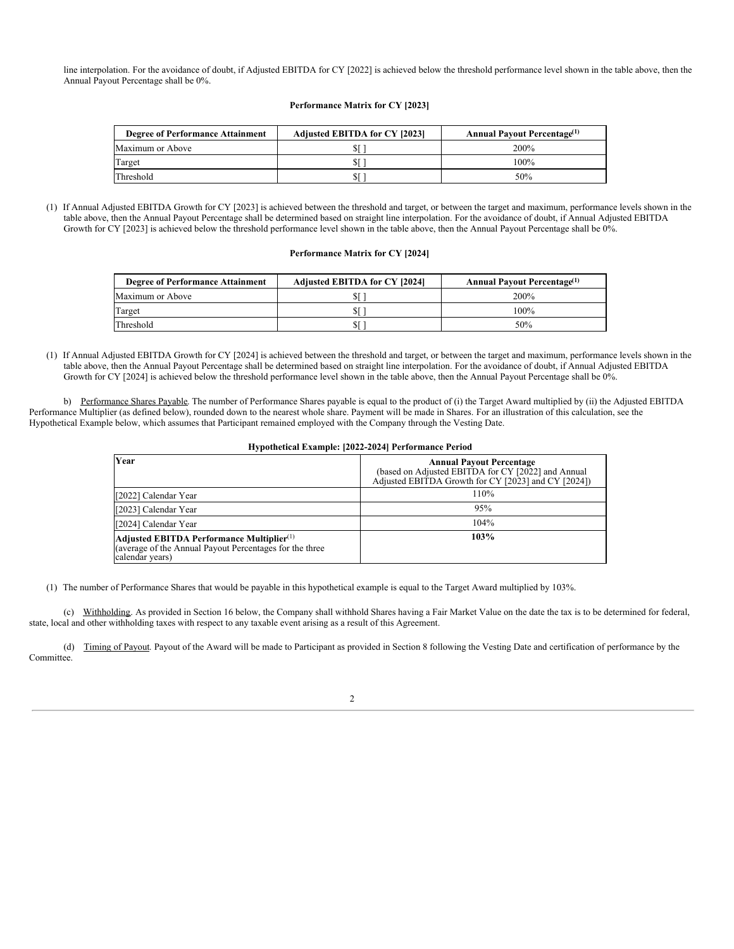line interpolation. For the avoidance of doubt, if Adjusted EBITDA for CY [2022] is achieved below the threshold performance level shown in the table above, then the Annual Payout Percentage shall be 0%.

# **Performance Matrix for CY [2023]**

| <b>Degree of Performance Attainment</b> | <b>Adjusted EBITDA for CY [2023]</b> | <b>Annual Payout Percentage</b> <sup>(1)</sup> |
|-----------------------------------------|--------------------------------------|------------------------------------------------|
| Maximum or Above                        |                                      | 200%                                           |
| Target                                  |                                      | 100%                                           |
| Threshold                               |                                      | 50%                                            |

(1) If Annual Adjusted EBITDA Growth for CY [2023] is achieved between the threshold and target, or between the target and maximum, performance levels shown in the table above, then the Annual Payout Percentage shall be determined based on straight line interpolation. For the avoidance of doubt, if Annual Adjusted EBITDA Growth for CY [2023] is achieved below the threshold performance level shown in the table above, then the Annual Payout Percentage shall be 0%.

#### **Performance Matrix for CY [2024]**

| <b>Degree of Performance Attainment</b> | <b>Adjusted EBITDA for CY [2024]</b> | <b>Annual Payout Percentage</b> <sup>(1)</sup> |
|-----------------------------------------|--------------------------------------|------------------------------------------------|
| Maximum or Above                        |                                      | 200%                                           |
| Target                                  |                                      | $100\%$                                        |
| Threshold                               | ъı                                   | 50 <sub>%</sub>                                |

(1) If Annual Adjusted EBITDA Growth for CY [2024] is achieved between the threshold and target, or between the target and maximum, performance levels shown in the table above, then the Annual Payout Percentage shall be determined based on straight line interpolation. For the avoidance of doubt, if Annual Adjusted EBITDA Growth for CY [2024] is achieved below the threshold performance level shown in the table above, then the Annual Payout Percentage shall be 0%.

b) Performance Shares Payable. The number of Performance Shares payable is equal to the product of (i) the Target Award multiplied by (ii) the Adjusted EBITDA Performance Multiplier (as defined below), rounded down to the nearest whole share. Payment will be made in Shares. For an illustration of this calculation, see the Hypothetical Example below, which assumes that Participant remained employed with the Company through the Vesting Date.

## **Hypothetical Example: [2022-2024] Performance Period**

| Year                                                                                                                                | <b>Annual Payout Percentage</b><br>(based on Adjusted EBITDA for CY [2022] and Annual<br>Adjusted EBITDA Growth for CY [2023] and CY [2024]) |
|-------------------------------------------------------------------------------------------------------------------------------------|----------------------------------------------------------------------------------------------------------------------------------------------|
| [2022] Calendar Year                                                                                                                | 110%                                                                                                                                         |
| [2023] Calendar Year                                                                                                                | 95%                                                                                                                                          |
| [2024] Calendar Year                                                                                                                | 104%                                                                                                                                         |
| Adjusted EBITDA Performance Multiplier <sup>(1)</sup><br>(average of the Annual Payout Percentages for the three<br>calendar years) | 103%                                                                                                                                         |

(1) The number of Performance Shares that would be payable in this hypothetical example is equal to the Target Award multiplied by 103%.

(c) Withholding. As provided in Section 16 below, the Company shall withhold Shares having a Fair Market Value on the date the tax is to be determined for federal, state, local and other withholding taxes with respect to any taxable event arising as a result of this Agreement.

(d) Timing of Payout. Payout of the Award will be made to Participant as provided in Section 8 following the Vesting Date and certification of performance by the Committee.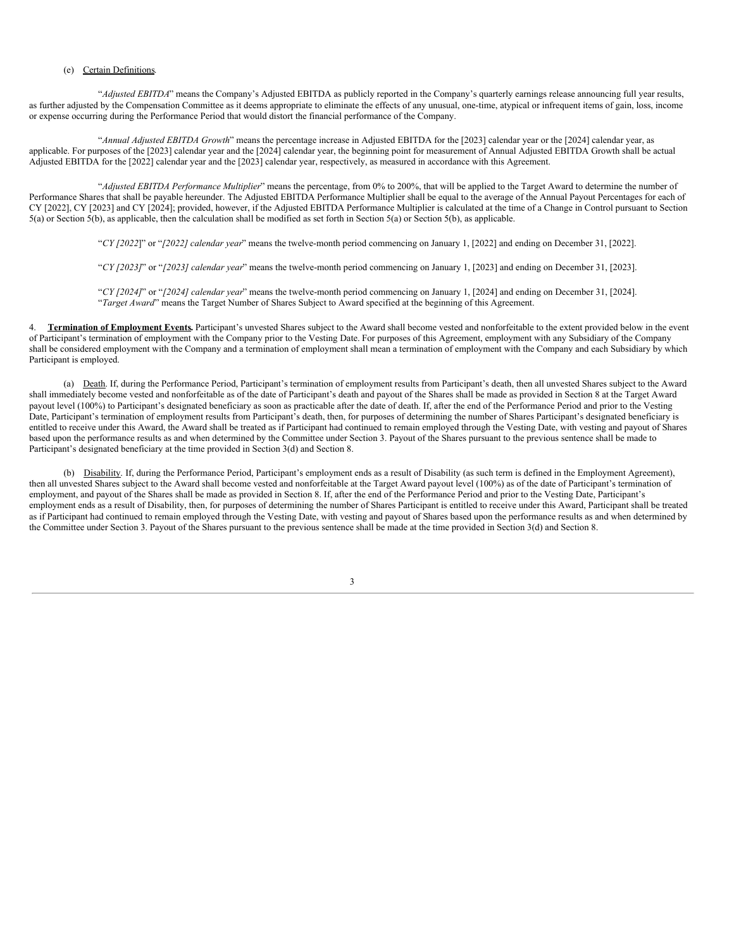## (e) Certain Definitions.

"*Adjusted EBITDA*" means the Company's Adjusted EBITDA as publicly reported in the Company's quarterly earnings release announcing full year results, as further adjusted by the Compensation Committee as it deems appropriate to eliminate the effects of any unusual, one-time, atypical or infrequent items of gain, loss, income or expense occurring during the Performance Period that would distort the financial performance of the Company.

"*Annual Adjusted EBITDA Growth*" means the percentage increase in Adjusted EBITDA for the [2023] calendar year or the [2024] calendar year, as applicable. For purposes of the [2023] calendar year and the [2024] calendar year, the beginning point for measurement of Annual Adjusted EBITDA Growth shall be actual Adjusted EBITDA for the [2022] calendar year and the [2023] calendar year, respectively, as measured in accordance with this Agreement.

"*Adjusted EBITDA Performance Multiplier*" means the percentage, from 0% to 200%, that will be applied to the Target Award to determine the number of Performance Shares that shall be payable hereunder. The Adjusted EBITDA Performance Multiplier shall be equal to the average of the Annual Payout Percentages for each of CY [2022], CY [2023] and CY [2024]; provided, however, if the Adjusted EBITDA Performance Multiplier is calculated at the time of a Change in Control pursuant to Section 5(a) or Section 5(b), as applicable, then the calculation shall be modified as set forth in Section 5(a) or Section 5(b), as applicable.

"*CY [2022*]" or "*[2022] calendar year*" means the twelve-month period commencing on January 1, [2022] and ending on December 31, [2022].

"*CY [2023]*" or "*[2023] calendar year*" means the twelve-month period commencing on January 1, [2023] and ending on December 31, [2023].

"*CY [2024]*" or "*[2024] calendar year*" means the twelve-month period commencing on January 1, [2024] and ending on December 31, [2024]. "*Target Award*" means the Target Number of Shares Subject to Award specified at the beginning of this Agreement.

4. **Termination of Employment Events.** Participant's unvested Shares subject to the Award shall become vested and nonforfeitable to the extent provided below in the event of Participant's termination of employment with the Company prior to the Vesting Date. For purposes of this Agreement, employment with any Subsidiary of the Company shall be considered employment with the Company and a termination of employment shall mean a termination of employment with the Company and each Subsidiary by which Participant is employed.

(a) Death. If, during the Performance Period, Participant's termination of employment results from Participant's death, then all unvested Shares subject to the Award shall immediately become vested and nonforfeitable as of the date of Participant's death and payout of the Shares shall be made as provided in Section 8 at the Target Award payout level (100%) to Participant's designated beneficiary as soon as practicable after the date of death. If, after the end of the Performance Period and prior to the Vesting Date, Participant's termination of employment results from Participant's death, then, for purposes of determining the number of Shares Participant's designated beneficiary is entitled to receive under this Award, the Award shall be treated as if Participant had continued to remain employed through the Vesting Date, with vesting and payout of Shares based upon the performance results as and when determined by the Committee under Section 3. Payout of the Shares pursuant to the previous sentence shall be made to Participant's designated beneficiary at the time provided in Section 3(d) and Section 8.

(b) Disability. If, during the Performance Period, Participant's employment ends as a result of Disability (as such term is defined in the Employment Agreement), then all unvested Shares subject to the Award shall become vested and nonforfeitable at the Target Award payout level (100%) as of the date of Participant's termination of employment, and payout of the Shares shall be made as provided in Section 8. If, after the end of the Performance Period and prior to the Vesting Date, Participant's employment ends as a result of Disability, then, for purposes of determining the number of Shares Participant is entitled to receive under this Award, Participant shall be treated as if Participant had continued to remain employed through the Vesting Date, with vesting and payout of Shares based upon the performance results as and when determined by the Committee under Section 3. Payout of the Shares pursuant to the previous sentence shall be made at the time provided in Section 3(d) and Section 8.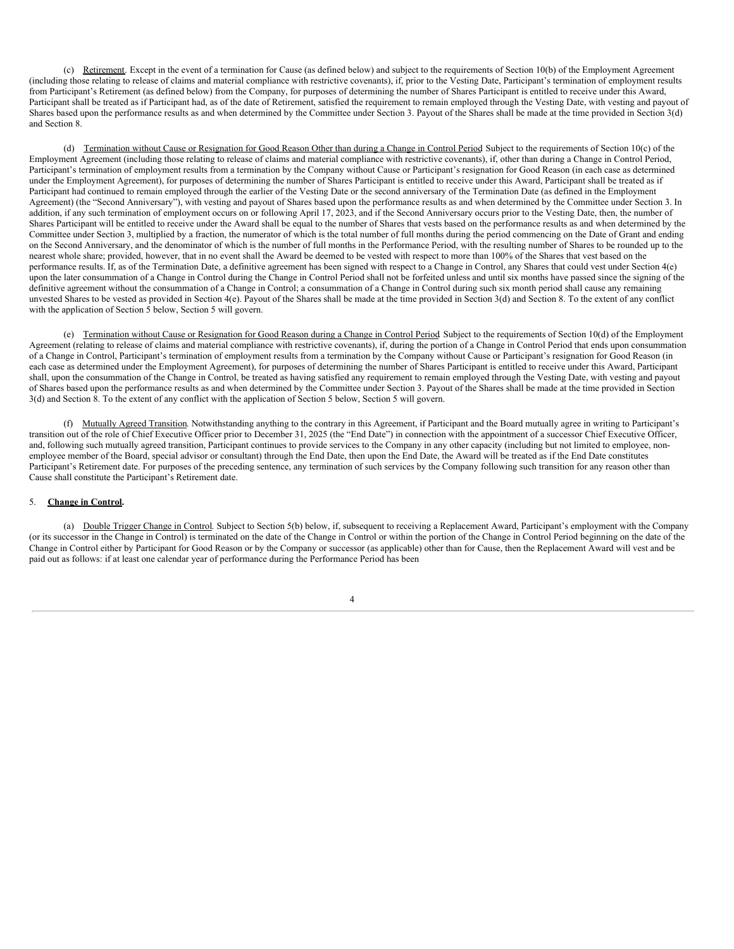(c) Retirement. Except in the event of a termination for Cause (as defined below) and subject to the requirements of Section 10(b) of the Employment Agreement (including those relating to release of claims and material compliance with restrictive covenants), if, prior to the Vesting Date, Participant's termination of employment results from Participant's Retirement (as defined below) from the Company, for purposes of determining the number of Shares Participant is entitled to receive under this Award, Participant shall be treated as if Participant had, as of the date of Retirement, satisfied the requirement to remain employed through the Vesting Date, with vesting and payout of Shares based upon the performance results as and when determined by the Committee under Section 3. Payout of the Shares shall be made at the time provided in Section 3(d) and Section 8.

(d) Termination without Cause or Resignation for Good Reason Other than during a Change in Control Period. Subject to the requirements of Section 10(c) of the Employment Agreement (including those relating to release of claims and material compliance with restrictive covenants), if, other than during a Change in Control Period, Participant's termination of employment results from a termination by the Company without Cause or Participant's resignation for Good Reason (in each case as determined under the Employment Agreement), for purposes of determining the number of Shares Participant is entitled to receive under this Award, Participant shall be treated as if Participant had continued to remain employed through the earlier of the Vesting Date or the second anniversary of the Termination Date (as defined in the Employment Agreement) (the "Second Anniversary"), with vesting and payout of Shares based upon the performance results as and when determined by the Committee under Section 3. In addition, if any such termination of employment occurs on or following April 17, 2023, and if the Second Anniversary occurs prior to the Vesting Date, then, the number of Shares Participant will be entitled to receive under the Award shall be equal to the number of Shares that vests based on the performance results as and when determined by the Committee under Section 3, multiplied by a fraction, the numerator of which is the total number of full months during the period commencing on the Date of Grant and ending on the Second Anniversary, and the denominator of which is the number of full months in the Performance Period, with the resulting number of Shares to be rounded up to the nearest whole share; provided, however, that in no event shall the Award be deemed to be vested with respect to more than 100% of the Shares that vest based on the performance results. If, as of the Termination Date, a definitive agreement has been signed with respect to a Change in Control, any Shares that could vest under Section 4(e) upon the later consummation of a Change in Control during the Change in Control Period shall not be forfeited unless and until six months have passed since the signing of the definitive agreement without the consummation of a Change in Control; a consummation of a Change in Control during such six month period shall cause any remaining unvested Shares to be vested as provided in Section  $4(e)$ . Payout of the Shares shall be made at the time provided in Section 3(d) and Section 8. To the extent of any conflict with the application of Section  $\overline{5}$  below, Section 5 will govern.

(e) Termination without Cause or Resignation for Good Reason during a Change in Control Period. Subject to the requirements of Section 10(d) of the Employment Agreement (relating to release of claims and material compliance with restrictive covenants), if, during the portion of a Change in Control Period that ends upon consummation of a Change in Control, Participant's termination of employment results from a termination by the Company without Cause or Participant's resignation for Good Reason (in each case as determined under the Employment Agreement), for purposes of determining the number of Shares Participant is entitled to receive under this Award, Participant shall, upon the consummation of the Change in Control, be treated as having satisfied any requirement to remain employed through the Vesting Date, with vesting and payout of Shares based upon the performance results as and when determined by the Committee under Section 3. Payout of the Shares shall be made at the time provided in Section 3(d) and Section 8. To the extent of any conflict with the application of Section 5 below, Section 5 will govern.

(f) Mutually Agreed Transition. Notwithstanding anything to the contrary in this Agreement, if Participant and the Board mutually agree in writing to Participant's transition out of the role of Chief Executive Officer prior to December 31, 2025 (the "End Date") in connection with the appointment of a successor Chief Executive Officer, and, following such mutually agreed transition, Participant continues to provide services to the Company in any other capacity (including but not limited to employee, nonemployee member of the Board, special advisor or consultant) through the End Date, then upon the End Date, the Award will be treated as if the End Date constitutes Participant's Retirement date. For purposes of the preceding sentence, any termination of such services by the Company following such transition for any reason other than Cause shall constitute the Participant's Retirement date.

#### 5. **Change in Control.**

(a) Double Trigger Change in Control. Subject to Section 5(b) below, if, subsequent to receiving a Replacement Award, Participant's employment with the Company (or its successor in the Change in Control) is terminated on the date of the Change in Control or within the portion of the Change in Control Period beginning on the date of the Change in Control either by Participant for Good Reason or by the Company or successor (as applicable) other than for Cause, then the Replacement Award will vest and be paid out as follows: if at least one calendar year of performance during the Performance Period has been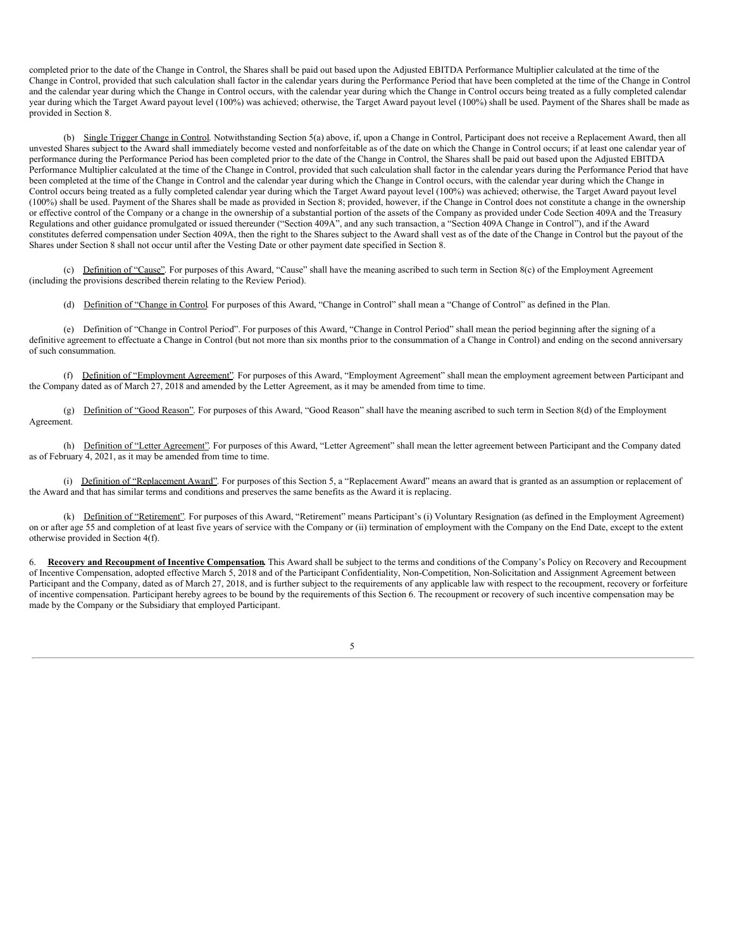<span id="page-40-0"></span>completed prior to the date of the Change in Control, the Shares shall be paid out based upon the Adjusted EBITDA Performance Multiplier calculated at the time of the Change in Control, provided that such calculation shall factor in the calendar years during the Performance Period that have been completed at the time of the Change in Control and the calendar year during which the Change in Control occurs, with the calendar year during which the Change in Control occurs being treated as a fully completed calendar year during which the Target Award payout level (100%) was achieved; otherwise, the Target Award payout level (100%) shall be used. Payment of the Shares shall be made as provided in Section 8.

(b) Single Trigger Change in Control. Notwithstanding Section 5(a) above, if, upon a Change in Control, Participant does not receive a Replacement Award, then all unvested Shares subject to the Award shall immediately become vested and nonforfeitable as of the date on which the Change in Control occurs; if at least one calendar year of performance during the Performance Period has been completed prior to the date of the Change in Control, the Shares shall be paid out based upon the Adjusted EBITDA Performance Multiplier calculated at the time of the Change in Control, provided that such calculation shall factor in the calendar years during the Performance Period that have been completed at the time of the Change in Control and the calendar year during which the Change in Control occurs, with the calendar year during which the Change in Control occurs being treated as a fully completed calendar year during which the Target Award payout level (100%) was achieved; otherwise, the Target Award payout level (100%) shall be used. Payment of the Shares shall be made as provided in Section 8; provided, however, if the Change in Control does not constitute a change in the ownership or effective control of the Company or a change in the ownership of a substantial portion of the assets of the Company as provided under Code Section 409A and the Treasury Regulations and other guidance promulgated or issued thereunder ("Section 409A", and any such transaction, a "Section 409A Change in Control"), and if the Award constitutes deferred compensation under Section 409A, then the right to the Shares subject to the Award shall vest as of the date of the Change in Control but the payout of the Shares under Section 8 shall not occur until after the Vesting Date or other payment date specified in Section 8.

(c) Definition of "Cause". For purposes of this Award, "Cause" shall have the meaning ascribed to such term in Section 8(c) of the Employment Agreement (including the provisions described therein relating to the Review Period).

(d) Definition of "Change in Control. For purposes of this Award, "Change in Control" shall mean a "Change of Control" as defined in the Plan.

(e) Definition of "Change in Control Period". For purposes of this Award, "Change in Control Period" shall mean the period beginning after the signing of a definitive agreement to effectuate a Change in Control (but not more than six months prior to the consummation of a Change in Control) and ending on the second anniversary of such consummation.

(f) Definition of "Employment Agreement". For purposes of this Award, "Employment Agreement" shall mean the employment agreement between Participant and the Company dated as of March 27, 2018 and amended by the Letter Agreement, as it may be amended from time to time.

(g) Definition of "Good Reason". For purposes of this Award, "Good Reason" shall have the meaning ascribed to such term in Section 8(d) of the Employment Agreement.

(h) Definition of "Letter Agreement". For purposes of this Award, "Letter Agreement" shall mean the letter agreement between Participant and the Company dated as of February 4, 2021, as it may be amended from time to time.

(i) Definition of "Replacement Award". For purposes of this Section 5, a "Replacement Award" means an award that is granted as an assumption or replacement of the Award and that has similar terms and conditions and preserves the same benefits as the Award it is replacing.

(k) Definition of "Retirement". For purposes of this Award, "Retirement" means Participant's (i) Voluntary Resignation (as defined in the Employment Agreement) on or after age 55 and completion of at least five years of service with the Company or (ii) termination of employment with the Company on the End Date, except to the extent otherwise provided in Section 4(f).

6. **Recovery and Recoupment of Incentive Compensation.** This Award shall be subject to the terms and conditions of the Company's Policy on Recovery and Recoupment of Incentive Compensation, adopted effective March 5, 2018 and of the Participant Confidentiality, Non-Competition, Non-Solicitation and Assignment Agreement between Participant and the Company, dated as of March 27, 2018, and is further subject to the requirements of any applicable law with respect to the recoupment, recovery or forfeiture of incentive compensation. Participant hereby agrees to be bound by the requirements of this Section 6. The recoupment or recovery of such incentive compensation may be made by the Company or the Subsidiary that employed Participant.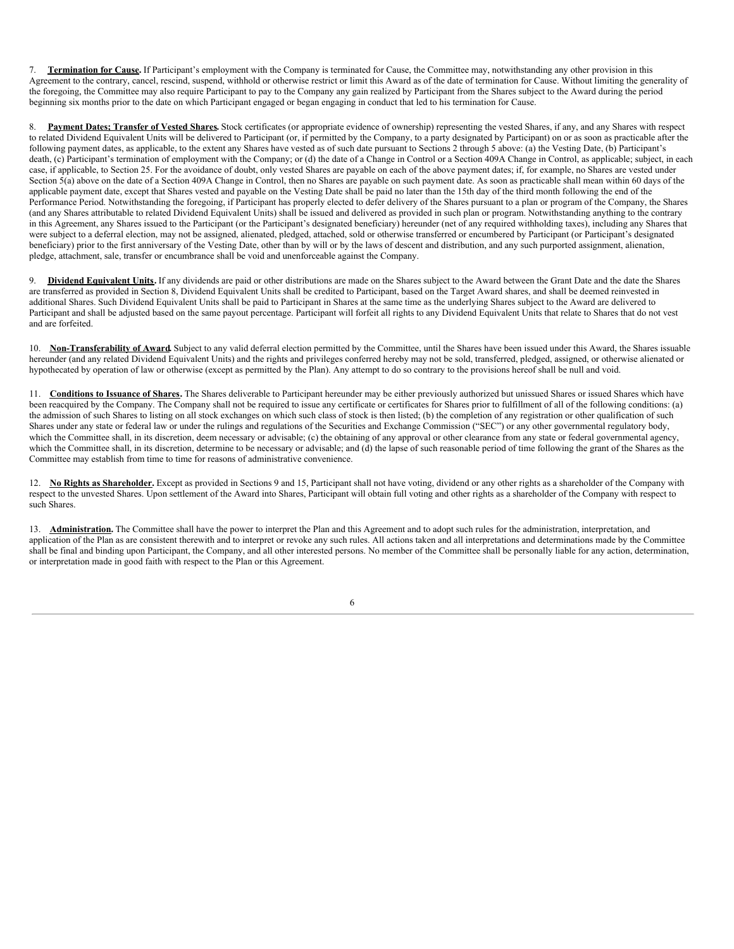7. **Termination for Cause.** If Participant's employment with the Company is terminated for Cause, the Committee may, notwithstanding any other provision in this Agreement to the contrary, cancel, rescind, suspend, withhold or otherwise restrict or limit this Award as of the date of termination for Cause. Without limiting the generality of the foregoing, the Committee may also require Participant to pay to the Company any gain realized by Participant from the Shares subject to the Award during the period beginning six months prior to the date on which Participant engaged or began engaging in conduct that led to his termination for Cause.

8. **Payment Dates; Transfer of Vested Shares.** Stock certificates (or appropriate evidence of ownership) representing the vested Shares, if any, and any Shares with respect to related Dividend Equivalent Units will be delivered to Participant (or, if permitted by the Company, to a party designated by Participant) on or as soon as practicable after the following payment dates, as applicable, to the extent any Shares have vested as of such date pursuant to Sections 2 through 5 above: (a) the Vesting Date, (b) Participant's death, (c) Participant's termination of employment with the Company; or (d) the date of a Change in Control or a Section 409A Change in Control, as applicable; subject, in each case, if applicable, to Section 25. For the avoidance of doubt, only vested Shares are payable on each of the above payment dates; if, for example, no Shares are vested under Section 5(a) above on the date of a Section 409A Change in Control, then no Shares are payable on such payment date. As soon as practicable shall mean within 60 days of the applicable payment date, except that Shares vested and payable on the Vesting Date shall be paid no later than the 15th day of the third month following the end of the Performance Period. Notwithstanding the foregoing, if Participant has properly elected to defer delivery of the Shares pursuant to a plan or program of the Company, the Shares (and any Shares attributable to related Dividend Equivalent Units) shall be issued and delivered as provided in such plan or program. Notwithstanding anything to the contrary in this Agreement, any Shares issued to the Participant (or the Participant's designated beneficiary) hereunder (net of any required withholding taxes), including any Shares that were subject to a deferral election, may not be assigned, alienated, pledged, attached, sold or otherwise transferred or encumbered by Participant (or Participant's designated beneficiary) prior to the first anniversary of the Vesting Date, other than by will or by the laws of descent and distribution, and any such purported assignment, alienation, pledge, attachment, sale, transfer or encumbrance shall be void and unenforceable against the Company.

9. **Dividend Equivalent Units.** If any dividends are paid or other distributions are made on the Shares subject to the Award between the Grant Date and the date the Shares are transferred as provided in Section 8, Dividend Equivalent Units shall be credited to Participant, based on the Target Award shares, and shall be deemed reinvested in additional Shares. Such Dividend Equivalent Units shall be paid to Participant in Shares at the same time as the underlying Shares subject to the Award are delivered to Participant and shall be adjusted based on the same payout percentage. Participant will forfeit all rights to any Dividend Equivalent Units that relate to Shares that do not vest and are forfeited.

10. **Non-Transferability of Award.** Subject to any valid deferral election permitted by the Committee, until the Shares have been issued under this Award, the Shares issuable hereunder (and any related Dividend Equivalent Units) and the rights and privileges conferred hereby may not be sold, transferred, pledged, assigned, or otherwise alienated or hypothecated by operation of law or otherwise (except as permitted by the Plan). Any attempt to do so contrary to the provisions hereof shall be null and void.

11. **Conditions to Issuance of Shares.** The Shares deliverable to Participant hereunder may be either previously authorized but unissued Shares or issued Shares which have been reacquired by the Company. The Company shall not be required to issue any certificate or certificates for Shares prior to fulfillment of all of the following conditions: (a) the admission of such Shares to listing on all stock exchanges on which such class of stock is then listed; (b) the completion of any registration or other qualification of such Shares under any state or federal law or under the rulings and regulations of the Securities and Exchange Commission ("SEC") or any other governmental regulatory body, which the Committee shall, in its discretion, deem necessary or advisable; (c) the obtaining of any approval or other clearance from any state or federal governmental agency, which the Committee shall, in its discretion, determine to be necessary or advisable; and (d) the lapse of such reasonable period of time following the grant of the Shares as the Committee may establish from time to time for reasons of administrative convenience.

12. **No Rights as Shareholder.** Except as provided in Sections 9 and 15, Participant shall not have voting, dividend or any other rights as a shareholder of the Company with respect to the unvested Shares. Upon settlement of the Award into Shares, Participant will obtain full voting and other rights as a shareholder of the Company with respect to such Shares.

13. **Administration**. The Committee shall have the power to interpret the Plan and this Agreement and to adopt such rules for the administration, interpretation, and application of the Plan as are consistent therewith and to interpret or revoke any such rules. All actions taken and all interpretations and determinations made by the Committee shall be final and binding upon Participant, the Company, and all other interested persons. No member of the Committee shall be personally liable for any action, determination, or interpretation made in good faith with respect to the Plan or this Agreement.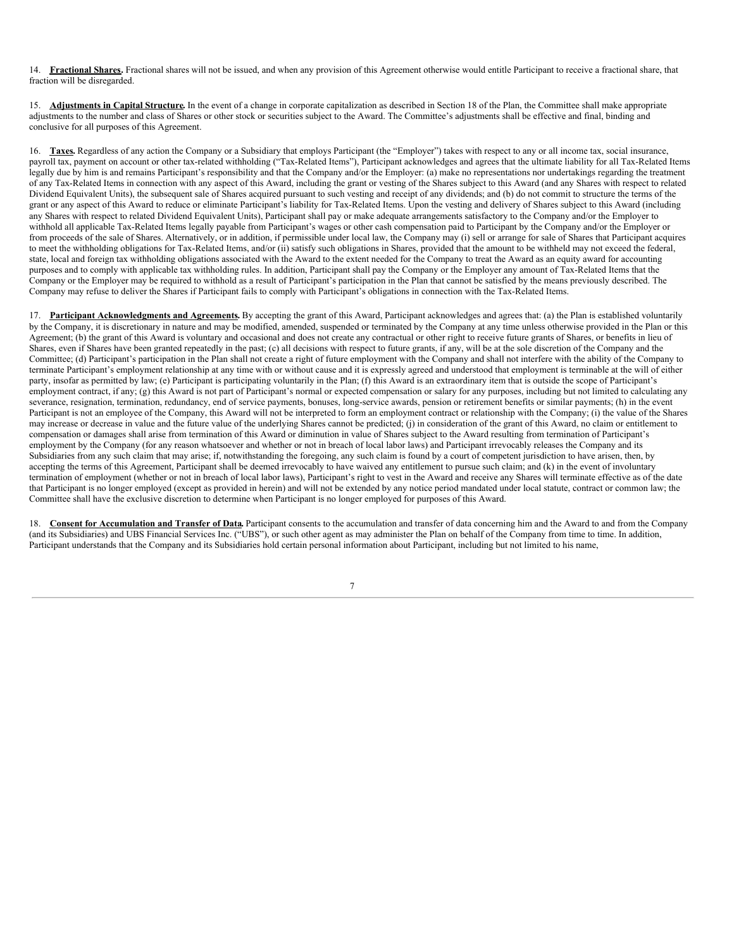14. **Fractional Shares.** Fractional shares will not be issued, and when any provision of this Agreement otherwise would entitle Participant to receive a fractional share, that fraction will be disregarded.

15. **Adjustments in Capital Structure.** In the event of a change in corporate capitalization as described in Section 18 of the Plan, the Committee shall make appropriate adjustments to the number and class of Shares or other stock or securities subject to the Award. The Committee's adjustments shall be effective and final, binding and conclusive for all purposes of this Agreement.

16. **Taxes.** Regardless of any action the Company or a Subsidiary that employs Participant (the "Employer") takes with respect to any or all income tax, social insurance, payroll tax, payment on account or other tax-related withholding ("Tax-Related Items"), Participant acknowledges and agrees that the ultimate liability for all Tax-Related Items legally due by him is and remains Participant's responsibility and that the Company and/or the Employer: (a) make no representations nor undertakings regarding the treatment of any Tax-Related Items in connection with any aspect of this Award, including the grant or vesting of the Shares subject to this Award (and any Shares with respect to related Dividend Equivalent Units), the subsequent sale of Shares acquired pursuant to such vesting and receipt of any dividends; and (b) do not commit to structure the terms of the grant or any aspect of this Award to reduce or eliminate Participant's liability for Tax-Related Items. Upon the vesting and delivery of Shares subject to this Award (including any Shares with respect to related Dividend Equivalent Units), Participant shall pay or make adequate arrangements satisfactory to the Company and/or the Employer to withhold all applicable Tax-Related Items legally payable from Participant's wages or other cash compensation paid to Participant by the Company and/or the Employer or from proceeds of the sale of Shares. Alternatively, or in addition, if permissible under local law, the Company may (i) sell or arrange for sale of Shares that Participant acquires to meet the withholding obligations for Tax-Related Items, and/or (ii) satisfy such obligations in Shares, provided that the amount to be withheld may not exceed the federal, state, local and foreign tax withholding obligations associated with the Award to the extent needed for the Company to treat the Award as an equity award for accounting purposes and to comply with applicable tax withholding rules. In addition, Participant shall pay the Company or the Employer any amount of Tax-Related Items that the Company or the Employer may be required to withhold as a result of Participant's participation in the Plan that cannot be satisfied by the means previously described. The Company may refuse to deliver the Shares if Participant fails to comply with Participant's obligations in connection with the Tax-Related Items.

17. **Participant Acknowledgments and Agreements.** By accepting the grant of this Award, Participant acknowledges and agrees that: (a) the Plan is established voluntarily by the Company, it is discretionary in nature and may be modified, amended, suspended or terminated by the Company at any time unless otherwise provided in the Plan or this Agreement; (b) the grant of this Award is voluntary and occasional and does not create any contractual or other right to receive future grants of Shares, or benefits in lieu of Shares, even if Shares have been granted repeatedly in the past; (c) all decisions with respect to future grants, if any, will be at the sole discretion of the Company and the Committee; (d) Participant's participation in the Plan shall not create a right of future employment with the Company and shall not interfere with the ability of the Company to terminate Participant's employment relationship at any time with or without cause and it is expressly agreed and understood that employment is terminable at the will of either party, insofar as permitted by law; (e) Participant is participating voluntarily in the Plan; (f) this Award is an extraordinary item that is outside the scope of Participant's employment contract, if any; (g) this Award is not part of Participant's normal or expected compensation or salary for any purposes, including but not limited to calculating any severance, resignation, termination, redundancy, end of service payments, bonuses, long-service awards, pension or retirement benefits or similar payments; (h) in the event Participant is not an employee of the Company, this Award will not be interpreted to form an employment contract or relationship with the Company; (i) the value of the Shares may increase or decrease in value and the future value of the underlying Shares cannot be predicted; (j) in consideration of the grant of this Award, no claim or entitlement to compensation or damages shall arise from termination of this Award or diminution in value of Shares subject to the Award resulting from termination of Participant's employment by the Company (for any reason whatsoever and whether or not in breach of local labor laws) and Participant irrevocably releases the Company and its Subsidiaries from any such claim that may arise; if, notwithstanding the foregoing, any such claim is found by a court of competent jurisdiction to have arisen, then, by accepting the terms of this Agreement, Participant shall be deemed irrevocably to have waived any entitlement to pursue such claim; and (k) in the event of involuntary termination of employment (whether or not in breach of local labor laws), Participant's right to vest in the Award and receive any Shares will terminate effective as of the date that Participant is no longer employed (except as provided in herein) and will not be extended by any notice period mandated under local statute, contract or common law; the Committee shall have the exclusive discretion to determine when Participant is no longer employed for purposes of this Award.

18. **Consent for Accumulation and Transfer of Data.** Participant consents to the accumulation and transfer of data concerning him and the Award to and from the Company (and its Subsidiaries) and UBS Financial Services Inc. ("UBS"), or such other agent as may administer the Plan on behalf of the Company from time to time. In addition, Participant understands that the Company and its Subsidiaries hold certain personal information about Participant, including but not limited to his name,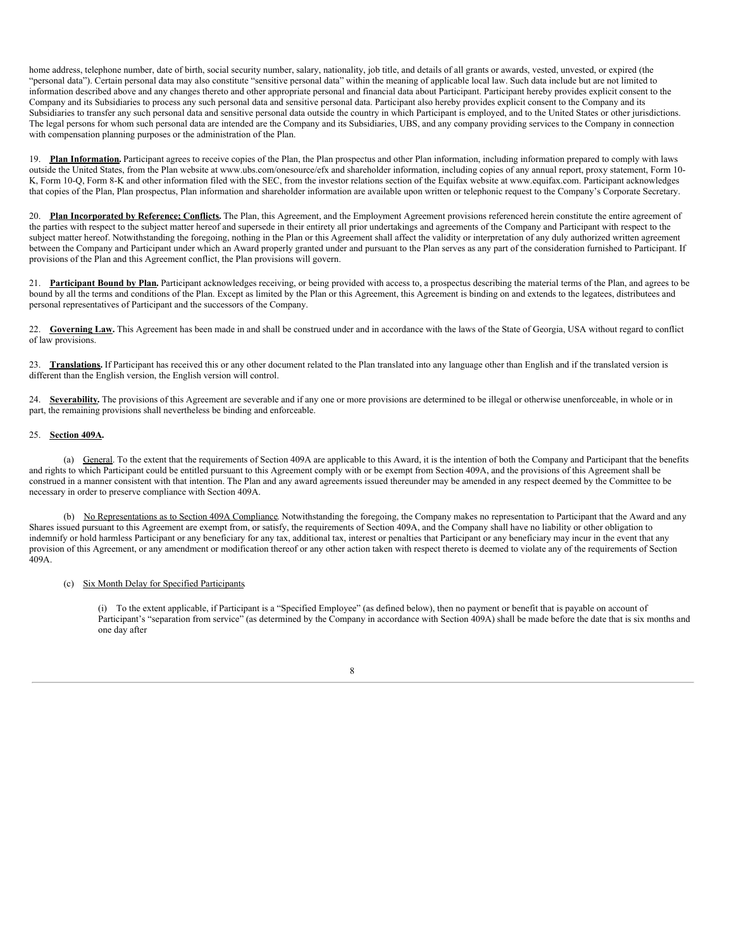home address, telephone number, date of birth, social security number, salary, nationality, job title, and details of all grants or awards, vested, unvested, or expired (the "personal data"). Certain personal data may also constitute "sensitive personal data" within the meaning of applicable local law. Such data include but are not limited to information described above and any changes thereto and other appropriate personal and financial data about Participant. Participant hereby provides explicit consent to the Company and its Subsidiaries to process any such personal data and sensitive personal data. Participant also hereby provides explicit consent to the Company and its Subsidiaries to transfer any such personal data and sensitive personal data outside the country in which Participant is employed, and to the United States or other jurisdictions. The legal persons for whom such personal data are intended are the Company and its Subsidiaries, UBS, and any company providing services to the Company in connection with compensation planning purposes or the administration of the Plan.

19. **Plan Information.** Participant agrees to receive copies of the Plan, the Plan prospectus and other Plan information, including information prepared to comply with laws outside the United States, from the Plan website at www.ubs.com/onesource/efx and shareholder information, including copies of any annual report, proxy statement, Form 10- K, Form 10-Q, Form 8-K and other information filed with the SEC, from the investor relations section of the Equifax website at www.equifax.com. Participant acknowledges that copies of the Plan, Plan prospectus, Plan information and shareholder information are available upon written or telephonic request to the Company's Corporate Secretary.

20. **Plan Incorporated by Reference; Conflicts.** The Plan, this Agreement, and the Employment Agreement provisions referenced herein constitute the entire agreement of the parties with respect to the subject matter hereof and supersede in their entirety all prior undertakings and agreements of the Company and Participant with respect to the subject matter hereof. Notwithstanding the foregoing, nothing in the Plan or this Agreement shall affect the validity or interpretation of any duly authorized written agreement between the Company and Participant under which an Award properly granted under and pursuant to the Plan serves as any part of the consideration furnished to Participant. If provisions of the Plan and this Agreement conflict, the Plan provisions will govern.

21. Participant Bound by Plan. Participant acknowledges receiving, or being provided with access to, a prospectus describing the material terms of the Plan, and agrees to be bound by all the terms and conditions of the Plan. Except as limited by the Plan or this Agreement, this Agreement is binding on and extends to the legatees, distributees and personal representatives of Participant and the successors of the Company.

22. **Governing Law.** This Agreement has been made in and shall be construed under and in accordance with the laws of the State of Georgia, USA without regard to conflict of law provisions.

23. **Translations.** If Participant has received this or any other document related to the Plan translated into any language other than English and if the translated version is different than the English version, the English version will control.

24. **Severability.** The provisions of this Agreement are severable and if any one or more provisions are determined to be illegal or otherwise unenforceable, in whole or in part, the remaining provisions shall nevertheless be binding and enforceable.

#### 25. **Section 409A.**

(a) General. To the extent that the requirements of Section 409A are applicable to this Award, it is the intention of both the Company and Participant that the benefits and rights to which Participant could be entitled pursuant to this Agreement comply with or be exempt from Section 409A, and the provisions of this Agreement shall be construed in a manner consistent with that intention. The Plan and any award agreements issued thereunder may be amended in any respect deemed by the Committee to be necessary in order to preserve compliance with Section 409A.

(b) No Representations as to Section 409A Compliance. Notwithstanding the foregoing, the Company makes no representation to Participant that the Award and any Shares issued pursuant to this Agreement are exempt from, or satisfy, the requirements of Section 409A, and the Company shall have no liability or other obligation to indemnify or hold harmless Participant or any beneficiary for any tax, additional tax, interest or penalties that Participant or any beneficiary may incur in the event that any provision of this Agreement, or any amendment or modification thereof or any other action taken with respect thereto is deemed to violate any of the requirements of Section 409A.

#### (c) Six Month Delay for Specified Participants.

(i) To the extent applicable, if Participant is a "Specified Employee" (as defined below), then no payment or benefit that is payable on account of Participant's "separation from service" (as determined by the Company in accordance with Section 409A) shall be made before the date that is six months and one day after

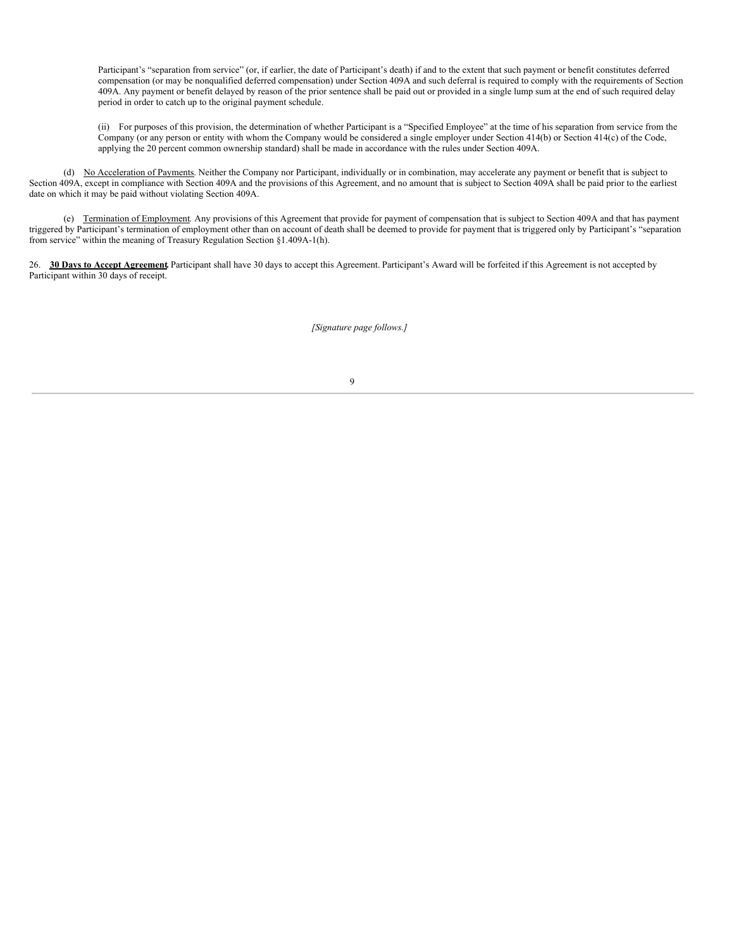Participant's "separation from service" (or, if earlier, the date of Participant's death) if and to the extent that such payment or benefit constitutes deferred compensation (or may be nonqualified deferred compensation) under Section 409A and such deferral is required to comply with the requirements of Section 409A. Any payment or benefit delayed by reason of the prior sentence shall be paid out or provided in a single lump sum at the end of such required delay period in order to catch up to the original payment schedule.

(ii) For purposes of this provision, the determination of whether Participant is a "Specified Employee" at the time of his separation from service from the Company (or any person or entity with whom the Company would be considered a single employer under Section 414(b) or Section 414(c) of the Code, applying the 20 percent common ownership standard) shall be made in accordance with the rules under Section 409A.

(d) No Acceleration of Payments. Neither the Company nor Participant, individually or in combination, may accelerate any payment or benefit that is subject to Section 409A, except in compliance with Section 409A and the provisions of this Agreement, and no amount that is subject to Section 409A shall be paid prior to the earliest date on which it may be paid without violating Section 409A.

(e) Termination of Employment. Any provisions of this Agreement that provide for payment of compensation that is subject to Section 409A and that has payment triggered by Participant's termination of employment other than on account of death shall be deemed to provide for payment that is triggered only by Participant's "separation from service" within the meaning of Treasury Regulation Section §1.409A-1(h).

26. **30 Days to Accept Agreement.** Participant shall have 30 days to accept this Agreement. Participant's Award will be forfeited if this Agreement is not accepted by Participant within 30 days of receipt.

*[Signature page follows.]*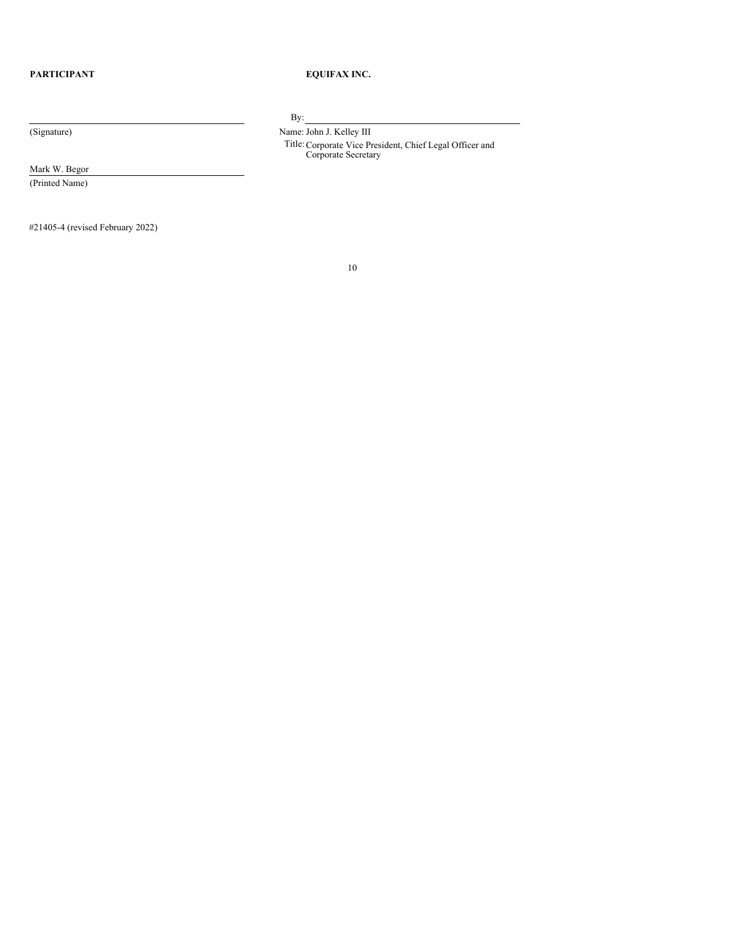# **PARTICIPANT EQUIFAX INC.**

By:

Mark W. Begor

(Printed Name)

#21405-4 (revised February 2022)

(Signature) Name:John J. Kelley III

Title:Corporate Vice President, Chief Legal Officer and Corporate Secretary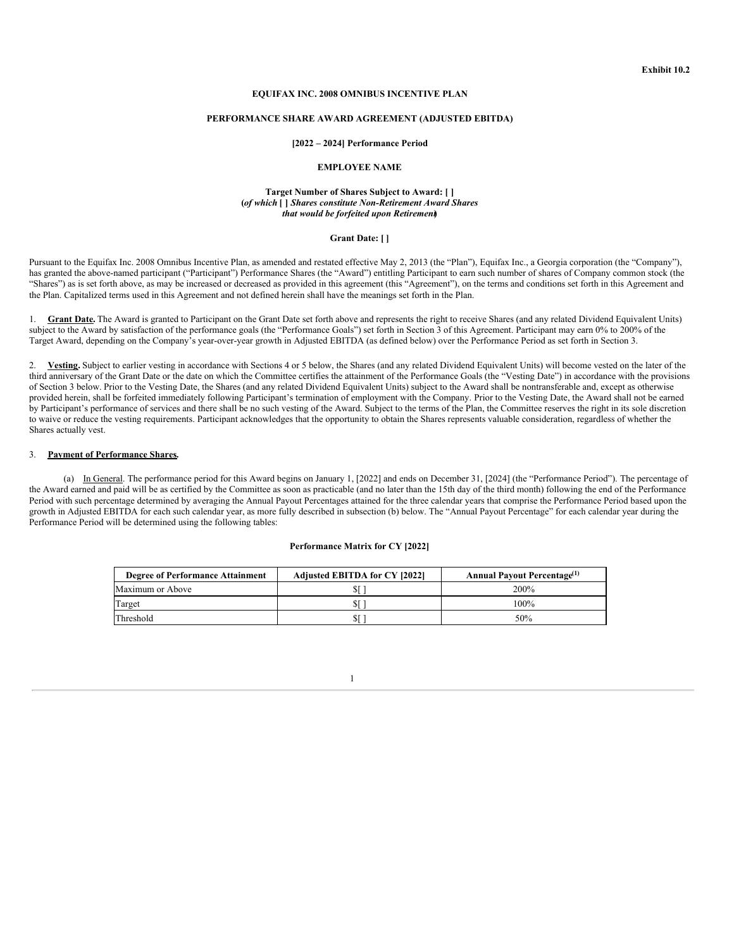# **EQUIFAX INC. 2008 OMNIBUS INCENTIVE PLAN**

#### **PERFORMANCE SHARE AWARD AGREEMENT (ADJUSTED EBITDA)**

#### **[2022 – 2024] Performance Period**

#### **EMPLOYEE NAME**

#### **Target Number of Shares Subject to Award: [ ] (***of which* **[ ]** *Shares constitute Non-Retirement Award Shares that would be forfeited upon Retirement***)**

## **Grant Date: [ ]**

Pursuant to the Equifax Inc. 2008 Omnibus Incentive Plan, as amended and restated effective May 2, 2013 (the "Plan"), Equifax Inc., a Georgia corporation (the "Company"), has granted the above-named participant ("Participant") Performance Shares (the "Award") entitling Participant to earn such number of shares of Company common stock (the "Shares") as is set forth above, as may be increased or decreased as provided in this agreement (this "Agreement"), on the terms and conditions set forth in this Agreement and the Plan. Capitalized terms used in this Agreement and not defined herein shall have the meanings set forth in the Plan.

1. **Grant Date.** The Award is granted to Participant on the Grant Date set forth above and represents the right to receive Shares (and any related Dividend Equivalent Units) subject to the Award by satisfaction of the performance goals (the "Performance Goals") set forth in Section 3 of this Agreement. Participant may earn 0% to 200% of the Target Award, depending on the Company's year-over-year growth in Adjusted EBITDA (as defined below) over the Performance Period as set forth in Section 3.

2. **Vesting.** Subject to earlier vesting in accordance with Sections 4 or 5 below, the Shares (and any related Dividend Equivalent Units) will become vested on the later of the third anniversary of the Grant Date or the date on which the Committee certifies the attainment of the Performance Goals (the "Vesting Date") in accordance with the provisions of Section 3 below. Prior to the Vesting Date, the Shares (and any related Dividend Equivalent Units) subject to the Award shall be nontransferable and, except as otherwise provided herein, shall be forfeited immediately following Participant's termination of employment with the Company. Prior to the Vesting Date, the Award shall not be earned by Participant's performance of services and there shall be no such vesting of the Award. Subject to the terms of the Plan, the Committee reserves the right in its sole discretion to waive or reduce the vesting requirements. Participant acknowledges that the opportunity to obtain the Shares represents valuable consideration, regardless of whether the Shares actually vest.

#### 3. **Payment of Performance Shares.**

(a) In General. The performance period for this Award begins on January 1, [2022] and ends on December 31, [2024] (the "Performance Period"). The percentage of the Award earned and paid will be as certified by the Committee as soon as practicable (and no later than the 15th day of the third month) following the end of the Performance Period with such percentage determined by averaging the Annual Payout Percentages attained for the three calendar years that comprise the Performance Period based upon the growth in Adjusted EBITDA for each such calendar year, as more fully described in subsection (b) below. The "Annual Payout Percentage" for each calendar year during the Performance Period will be determined using the following tables:

#### **Performance Matrix for CY [2022]**

| <b>Degree of Performance Attainment</b> | Adjusted EBITDA for CY [2022] | <b>Annual Payout Percentage</b> <sup>(1)</sup> |
|-----------------------------------------|-------------------------------|------------------------------------------------|
| Maximum or Above                        |                               | <b>200%</b>                                    |
| Target                                  |                               | $100\%$                                        |
| Threshold                               |                               | 50%                                            |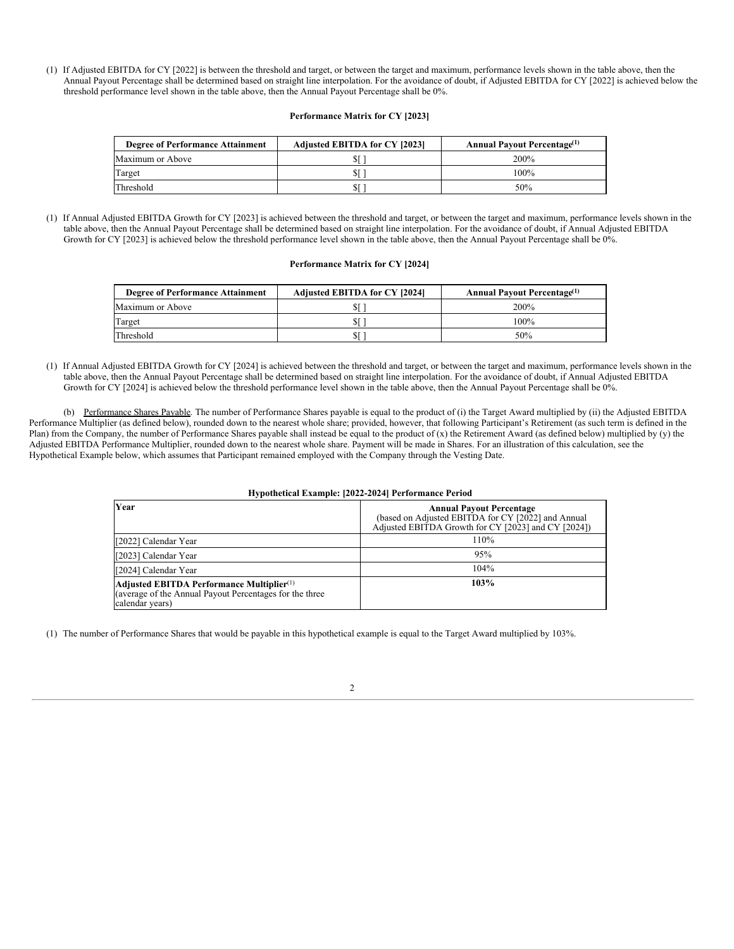(1) If Adjusted EBITDA for CY [2022] is between the threshold and target, or between the target and maximum, performance levels shown in the table above, then the Annual Payout Percentage shall be determined based on straight line interpolation. For the avoidance of doubt, if Adjusted EBITDA for CY [2022] is achieved below the threshold performance level shown in the table above, then the Annual Payout Percentage shall be 0%.

## **Performance Matrix for CY [2023]**

| <b>Degree of Performance Attainment</b> | Adjusted EBITDA for CY [2023] | Annual Payout Percentage <sup>(1)</sup> |
|-----------------------------------------|-------------------------------|-----------------------------------------|
| Maximum or Above                        |                               | 200%                                    |
| Target                                  |                               | 100%                                    |
| Threshold                               |                               | 50%                                     |

(1) If Annual Adjusted EBITDA Growth for CY [2023] is achieved between the threshold and target, or between the target and maximum, performance levels shown in the table above, then the Annual Payout Percentage shall be determined based on straight line interpolation. For the avoidance of doubt, if Annual Adjusted EBITDA Growth for CY [2023] is achieved below the threshold performance level shown in the table above, then the Annual Payout Percentage shall be 0%.

#### **Performance Matrix for CY [2024]**

| Degree of Performance Attainment | <b>Adjusted EBITDA for CY [2024]</b> | Annual Payout Percentage <sup>(1)</sup> |
|----------------------------------|--------------------------------------|-----------------------------------------|
| Maximum or Above                 | SΙ                                   | 200%                                    |
| Target                           |                                      | $100\%$                                 |
| Threshold                        | SI.                                  | 50%                                     |

(1) If Annual Adjusted EBITDA Growth for CY [2024] is achieved between the threshold and target, or between the target and maximum, performance levels shown in the table above, then the Annual Payout Percentage shall be determined based on straight line interpolation. For the avoidance of doubt, if Annual Adjusted EBITDA Growth for CY [2024] is achieved below the threshold performance level shown in the table above, then the Annual Payout Percentage shall be 0%.

(b) Performance Shares Payable. The number of Performance Shares payable is equal to the product of (i) the Target Award multiplied by (ii) the Adjusted EBITDA Performance Multiplier (as defined below), rounded down to the nearest whole share; provided, however, that following Participant's Retirement (as such term is defined in the Plan) from the Company, the number of Performance Shares payable shall instead be equal to the product of  $(x)$  the Retirement Award (as defined below) multiplied by  $(y)$  the Adjusted EBITDA Performance Multiplier, rounded down to the nearest whole share. Payment will be made in Shares. For an illustration of this calculation, see the Hypothetical Example below, which assumes that Participant remained employed with the Company through the Vesting Date.

#### **Hypothetical Example: [2022-2024] Performance Period**

| Year                                                                                                                                | <b>Annual Payout Percentage</b><br>(based on Adjusted EBITDA for CY [2022] and Annual<br>Adjusted EBITDA Growth for CY [2023] and CY [2024]) |
|-------------------------------------------------------------------------------------------------------------------------------------|----------------------------------------------------------------------------------------------------------------------------------------------|
| [2022] Calendar Year                                                                                                                | 110%                                                                                                                                         |
| [2023] Calendar Year                                                                                                                | 95%                                                                                                                                          |
| [2024] Calendar Year                                                                                                                | 104%                                                                                                                                         |
| Adjusted EBITDA Performance Multiplier <sup>(1)</sup><br>(average of the Annual Payout Percentages for the three<br>calendar years) | 103%                                                                                                                                         |

(1) The number of Performance Shares that would be payable in this hypothetical example is equal to the Target Award multiplied by 103%.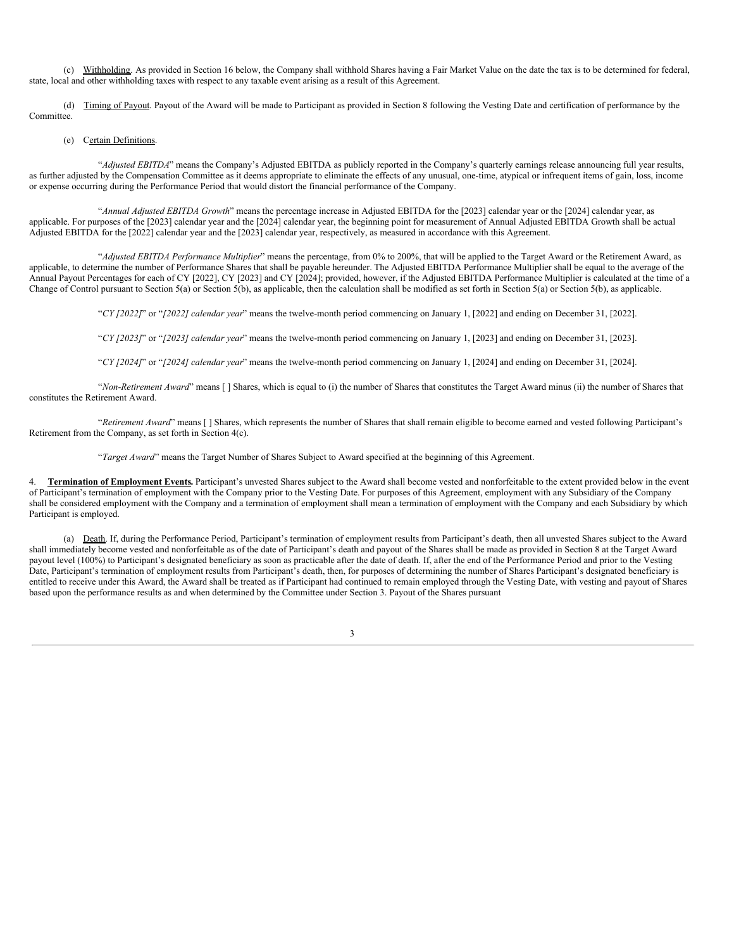(c) Withholding. As provided in Section 16 below, the Company shall withhold Shares having a Fair Market Value on the date the tax is to be determined for federal, state, local and other withholding taxes with respect to any taxable event arising as a result of this Agreement.

(d) Timing of Payout. Payout of the Award will be made to Participant as provided in Section 8 following the Vesting Date and certification of performance by the Committee.

#### (e) Certain Definitions.

"*Adjusted EBITDA*" means the Company's Adjusted EBITDA as publicly reported in the Company's quarterly earnings release announcing full year results, as further adjusted by the Compensation Committee as it deems appropriate to eliminate the effects of any unusual, one-time, atypical or infrequent items of gain, loss, income or expense occurring during the Performance Period that would distort the financial performance of the Company.

"*Annual Adjusted EBITDA Growth*" means the percentage increase in Adjusted EBITDA for the [2023] calendar year or the [2024] calendar year, as applicable. For purposes of the [2023] calendar year and the [2024] calendar year, the beginning point for measurement of Annual Adjusted EBITDA Growth shall be actual Adjusted EBITDA for the [2022] calendar year and the [2023] calendar year, respectively, as measured in accordance with this Agreement.

"*Adjusted EBITDA Performance Multiplier*" means the percentage, from 0% to 200%, that will be applied to the Target Award or the Retirement Award, as applicable, to determine the number of Performance Shares that shall be payable hereunder. The Adjusted EBITDA Performance Multiplier shall be equal to the average of the Annual Payout Percentages for each of CY [2022], CY [2023] and CY [2024]; provided, however, if the Adjusted EBITDA Performance Multiplier is calculated at the time of a Change of Control pursuant to Section 5(a) or Section 5(b), as applicable, then the calculation shall be modified as set forth in Section 5(a) or Section 5(b), as applicable.

"*CY [2022]*" or "*[2022] calendar year*" means the twelve-month period commencing on January 1, [2022] and ending on December 31, [2022].

"*CY [2023]*" or "*[2023] calendar year*" means the twelve-month period commencing on January 1, [2023] and ending on December 31, [2023].

"*CY [2024]*" or "*[2024] calendar year*" means the twelve-month period commencing on January 1, [2024] and ending on December 31, [2024].

"*Non-Retirement Award*" means [ ] Shares, which is equal to (i) the number of Shares that constitutes the Target Award minus (ii) the number of Shares that constitutes the Retirement Award.

"*Retirement Award*" means [ ] Shares, which represents the number of Shares that shall remain eligible to become earned and vested following Participant's Retirement from the Company, as set forth in Section 4(c).

"*Target Award*" means the Target Number of Shares Subject to Award specified at the beginning of this Agreement.

4. **Termination of Employment Events.** Participant's unvested Shares subject to the Award shall become vested and nonforfeitable to the extent provided below in the event of Participant's termination of employment with the Company prior to the Vesting Date. For purposes of this Agreement, employment with any Subsidiary of the Company shall be considered employment with the Company and a termination of employment shall mean a termination of employment with the Company and each Subsidiary by which Participant is employed.

(a) Death. If, during the Performance Period, Participant's termination of employment results from Participant's death, then all unvested Shares subject to the Award shall immediately become vested and nonforfeitable as of the date of Participant's death and payout of the Shares shall be made as provided in Section 8 at the Target Award payout level (100%) to Participant's designated beneficiary as soon as practicable after the date of death. If, after the end of the Performance Period and prior to the Vesting Date, Participant's termination of employment results from Participant's death, then, for purposes of determining the number of Shares Participant's designated beneficiary is entitled to receive under this Award, the Award shall be treated as if Participant had continued to remain employed through the Vesting Date, with vesting and payout of Shares based upon the performance results as and when determined by the Committee under Section 3. Payout of the Shares pursuant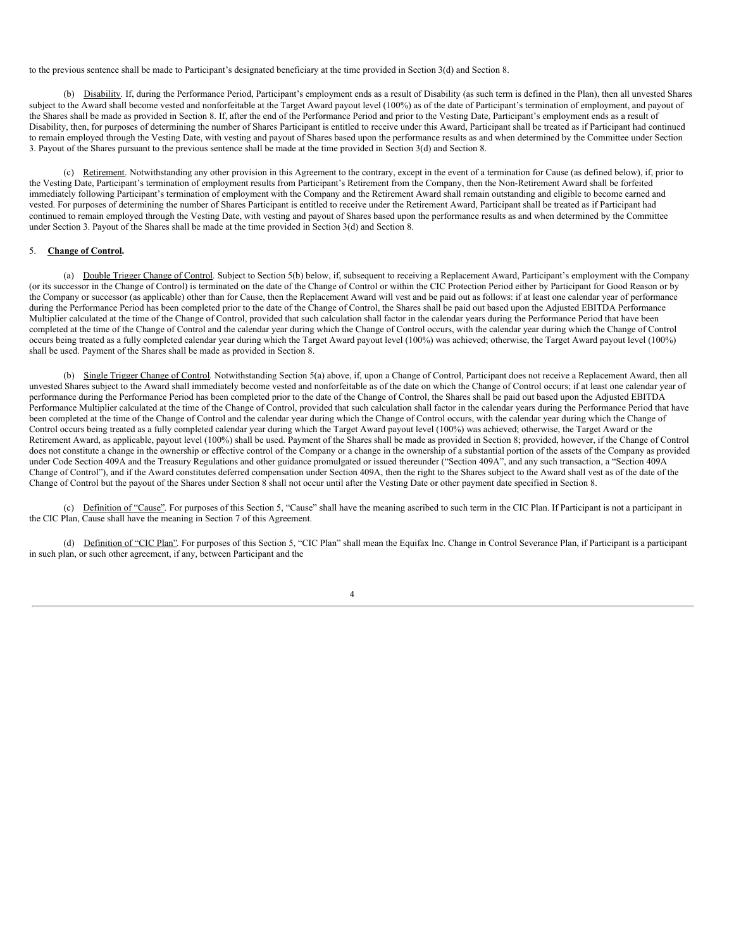to the previous sentence shall be made to Participant's designated beneficiary at the time provided in Section 3(d) and Section 8.

(b) Disability. If, during the Performance Period, Participant's employment ends as a result of Disability (as such term is defined in the Plan), then all unvested Shares subject to the Award shall become vested and nonforfeitable at the Target Award payout level (100%) as of the date of Participant's termination of employment, and payout of the Shares shall be made as provided in Section 8. If, after the end of the Performance Period and prior to the Vesting Date, Participant's employment ends as a result of Disability, then, for purposes of determining the number of Shares Participant is entitled to receive under this Award, Participant shall be treated as if Participant had continued to remain employed through the Vesting Date, with vesting and payout of Shares based upon the performance results as and when determined by the Committee under Section 3. Payout of the Shares pursuant to the previous sentence shall be made at the time provided in Section 3(d) and Section 8.

(c) Retirement. Notwithstanding any other provision in this Agreement to the contrary, except in the event of a termination for Cause (as defined below), if, prior to the Vesting Date, Participant's termination of employment results from Participant's Retirement from the Company, then the Non-Retirement Award shall be forfeited immediately following Participant's termination of employment with the Company and the Retirement Award shall remain outstanding and eligible to become earned and vested. For purposes of determining the number of Shares Participant is entitled to receive under the Retirement Award, Participant shall be treated as if Participant had continued to remain employed through the Vesting Date, with vesting and payout of Shares based upon the performance results as and when determined by the Committee under Section 3. Payout of the Shares shall be made at the time provided in Section 3(d) and Section 8.

## 5. **Change of Control.**

(a) Double Trigger Change of Control. Subject to Section 5(b) below, if, subsequent to receiving a Replacement Award, Participant's employment with the Company (or its successor in the Change of Control) is terminated on the date of the Change of Control or within the CIC Protection Period either by Participant for Good Reason or by the Company or successor (as applicable) other than for Cause, then the Replacement Award will vest and be paid out as follows: if at least one calendar year of performance during the Performance Period has been completed prior to the date of the Change of Control, the Shares shall be paid out based upon the Adjusted EBITDA Performance Multiplier calculated at the time of the Change of Control, provided that such calculation shall factor in the calendar years during the Performance Period that have been completed at the time of the Change of Control and the calendar year during which the Change of Control occurs, with the calendar year during which the Change of Control occurs being treated as a fully completed calendar year during which the Target Award payout level (100%) was achieved; otherwise, the Target Award payout level (100%) shall be used. Payment of the Shares shall be made as provided in Section 8.

(b) Single Trigger Change of Control. Notwithstanding Section 5(a) above, if, upon a Change of Control, Participant does not receive a Replacement Award, then all unvested Shares subject to the Award shall immediately become vested and nonforfeitable as of the date on which the Change of Control occurs; if at least one calendar year of performance during the Performance Period has been completed prior to the date of the Change of Control, the Shares shall be paid out based upon the Adjusted EBITDA Performance Multiplier calculated at the time of the Change of Control, provided that such calculation shall factor in the calendar years during the Performance Period that have been completed at the time of the Change of Control and the calendar year during which the Change of Control occurs, with the calendar year during which the Change of Control occurs being treated as a fully completed calendar year during which the Target Award payout level (100%) was achieved; otherwise, the Target Award or the Retirement Award, as applicable, payout level (100%) shall be used. Payment of the Shares shall be made as provided in Section 8; provided, however, if the Change of Control does not constitute a change in the ownership or effective control of the Company or a change in the ownership of a substantial portion of the assets of the Company as provided under Code Section 409A and the Treasury Regulations and other guidance promulgated or issued thereunder ("Section 409A", and any such transaction, a "Section 409A Change of Control"), and if the Award constitutes deferred compensation under Section 409A, then the right to the Shares subject to the Award shall vest as of the date of the Change of Control but the payout of the Shares under Section 8 shall not occur until after the Vesting Date or other payment date specified in Section 8.

(c) Definition of "Cause". For purposes of this Section 5, "Cause" shall have the meaning ascribed to such term in the CIC Plan. If Participant is not a participant in the CIC Plan, Cause shall have the meaning in Section 7 of this Agreement.

(d) Definition of "CIC Plan". For purposes of this Section 5, "CIC Plan" shall mean the Equifax Inc. Change in Control Severance Plan, if Participant is a participant in such plan, or such other agreement, if any, between Participant and the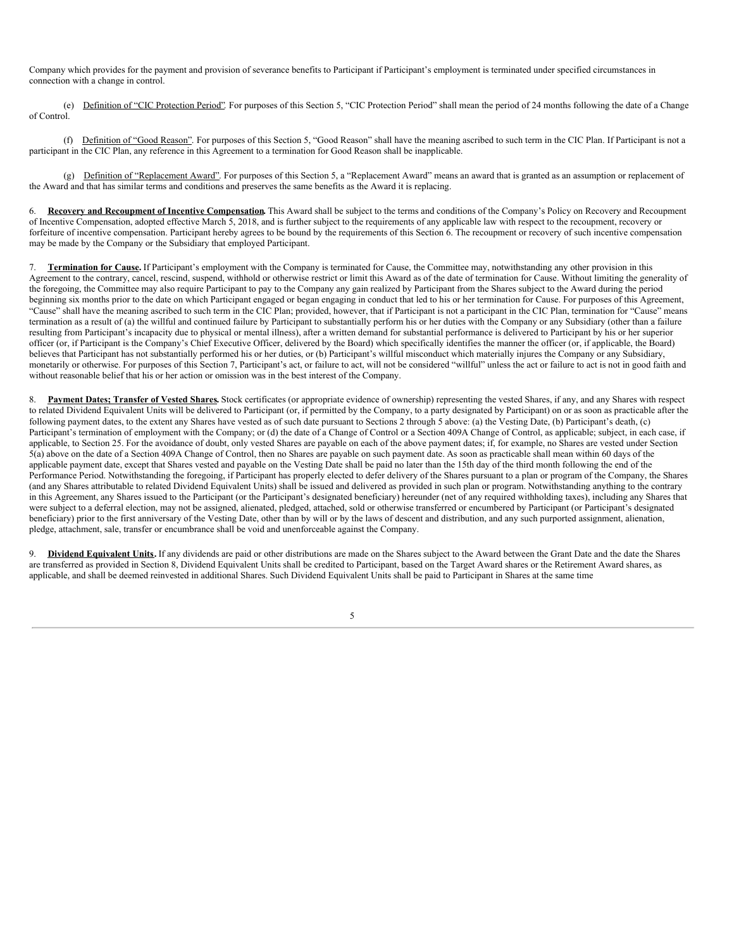<span id="page-50-0"></span>Company which provides for the payment and provision of severance benefits to Participant if Participant's employment is terminated under specified circumstances in connection with a change in control.

(e) Definition of "CIC Protection Period". For purposes of this Section 5, "CIC Protection Period" shall mean the period of 24 months following the date of a Change of Control.

(f) Definition of "Good Reason". For purposes of this Section 5, "Good Reason" shall have the meaning ascribed to such term in the CIC Plan. If Participant is not a participant in the CIC Plan, any reference in this Agreement to a termination for Good Reason shall be inapplicable.

(g) Definition of "Replacement Award". For purposes of this Section 5, a "Replacement Award" means an award that is granted as an assumption or replacement of the Award and that has similar terms and conditions and preserves the same benefits as the Award it is replacing.

6. **Recovery and Recoupment of Incentive Compensation.** This Award shall be subject to the terms and conditions of the Company's Policy on Recovery and Recoupment of Incentive Compensation, adopted effective March 5, 2018, and is further subject to the requirements of any applicable law with respect to the recoupment, recovery or forfeiture of incentive compensation. Participant hereby agrees to be bound by the requirements of this Section 6. The recoupment or recovery of such incentive compensation may be made by the Company or the Subsidiary that employed Participant.

7. **Termination for Cause.** If Participant's employment with the Company is terminated for Cause, the Committee may, notwithstanding any other provision in this Agreement to the contrary, cancel, rescind, suspend, withhold or otherwise restrict or limit this Award as of the date of termination for Cause. Without limiting the generality of the foregoing, the Committee may also require Participant to pay to the Company any gain realized by Participant from the Shares subject to the Award during the period beginning six months prior to the date on which Participant engaged or began engaging in conduct that led to his or her termination for Cause. For purposes of this Agreement, "Cause" shall have the meaning ascribed to such term in the CIC Plan; provided, however, that if Participant is not a participant in the CIC Plan, termination for "Cause" means termination as a result of (a) the willful and continued failure by Participant to substantially perform his or her duties with the Company or any Subsidiary (other than a failure resulting from Participant's incapacity due to physical or mental illness), after a written demand for substantial performance is delivered to Participant by his or her superior officer (or, if Participant is the Company's Chief Executive Officer, delivered by the Board) which specifically identifies the manner the officer (or, if applicable, the Board) believes that Participant has not substantially performed his or her duties, or (b) Participant's willful misconduct which materially injures the Company or any Subsidiary, monetarily or otherwise. For purposes of this Section 7, Participant's act, or failure to act, will not be considered "willful" unless the act or failure to act is not in good faith and without reasonable belief that his or her action or omission was in the best interest of the Company.

8. **Payment Dates; Transfer of Vested Shares.** Stock certificates (or appropriate evidence of ownership) representing the vested Shares, if any, and any Shares with respect to related Dividend Equivalent Units will be delivered to Participant (or, if permitted by the Company, to a party designated by Participant) on or as soon as practicable after the following payment dates, to the extent any Shares have vested as of such date pursuant to Sections 2 through 5 above: (a) the Vesting Date, (b) Participant's death, (c) Participant's termination of employment with the Company; or (d) the date of a Change of Control or a Section 409A Change of Control, as applicable; subject, in each case, if applicable, to Section 25. For the avoidance of doubt, only vested Shares are payable on each of the above payment dates; if, for example, no Shares are vested under Section  $5(a)$  above on the date of a Section 409A Change of Control, then no Shares are payable on such payment date. As soon as practicable shall mean within 60 days of the applicable payment date, except that Shares vested and payable on the Vesting Date shall be paid no later than the 15th day of the third month following the end of the Performance Period. Notwithstanding the foregoing, if Participant has properly elected to defer delivery of the Shares pursuant to a plan or program of the Company, the Shares (and any Shares attributable to related Dividend Equivalent Units) shall be issued and delivered as provided in such plan or program. Notwithstanding anything to the contrary in this Agreement, any Shares issued to the Participant (or the Participant's designated beneficiary) hereunder (net of any required withholding taxes), including any Shares that were subject to a deferral election, may not be assigned, alienated, pledged, attached, sold or otherwise transferred or encumbered by Participant (or Participant's designated beneficiary) prior to the first anniversary of the Vesting Date, other than by will or by the laws of descent and distribution, and any such purported assignment, alienation, pledge, attachment, sale, transfer or encumbrance shall be void and unenforceable against the Company.

9. **Dividend Equivalent Units.** If any dividends are paid or other distributions are made on the Shares subject to the Award between the Grant Date and the date the Shares are transferred as provided in Section 8, Dividend Equivalent Units shall be credited to Participant, based on the Target Award shares or the Retirement Award shares, as applicable, and shall be deemed reinvested in additional Shares. Such Dividend Equivalent Units shall be paid to Participant in Shares at the same time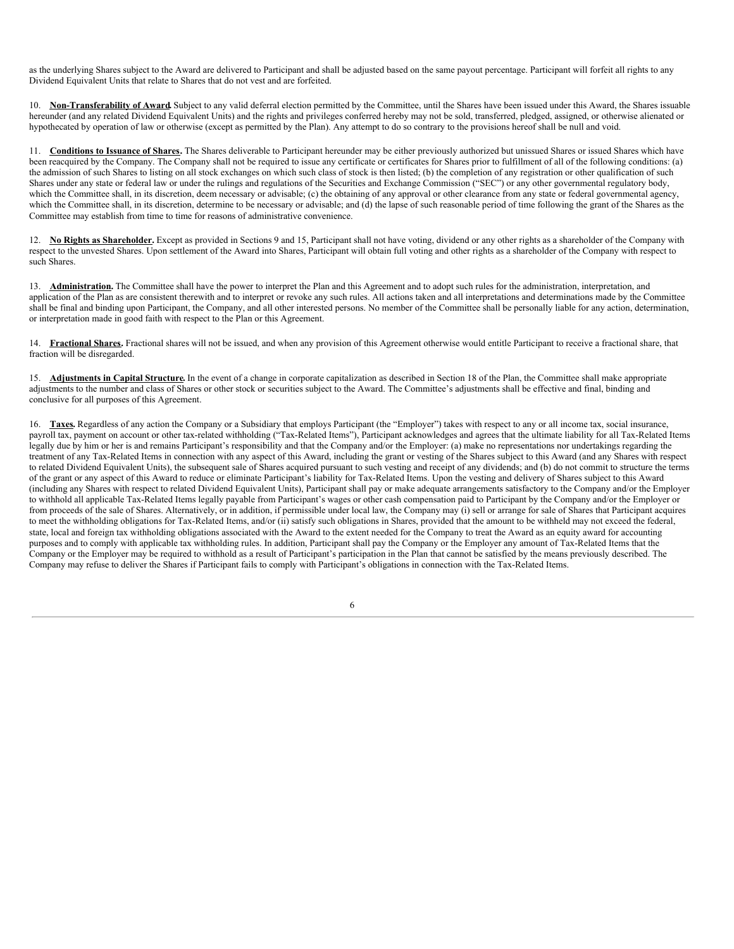as the underlying Shares subject to the Award are delivered to Participant and shall be adjusted based on the same payout percentage. Participant will forfeit all rights to any Dividend Equivalent Units that relate to Shares that do not vest and are forfeited.

10. **Non-Transferability of Award.** Subject to any valid deferral election permitted by the Committee, until the Shares have been issued under this Award, the Shares issuable hereunder (and any related Dividend Equivalent Units) and the rights and privileges conferred hereby may not be sold, transferred, pledged, assigned, or otherwise alienated or hypothecated by operation of law or otherwise (except as permitted by the Plan). Any attempt to do so contrary to the provisions hereof shall be null and void.

11. **Conditions to Issuance of Shares.** The Shares deliverable to Participant hereunder may be either previously authorized but unissued Shares or issued Shares which have been reacquired by the Company. The Company shall not be required to issue any certificate or certificates for Shares prior to fulfillment of all of the following conditions: (a) the admission of such Shares to listing on all stock exchanges on which such class of stock is then listed; (b) the completion of any registration or other qualification of such Shares under any state or federal law or under the rulings and regulations of the Securities and Exchange Commission ("SEC") or any other governmental regulatory body, which the Committee shall, in its discretion, deem necessary or advisable; (c) the obtaining of any approval or other clearance from any state or federal governmental agency, which the Committee shall, in its discretion, determine to be necessary or advisable; and (d) the lapse of such reasonable period of time following the grant of the Shares as the Committee may establish from time to time for reasons of administrative convenience.

12. **No Rights as Shareholder.** Except as provided in Sections 9 and 15, Participant shall not have voting, dividend or any other rights as a shareholder of the Company with respect to the unvested Shares. Upon settlement of the Award into Shares, Participant will obtain full voting and other rights as a shareholder of the Company with respect to such Shares.

13. **Administration.** The Committee shall have the power to interpret the Plan and this Agreement and to adopt such rules for the administration, interpretation, and application of the Plan as are consistent therewith and to interpret or revoke any such rules. All actions taken and all interpretations and determinations made by the Committee shall be final and binding upon Participant, the Company, and all other interested persons. No member of the Committee shall be personally liable for any action, determination, or interpretation made in good faith with respect to the Plan or this Agreement.

14. **Fractional Shares.** Fractional shares will not be issued, and when any provision of this Agreement otherwise would entitle Participant to receive a fractional share, that fraction will be disregarded.

15. **Adjustments in Capital Structure.** In the event of a change in corporate capitalization as described in Section 18 of the Plan, the Committee shall make appropriate adjustments to the number and class of Shares or other stock or securities subject to the Award. The Committee's adjustments shall be effective and final, binding and conclusive for all purposes of this Agreement.

16. **Taxes.** Regardless of any action the Company or a Subsidiary that employs Participant (the "Employer") takes with respect to any or all income tax, social insurance, payroll tax, payment on account or other tax-related withholding ("Tax-Related Items"), Participant acknowledges and agrees that the ultimate liability for all Tax-Related Items legally due by him or her is and remains Participant's responsibility and that the Company and/or the Employer: (a) make no representations nor undertakings regarding the treatment of any Tax-Related Items in connection with any aspect of this Award, including the grant or vesting of the Shares subject to this Award (and any Shares with respect to related Dividend Equivalent Units), the subsequent sale of Shares acquired pursuant to such vesting and receipt of any dividends; and (b) do not commit to structure the terms of the grant or any aspect of this Award to reduce or eliminate Participant's liability for Tax-Related Items. Upon the vesting and delivery of Shares subject to this Award (including any Shares with respect to related Dividend Equivalent Units), Participant shall pay or make adequate arrangements satisfactory to the Company and/or the Employer to withhold all applicable Tax-Related Items legally payable from Participant's wages or other cash compensation paid to Participant by the Company and/or the Employer or from proceeds of the sale of Shares. Alternatively, or in addition, if permissible under local law, the Company may (i) sell or arrange for sale of Shares that Participant acquires to meet the withholding obligations for Tax-Related Items, and/or (ii) satisfy such obligations in Shares, provided that the amount to be withheld may not exceed the federal, state, local and foreign tax withholding obligations associated with the Award to the extent needed for the Company to treat the Award as an equity award for accounting purposes and to comply with applicable tax withholding rules. In addition, Participant shall pay the Company or the Employer any amount of Tax-Related Items that the Company or the Employer may be required to withhold as a result of Participant's participation in the Plan that cannot be satisfied by the means previously described. The Company may refuse to deliver the Shares if Participant fails to comply with Participant's obligations in connection with the Tax-Related Items.

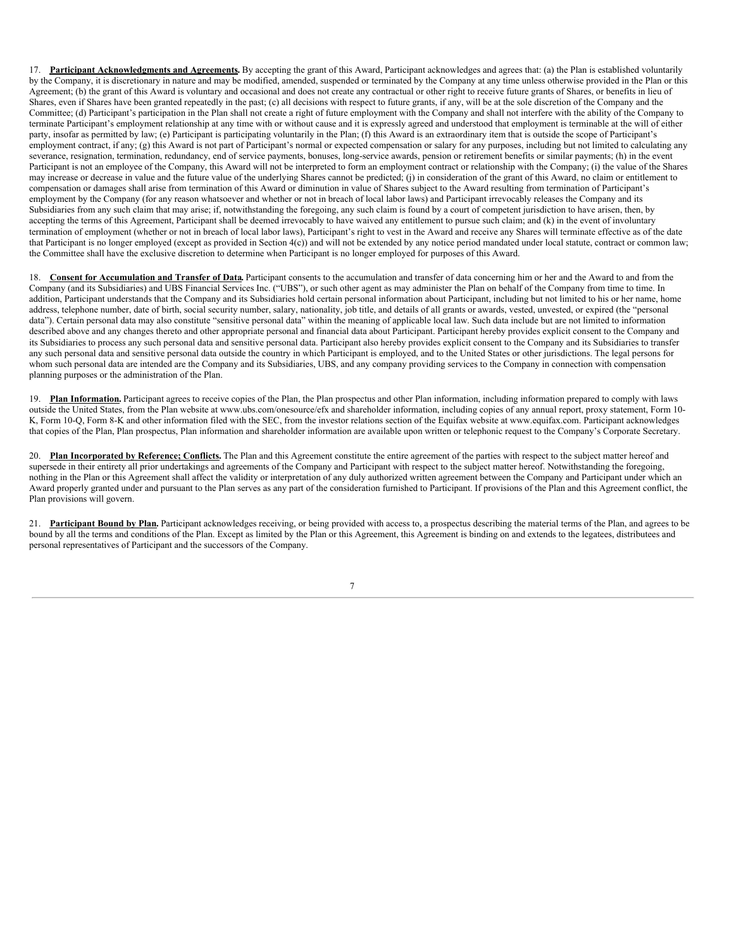17. **Participant Acknowledgments and Agreements.** By accepting the grant of this Award, Participant acknowledges and agrees that: (a) the Plan is established voluntarily by the Company, it is discretionary in nature and may be modified, amended, suspended or terminated by the Company at any time unless otherwise provided in the Plan or this Agreement; (b) the grant of this Award is voluntary and occasional and does not create any contractual or other right to receive future grants of Shares, or benefits in lieu of Shares, even if Shares have been granted repeatedly in the past; (c) all decisions with respect to future grants, if any, will be at the sole discretion of the Company and the Committee; (d) Participant's participation in the Plan shall not create a right of future employment with the Company and shall not interfere with the ability of the Company to terminate Participant's employment relationship at any time with or without cause and it is expressly agreed and understood that employment is terminable at the will of either party, insofar as permitted by law; (e) Participant is participating voluntarily in the Plan; (f) this Award is an extraordinary item that is outside the scope of Participant's employment contract, if any; (g) this Award is not part of Participant's normal or expected compensation or salary for any purposes, including but not limited to calculating any severance, resignation, termination, redundancy, end of service payments, bonuses, long-service awards, pension or retirement benefits or similar payments; (h) in the event Participant is not an employee of the Company, this Award will not be interpreted to form an employment contract or relationship with the Company; (i) the value of the Shares may increase or decrease in value and the future value of the underlying Shares cannot be predicted; (j) in consideration of the grant of this Award, no claim or entitlement to compensation or damages shall arise from termination of this Award or diminution in value of Shares subject to the Award resulting from termination of Participant's employment by the Company (for any reason whatsoever and whether or not in breach of local labor laws) and Participant irrevocably releases the Company and its Subsidiaries from any such claim that may arise; if, notwithstanding the foregoing, any such claim is found by a court of competent jurisdiction to have arisen, then, by accepting the terms of this Agreement, Participant shall be deemed irrevocably to have waived any entitlement to pursue such claim; and (k) in the event of involuntary termination of employment (whether or not in breach of local labor laws), Participant's right to vest in the Award and receive any Shares will terminate effective as of the date that Participant is no longer employed (except as provided in Section 4(c)) and will not be extended by any notice period mandated under local statute, contract or common law; the Committee shall have the exclusive discretion to determine when Participant is no longer employed for purposes of this Award.

18. **Consent for Accumulation and Transfer of Data.** Participant consents to the accumulation and transfer of data concerning him or her and the Award to and from the Company (and its Subsidiaries) and UBS Financial Services Inc. ("UBS"), or such other agent as may administer the Plan on behalf of the Company from time to time. In addition, Participant understands that the Company and its Subsidiaries hold certain personal information about Participant, including but not limited to his or her name, home address, telephone number, date of birth, social security number, salary, nationality, job title, and details of all grants or awards, vested, unvested, or expired (the "personal data"). Certain personal data may also constitute "sensitive personal data" within the meaning of applicable local law. Such data include but are not limited to information described above and any changes thereto and other appropriate personal and financial data about Participant. Participant hereby provides explicit consent to the Company and its Subsidiaries to process any such personal data and sensitive personal data. Participant also hereby provides explicit consent to the Company and its Subsidiaries to transfer any such personal data and sensitive personal data outside the country in which Participant is employed, and to the United States or other jurisdictions. The legal persons for whom such personal data are intended are the Company and its Subsidiaries, UBS, and any company providing services to the Company in connection with compensation planning purposes or the administration of the Plan.

19. **Plan Information.** Participant agrees to receive copies of the Plan, the Plan prospectus and other Plan information, including information prepared to comply with laws outside the United States, from the Plan website at www.ubs.com/onesource/efx and shareholder information, including copies of any annual report, proxy statement, Form 10- K, Form 10-Q, Form 8-K and other information filed with the SEC, from the investor relations section of the Equifax website at www.equifax.com. Participant acknowledges that copies of the Plan, Plan prospectus, Plan information and shareholder information are available upon written or telephonic request to the Company's Corporate Secretary.

20. **Plan Incorporated by Reference; Conflicts.** The Plan and this Agreement constitute the entire agreement of the parties with respect to the subject matter hereof and supersede in their entirety all prior undertakings and agreements of the Company and Participant with respect to the subject matter hereof. Notwithstanding the foregoing, nothing in the Plan or this Agreement shall affect the validity or interpretation of any duly authorized written agreement between the Company and Participant under which an Award properly granted under and pursuant to the Plan serves as any part of the consideration furnished to Participant. If provisions of the Plan and this Agreement conflict, the Plan provisions will govern.

21. Participant Bound by Plan. Participant acknowledges receiving, or being provided with access to, a prospectus describing the material terms of the Plan, and agrees to be bound by all the terms and conditions of the Plan. Except as limited by the Plan or this Agreement, this Agreement is binding on and extends to the legatees, distributees and personal representatives of Participant and the successors of the Company.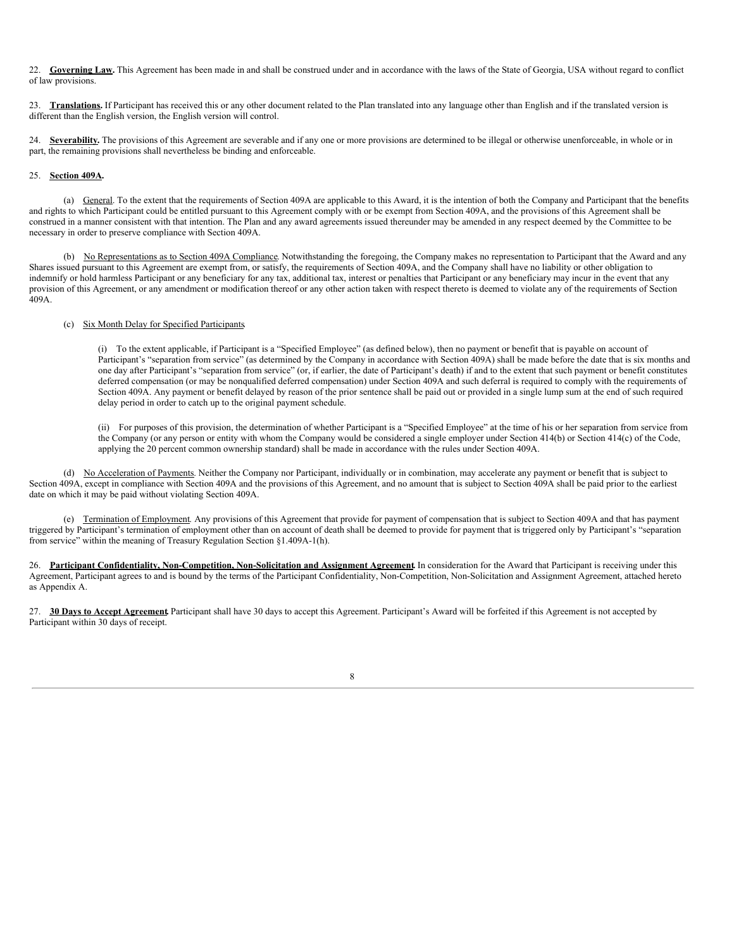22. **Governing Law.** This Agreement has been made in and shall be construed under and in accordance with the laws of the State of Georgia, USA without regard to conflict of law provisions.

23. **Translations.** If Participant has received this or any other document related to the Plan translated into any language other than English and if the translated version is different than the English version, the English version will control.

24. Severability. The provisions of this Agreement are severable and if any one or more provisions are determined to be illegal or otherwise unenforceable, in whole or in part, the remaining provisions shall nevertheless be binding and enforceable.

## 25. **Section 409A.**

(a) General. To the extent that the requirements of Section 409A are applicable to this Award, it is the intention of both the Company and Participant that the benefits and rights to which Participant could be entitled pursuant to this Agreement comply with or be exempt from Section 409A, and the provisions of this Agreement shall be construed in a manner consistent with that intention. The Plan and any award agreements issued thereunder may be amended in any respect deemed by the Committee to be necessary in order to preserve compliance with Section 409A.

(b) No Representations as to Section 409A Compliance. Notwithstanding the foregoing, the Company makes no representation to Participant that the Award and any Shares issued pursuant to this Agreement are exempt from, or satisfy, the requirements of Section 409A, and the Company shall have no liability or other obligation to indemnify or hold harmless Participant or any beneficiary for any tax, additional tax, interest or penalties that Participant or any beneficiary may incur in the event that any provision of this Agreement, or any amendment or modification thereof or any other action taken with respect thereto is deemed to violate any of the requirements of Section 409A.

## (c) Six Month Delay for Specified Participants.

(i) To the extent applicable, if Participant is a "Specified Employee" (as defined below), then no payment or benefit that is payable on account of Participant's "separation from service" (as determined by the Company in accordance with Section 409A) shall be made before the date that is six months and one day after Participant's "separation from service" (or, if earlier, the date of Participant's death) if and to the extent that such payment or benefit constitutes deferred compensation (or may be nonqualified deferred compensation) under Section 409A and such deferral is required to comply with the requirements of Section 409A. Any payment or benefit delayed by reason of the prior sentence shall be paid out or provided in a single lump sum at the end of such required delay period in order to catch up to the original payment schedule.

(ii) For purposes of this provision, the determination of whether Participant is a "Specified Employee" at the time of his or her separation from service from the Company (or any person or entity with whom the Company would be considered a single employer under Section 414(b) or Section 414(c) of the Code, applying the 20 percent common ownership standard) shall be made in accordance with the rules under Section 409A.

(d) No Acceleration of Payments. Neither the Company nor Participant, individually or in combination, may accelerate any payment or benefit that is subject to Section 409A, except in compliance with Section 409A and the provisions of this Agreement, and no amount that is subject to Section 409A shall be paid prior to the earliest date on which it may be paid without violating Section 409A.

(e) Termination of Employment. Any provisions of this Agreement that provide for payment of compensation that is subject to Section 409A and that has payment triggered by Participant's termination of employment other than on account of death shall be deemed to provide for payment that is triggered only by Participant's "separation from service" within the meaning of Treasury Regulation Section §1.409A-1(h).

26. **Participant Confidentiality, Non-Competition, Non-Solicitation and Assignment Agreement.** In consideration for the Award that Participant is receiving under this Agreement, Participant agrees to and is bound by the terms of the Participant Confidentiality, Non-Competition, Non-Solicitation and Assignment Agreement, attached hereto as Appendix A.

27. **30 Days to Accept Agreement.** Participant shall have 30 days to accept this Agreement. Participant's Award will be forfeited if this Agreement is not accepted by Participant within 30 days of receipt.

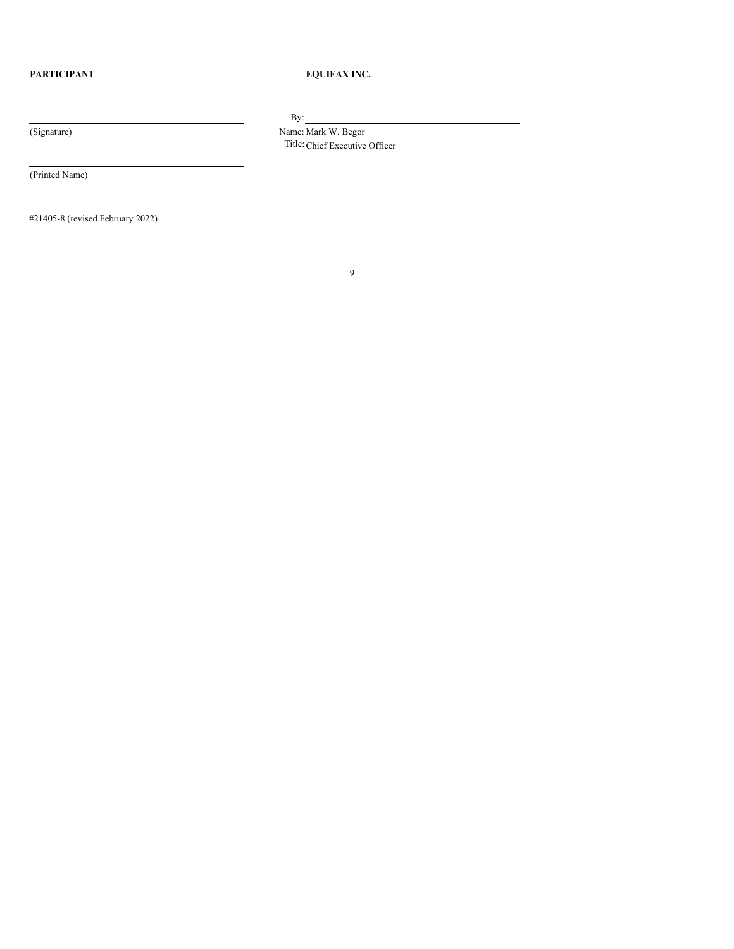# **PARTICIPANT EQUIFAX INC.**

By:

(Signature) Name: Mark W. Begor Title:Chief Executive Officer

(Printed Name)

#21405-8 (revised February 2022)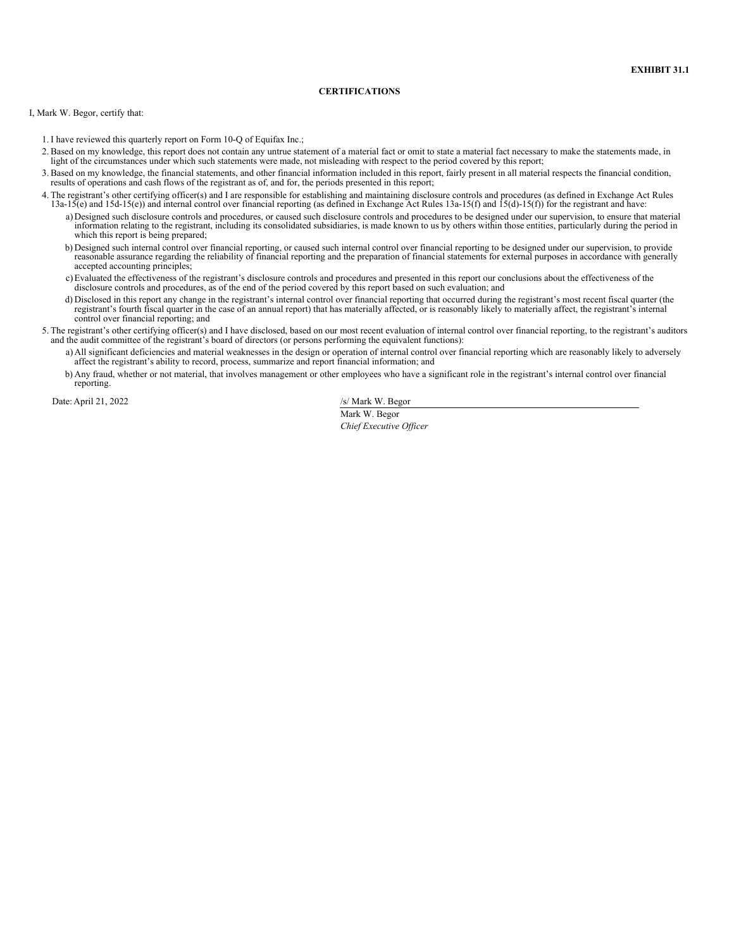## **CERTIFICATIONS**

<span id="page-55-0"></span>I, Mark W. Begor, certify that:

1. I have reviewed this quarterly report on Form 10-Q of Equifax Inc.;

- 2. Based on my knowledge, this report does not contain any untrue statement of a material fact or omit to state a material fact necessary to make the statements made, in light of the circumstances under which such statements were made, not misleading with respect to the period covered by this report;
- 3. Based on my knowledge, the financial statements, and other financial information included in this report, fairly present in all material respects the financial condition, results of operations and cash flows of the registrant as of, and for, the periods presented in this report;
- 4. The registrant's other certifying officer(s) and I are responsible for establishing and maintaining disclosure controls and procedures (as defined in Exchange Act Rules  $13a-15(e)$  and  $15d-15(e)$ ) and internal control over financial reporting (as defined in Exchange Act Rules  $13a-15(f)$  and  $15(d)-15(f)$ ) for the registrant and have:
	- a) Designed such disclosure controls and procedures, or caused such disclosure controls and procedures to be designed under our supervision, to ensure that material information relating to the registrant, including its consolidated subsidiaries, is made known to us by others within those entities, particularly during the period in which this report is being prepared;
	- b) Designed such internal control over financial reporting, or caused such internal control over financial reporting to be designed under our supervision, to provide reasonable assurance regarding the reliability of financ accepted accounting principles;
	- c)Evaluated the effectiveness of the registrant's disclosure controls and procedures and presented in this report our conclusions about the effectiveness of the disclosure controls and procedures, as of the end of the period covered by this report based on such evaluation; and
	- d) Disclosed in this report any change in the registrant's internal control over financial reporting that occurred during the registrant's most recent fiscal quarter (the registrant's fourth fiscal quarter in the case of an annual report) that has materially affected, or is reasonably likely to materially affect, the registrant's internal control over financial reporting; and
- 5. The registrant's other certifying officer(s) and I have disclosed, based on our most recent evaluation of internal control over financial reporting, to the registrant's auditors and the audit committee of the registrant's board of directors (or persons performing the equivalent functions):
	- a) All significant deficiencies and material weaknesses in the design or operation of internal control over financial reporting which are reasonably likely to adversely affect the registrant's ability to record, process, summarize and report financial information; and
	- b) Any fraud, whether or not material, that involves management or other employees who have a significant role in the registrant's internal control over financial reporting.

Date: April 21, 2022 /s/ Mark W. Begor

Mark W. Begor *Chief Executive Of icer*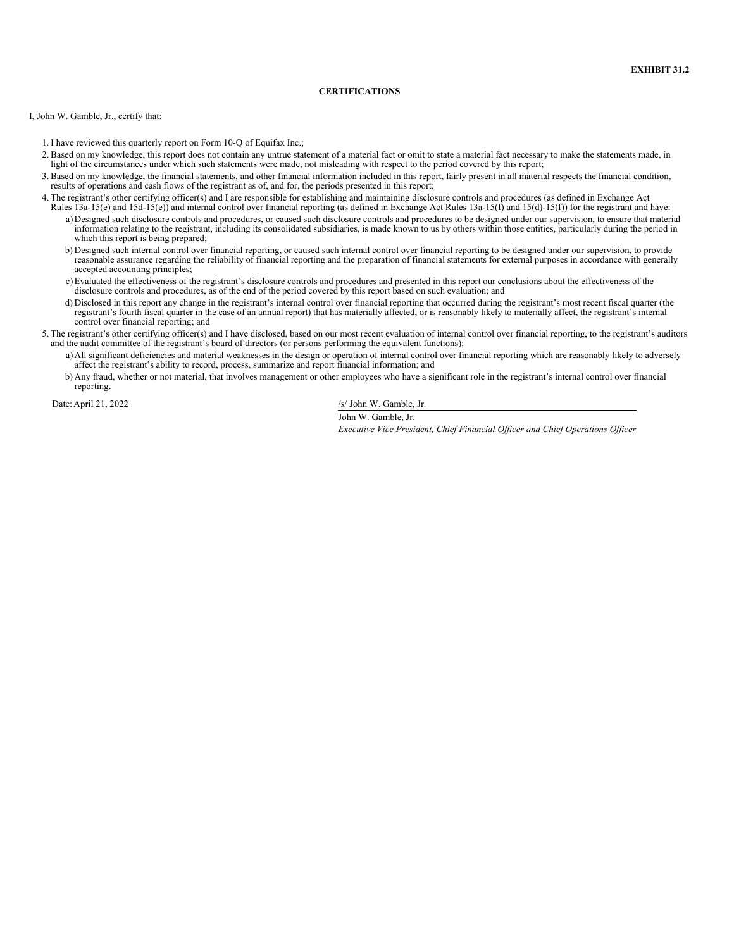## **CERTIFICATIONS**

<span id="page-56-0"></span>I, John W. Gamble, Jr., certify that:

1. I have reviewed this quarterly report on Form 10-Q of Equifax Inc.;

- 2. Based on my knowledge, this report does not contain any untrue statement of a material fact or omit to state a material fact necessary to make the statements made, in light of the circumstances under which such statements were made, not misleading with respect to the period covered by this report;
- 3. Based on my knowledge, the financial statements, and other financial information included in this report, fairly present in all material respects the financial condition, results of operations and cash flows of the registrant as of, and for, the periods presented in this report;
- 4. The registrant's other certifying officer(s) and I are responsible for establishing and maintaining disclosure controls and procedures (as defined in Exchange Act Rules 13a-15(e) and 15d-15(e)) and internal control over financial reporting (as defined in Exchange Act Rules 13a-15(f) and 15(d)-15(f)) for the registrant and have:
	- a) Designed such disclosure controls and procedures, or caused such disclosure controls and procedures to be designed under our supervision, to ensure that material information relating to the registrant, including its consolidated subsidiaries, is made known to us by others within those entities, particularly during the period in which this report is being prepared;
	- b) Designed such internal control over financial reporting, or caused such internal control over financial reporting to be designed under our supervision, to provide reasonable assurance regarding the reliability of financial reporting and the preparation of financial statements for external purposes in accordance with generally accepted accounting principles;
	- c)Evaluated the effectiveness of the registrant's disclosure controls and procedures and presented in this report our conclusions about the effectiveness of the disclosure controls and procedures, as of the end of the period covered by this report based on such evaluation; and
	- d) Disclosed in this report any change in the registrant's internal control over financial reporting that occurred during the registrant's most recent fiscal quarter (the registrant's fourth fiscal quarter in the case of an annual report) that has materially affected, or is reasonably likely to materially affect, the registrant's internal control over financial reporting; and
- 5. The registrant's other certifying officer(s) and I have disclosed, based on our most recent evaluation of internal control over financial reporting, to the registrant's auditors and the audit committee of the registrant's board of directors (or persons performing the equivalent functions):
	- a) All significant deficiencies and material weaknesses in the design or operation of internal control over financial reporting which are reasonably likely to adversely affect the registrant's ability to record, process, summarize and report financial information; and
	- b) Any fraud, whether or not material, that involves management or other employees who have a significant role in the registrant's internal control over financial reporting.

Date: April 21, 2022 /s/ John W. Gamble, Jr.

John W. Gamble, Jr. *Executive Vice President, Chief Financial Of icer and Chief Operations Of icer*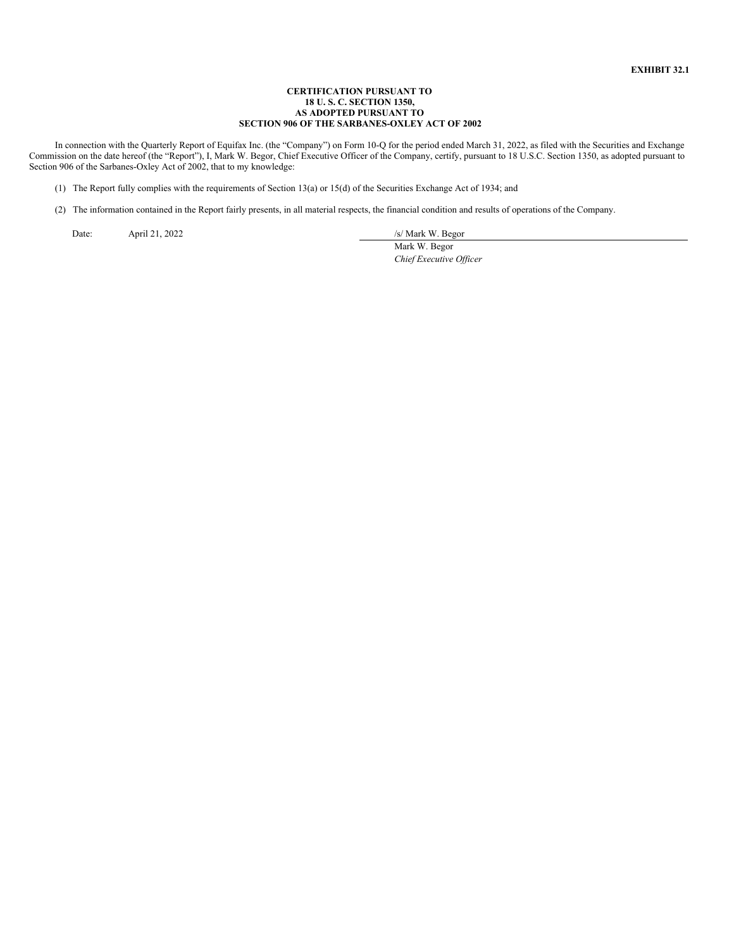#### **CERTIFICATION PURSUANT TO 18 U. S. C. SECTION 1350, AS ADOPTED PURSUANT TO SECTION 906 OF THE SARBANES-OXLEY ACT OF 2002**

<span id="page-57-0"></span>In connection with the Quarterly Report of Equifax Inc. (the "Company") on Form 10-Q for the period ended March 31, 2022, as filed with the Securities and Exchange Commission on the date hereof (the "Report"), I, Mark W. Begor, Chief Executive Officer of the Company, certify, pursuant to 18 U.S.C. Section 1350, as adopted pursuant to Section 906 of the Sarbanes-Oxley Act of 2002, that to my knowledge:

(1) The Report fully complies with the requirements of Section 13(a) or 15(d) of the Securities Exchange Act of 1934; and

(2) The information contained in the Report fairly presents, in all material respects, the financial condition and results of operations of the Company.

Date: April 21, 2022 /s/ Mark W. Begor

Mark W. Begor

*Chief Executive Of icer*